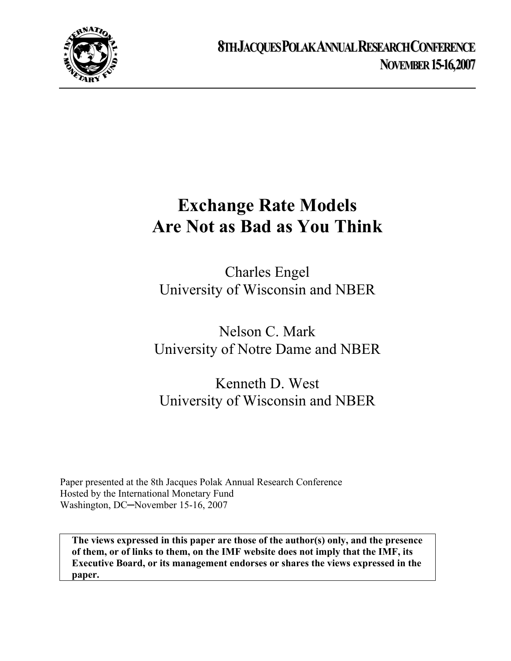

# **Exchange Rate Models Are Not as Bad as You Think**

Charles Engel University of Wisconsin and NBER

Nelson C. Mark University of Notre Dame and NBER

Kenneth D. West University of Wisconsin and NBER

Paper presented at the 8th Jacques Polak Annual Research Conference Hosted by the International Monetary Fund Washington, DC─November 15-16, 2007

**The views expressed in this paper are those of the author(s) only, and the presence of them, or of links to them, on the IMF website does not imply that the IMF, its Executive Board, or its management endorses or shares the views expressed in the paper.**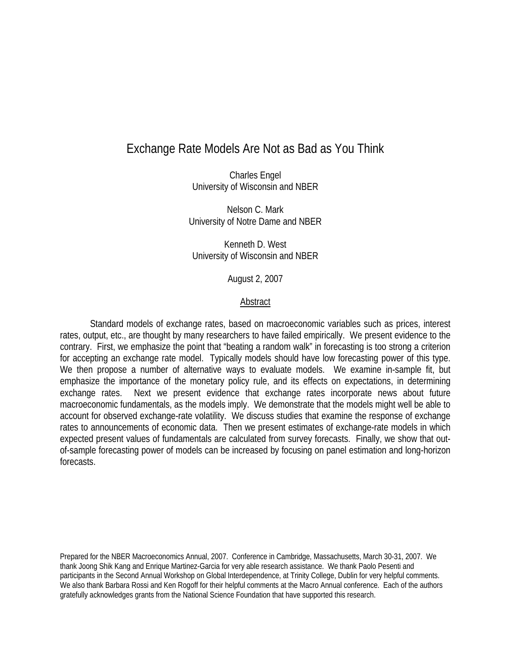# Exchange Rate Models Are Not as Bad as You Think

Charles Engel University of Wisconsin and NBER

Nelson C. Mark University of Notre Dame and NBER

Kenneth D. West University of Wisconsin and NBER

August 2, 2007

# Abstract

Standard models of exchange rates, based on macroeconomic variables such as prices, interest rates, output, etc., are thought by many researchers to have failed empirically. We present evidence to the contrary. First, we emphasize the point that "beating a random walk" in forecasting is too strong a criterion for accepting an exchange rate model. Typically models should have low forecasting power of this type. We then propose a number of alternative ways to evaluate models. We examine in-sample fit, but emphasize the importance of the monetary policy rule, and its effects on expectations, in determining exchange rates. Next we present evidence that exchange rates incorporate news about future macroeconomic fundamentals, as the models imply. We demonstrate that the models might well be able to account for observed exchange-rate volatility. We discuss studies that examine the response of exchange rates to announcements of economic data. Then we present estimates of exchange-rate models in which expected present values of fundamentals are calculated from survey forecasts. Finally, we show that outof-sample forecasting power of models can be increased by focusing on panel estimation and long-horizon forecasts.

Prepared for the NBER Macroeconomics Annual, 2007. Conference in Cambridge, Massachusetts, March 30-31, 2007. We thank Joong Shik Kang and Enrique Martinez-Garcia for very able research assistance. We thank Paolo Pesenti and participants in the Second Annual Workshop on Global Interdependence, at Trinity College, Dublin for very helpful comments. We also thank Barbara Rossi and Ken Rogoff for their helpful comments at the Macro Annual conference. Each of the authors gratefully acknowledges grants from the National Science Foundation that have supported this research.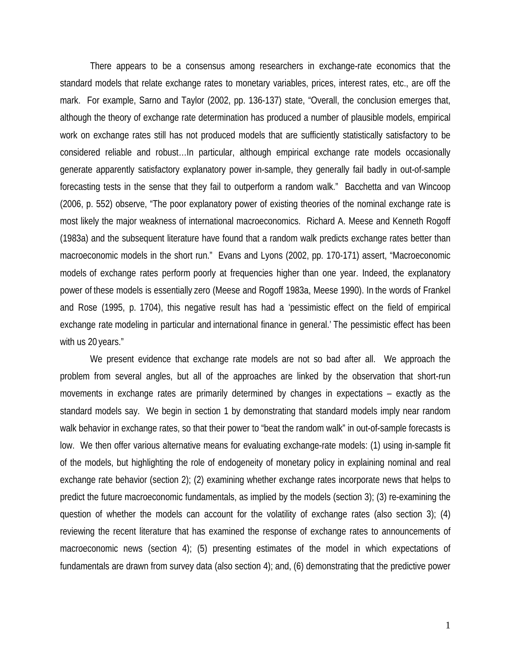There appears to be a consensus among researchers in exchange-rate economics that the standard models that relate exchange rates to monetary variables, prices, interest rates, etc., are off the mark. For example, Sarno and Taylor (2002, pp. 136-137) state, "Overall, the conclusion emerges that, although the theory of exchange rate determination has produced a number of plausible models, empirical work on exchange rates still has not produced models that are sufficiently statistically satisfactory to be considered reliable and robust…In particular, although empirical exchange rate models occasionally generate apparently satisfactory explanatory power in-sample, they generally fail badly in out-of-sample forecasting tests in the sense that they fail to outperform a random walk." Bacchetta and van Wincoop (2006, p. 552) observe, "The poor explanatory power of existing theories of the nominal exchange rate is most likely the major weakness of international macroeconomics. Richard A. Meese and Kenneth Rogoff (1983a) and the subsequent literature have found that a random walk predicts exchange rates better than macroeconomic models in the short run." Evans and Lyons (2002, pp. 170-171) assert, "Macroeconomic models of exchange rates perform poorly at frequencies higher than one year. Indeed, the explanatory power of these models is essentially zero (Meese and Rogoff 1983a, Meese 1990). In the words of Frankel and Rose (1995, p. 1704), this negative result has had a 'pessimistic effect on the field of empirical exchange rate modeling in particular and international finance in general.' The pessimistic effect has been with us 20 years."

 We present evidence that exchange rate models are not so bad after all. We approach the problem from several angles, but all of the approaches are linked by the observation that short-run movements in exchange rates are primarily determined by changes in expectations – exactly as the standard models say. We begin in section 1 by demonstrating that standard models imply near random walk behavior in exchange rates, so that their power to "beat the random walk" in out-of-sample forecasts is low. We then offer various alternative means for evaluating exchange-rate models: (1) using in-sample fit of the models, but highlighting the role of endogeneity of monetary policy in explaining nominal and real exchange rate behavior (section 2); (2) examining whether exchange rates incorporate news that helps to predict the future macroeconomic fundamentals, as implied by the models (section 3); (3) re-examining the question of whether the models can account for the volatility of exchange rates (also section 3); (4) reviewing the recent literature that has examined the response of exchange rates to announcements of macroeconomic news (section 4); (5) presenting estimates of the model in which expectations of fundamentals are drawn from survey data (also section 4); and, (6) demonstrating that the predictive power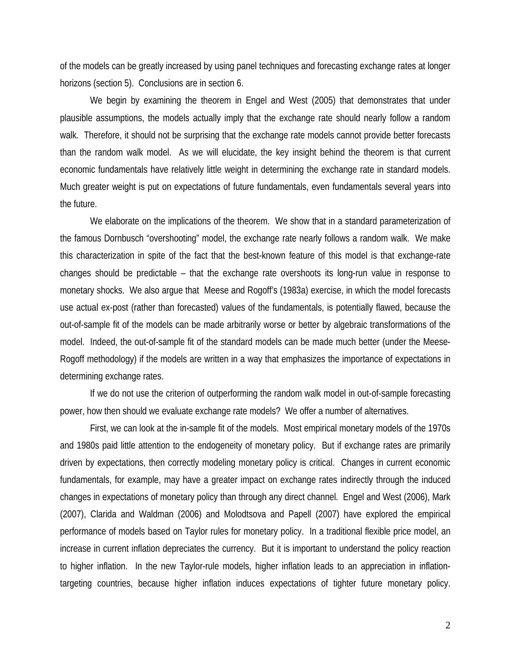of the models can be greatly increased by using panel techniques and forecasting exchange rates at longer horizons (section 5). Conclusions are in section 6.

 We begin by examining the theorem in Engel and West (2005) that demonstrates that under plausible assumptions, the models actually imply that the exchange rate should nearly follow a random walk. Therefore, it should not be surprising that the exchange rate models cannot provide better forecasts than the random walk model. As we will elucidate, the key insight behind the theorem is that current economic fundamentals have relatively little weight in determining the exchange rate in standard models. Much greater weight is put on expectations of future fundamentals, even fundamentals several years into the future.

 We elaborate on the implications of the theorem. We show that in a standard parameterization of the famous Dornbusch "overshooting" model, the exchange rate nearly follows a random walk. We make this characterization in spite of the fact that the best-known feature of this model is that exchange-rate changes should be predictable – that the exchange rate overshoots its long-run value in response to monetary shocks. We also argue that Meese and Rogoff's (1983a) exercise, in which the model forecasts use actual ex-post (rather than forecasted) values of the fundamentals, is potentially flawed, because the out-of-sample fit of the models can be made arbitrarily worse or better by algebraic transformations of the model. Indeed, the out-of-sample fit of the standard models can be made much better (under the Meese-Rogoff methodology) if the models are written in a way that emphasizes the importance of expectations in determining exchange rates.

 If we do not use the criterion of outperforming the random walk model in out-of-sample forecasting power, how then should we evaluate exchange rate models? We offer a number of alternatives.

 First, we can look at the in-sample fit of the models. Most empirical monetary models of the 1970s and 1980s paid little attention to the endogeneity of monetary policy. But if exchange rates are primarily driven by expectations, then correctly modeling monetary policy is critical. Changes in current economic fundamentals, for example, may have a greater impact on exchange rates indirectly through the induced changes in expectations of monetary policy than through any direct channel. Engel and West (2006), Mark (2007), Clarida and Waldman (2006) and Molodtsova and Papell (2007) have explored the empirical performance of models based on Taylor rules for monetary policy. In a traditional flexible price model, an increase in current inflation depreciates the currency. But it is important to understand the policy reaction to higher inflation. In the new Taylor-rule models, higher inflation leads to an appreciation in inflationtargeting countries, because higher inflation induces expectations of tighter future monetary policy.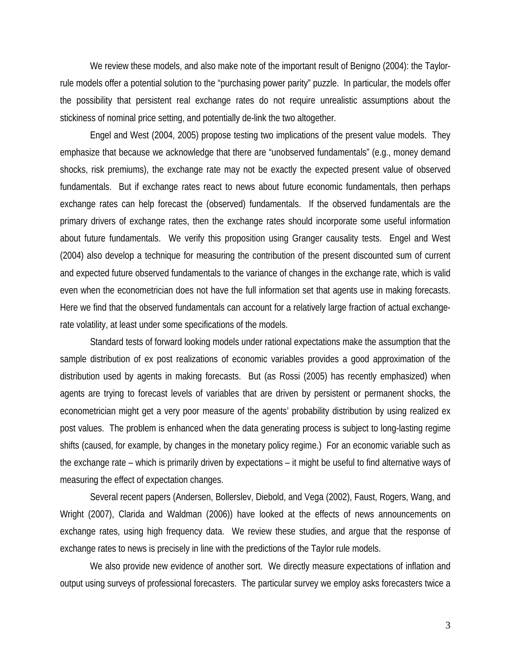We review these models, and also make note of the important result of Benigno (2004): the Taylorrule models offer a potential solution to the "purchasing power parity" puzzle. In particular, the models offer the possibility that persistent real exchange rates do not require unrealistic assumptions about the stickiness of nominal price setting, and potentially de-link the two altogether.

 Engel and West (2004, 2005) propose testing two implications of the present value models. They emphasize that because we acknowledge that there are "unobserved fundamentals" (e.g., money demand shocks, risk premiums), the exchange rate may not be exactly the expected present value of observed fundamentals. But if exchange rates react to news about future economic fundamentals, then perhaps exchange rates can help forecast the (observed) fundamentals. If the observed fundamentals are the primary drivers of exchange rates, then the exchange rates should incorporate some useful information about future fundamentals. We verify this proposition using Granger causality tests. Engel and West (2004) also develop a technique for measuring the contribution of the present discounted sum of current and expected future observed fundamentals to the variance of changes in the exchange rate, which is valid even when the econometrician does not have the full information set that agents use in making forecasts. Here we find that the observed fundamentals can account for a relatively large fraction of actual exchangerate volatility, at least under some specifications of the models.

 Standard tests of forward looking models under rational expectations make the assumption that the sample distribution of ex post realizations of economic variables provides a good approximation of the distribution used by agents in making forecasts. But (as Rossi (2005) has recently emphasized) when agents are trying to forecast levels of variables that are driven by persistent or permanent shocks, the econometrician might get a very poor measure of the agents' probability distribution by using realized ex post values. The problem is enhanced when the data generating process is subject to long-lasting regime shifts (caused, for example, by changes in the monetary policy regime.) For an economic variable such as the exchange rate – which is primarily driven by expectations – it might be useful to find alternative ways of measuring the effect of expectation changes.

 Several recent papers (Andersen, Bollerslev, Diebold, and Vega (2002), Faust, Rogers, Wang, and Wright (2007), Clarida and Waldman (2006)) have looked at the effects of news announcements on exchange rates, using high frequency data. We review these studies, and argue that the response of exchange rates to news is precisely in line with the predictions of the Taylor rule models.

 We also provide new evidence of another sort. We directly measure expectations of inflation and output using surveys of professional forecasters. The particular survey we employ asks forecasters twice a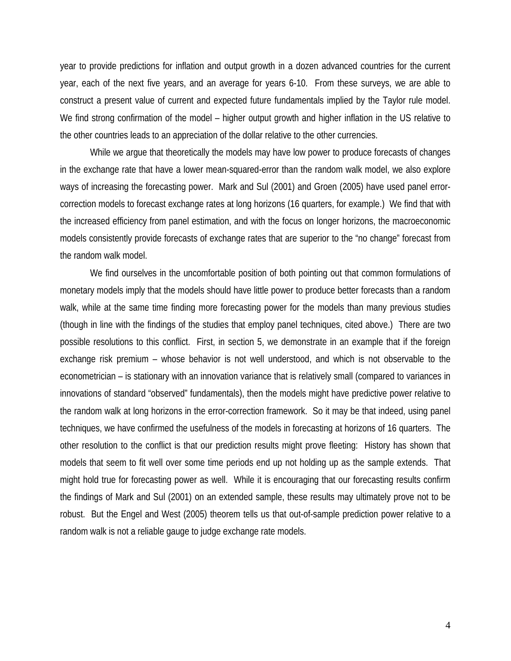year to provide predictions for inflation and output growth in a dozen advanced countries for the current year, each of the next five years, and an average for years 6-10. From these surveys, we are able to construct a present value of current and expected future fundamentals implied by the Taylor rule model. We find strong confirmation of the model – higher output growth and higher inflation in the US relative to the other countries leads to an appreciation of the dollar relative to the other currencies.

 While we argue that theoretically the models may have low power to produce forecasts of changes in the exchange rate that have a lower mean-squared-error than the random walk model, we also explore ways of increasing the forecasting power. Mark and Sul (2001) and Groen (2005) have used panel errorcorrection models to forecast exchange rates at long horizons (16 quarters, for example.) We find that with the increased efficiency from panel estimation, and with the focus on longer horizons, the macroeconomic models consistently provide forecasts of exchange rates that are superior to the "no change" forecast from the random walk model.

 We find ourselves in the uncomfortable position of both pointing out that common formulations of monetary models imply that the models should have little power to produce better forecasts than a random walk, while at the same time finding more forecasting power for the models than many previous studies (though in line with the findings of the studies that employ panel techniques, cited above.) There are two possible resolutions to this conflict. First, in section 5, we demonstrate in an example that if the foreign exchange risk premium – whose behavior is not well understood, and which is not observable to the econometrician – is stationary with an innovation variance that is relatively small (compared to variances in innovations of standard "observed" fundamentals), then the models might have predictive power relative to the random walk at long horizons in the error-correction framework. So it may be that indeed, using panel techniques, we have confirmed the usefulness of the models in forecasting at horizons of 16 quarters. The other resolution to the conflict is that our prediction results might prove fleeting: History has shown that models that seem to fit well over some time periods end up not holding up as the sample extends. That might hold true for forecasting power as well. While it is encouraging that our forecasting results confirm the findings of Mark and Sul (2001) on an extended sample, these results may ultimately prove not to be robust. But the Engel and West (2005) theorem tells us that out-of-sample prediction power relative to a random walk is not a reliable gauge to judge exchange rate models.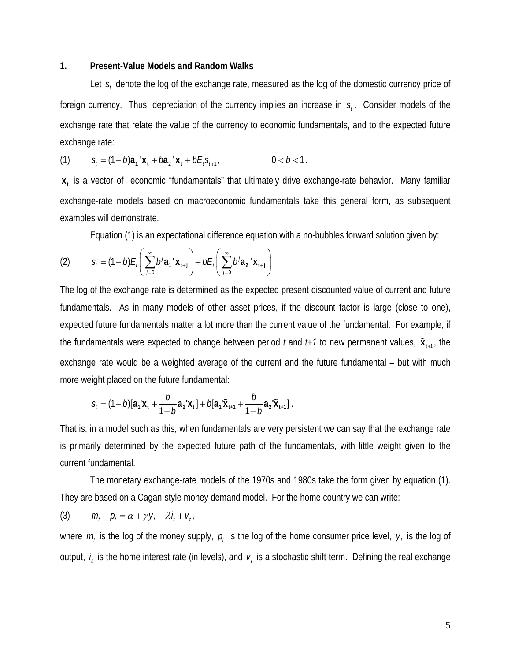# **1. Present-Value Models and Random Walks**

Let *s*, denote the log of the exchange rate, measured as the log of the domestic currency price of foreign currency. Thus, depreciation of the currency implies an increase in  $s<sub>i</sub>$ . Consider models of the exchange rate that relate the value of the currency to economic fundamentals, and to the expected future exchange rate:

(1) 
$$
S_t = (1 - b)a_1' x_t + b a_2' x_t + b E_t S_{t+1}, \qquad 0 < b < 1.
$$

**x**<sub>t</sub> is a vector of economic "fundamentals" that ultimately drive exchange-rate behavior. Many familiar exchange-rate models based on macroeconomic fundamentals take this general form, as subsequent examples will demonstrate.

Equation (1) is an expectational difference equation with a no-bubbles forward solution given by:

(2) 
$$
S_t = (1-b)E_t \left( \sum_{j=0}^{\infty} b^j \mathbf{a_1}^{\mathsf{T}} \mathbf{X}_{t+j} \right) + bE_t \left( \sum_{j=0}^{\infty} b^j \mathbf{a_2}^{\mathsf{T}} \mathbf{X}_{t+j} \right).
$$

The log of the exchange rate is determined as the expected present discounted value of current and future fundamentals. As in many models of other asset prices, if the discount factor is large (close to one), expected future fundamentals matter a lot more than the current value of the fundamental. For example, if the fundamentals were expected to change between period *t* and  $t+1$  to new permanent values,  $\tilde{\mathbf{x}}_{t+1}$ , the exchange rate would be a weighted average of the current and the future fundamental – but with much more weight placed on the future fundamental:

$$
S_t = (1 - b)[\mathbf{a}_1' \mathbf{x}_1 + \frac{b}{1 - b} \mathbf{a}_2' \mathbf{x}_1] + b[\mathbf{a}_1' \tilde{\mathbf{x}}_{t+1} + \frac{b}{1 - b} \mathbf{a}_2' \tilde{\mathbf{x}}_{t+1}].
$$

That is, in a model such as this, when fundamentals are very persistent we can say that the exchange rate is primarily determined by the expected future path of the fundamentals, with little weight given to the current fundamental.

 The monetary exchange-rate models of the 1970s and 1980s take the form given by equation (1). They are based on a Cagan-style money demand model. For the home country we can write:

$$
(3) \qquad m_t - p_t = \alpha + \gamma y_t - \lambda i_t + v_t,
$$

where  $m_t$  is the log of the money supply,  $p_t$  is the log of the home consumer price level,  $y_t$  is the log of output,  $i_t$  is the home interest rate (in levels), and  $v_t$  is a stochastic shift term. Defining the real exchange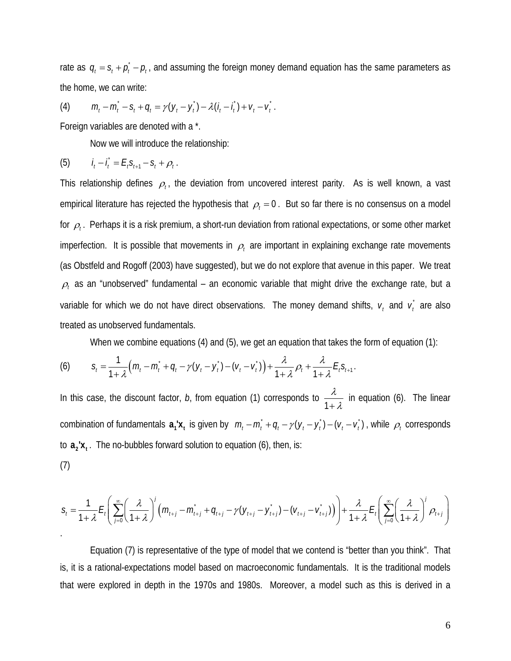rate as  $q_t = s_t + \rho_t^* - \rho_t$ , and assuming the foreign money demand equation has the same parameters as the home, we can write:

(4) 
$$
m_t - m_t - s_t + q_t = \gamma (y_t - y_t) - \lambda (i_t - i_t) + v_t - v_t.
$$

Foreign variables are denoted with a \*.

Now we will introduce the relationship:

(5) 
$$
i_t - \hat{i}_t = E_t S_{t+1} - S_t + \rho_t.
$$

This relationship defines  $\rho_t$ , the deviation from uncovered interest parity. As is well known, a vast empirical literature has rejected the hypothesis that  $\rho_t = 0$ . But so far there is no consensus on a model for <sup>ρ</sup>*<sup>t</sup>* . Perhaps it is a risk premium, a short-run deviation from rational expectations, or some other market imperfection. It is possible that movements in  $\rho_t$  are important in explaining exchange rate movements (as Obstfeld and Rogoff (2003) have suggested), but we do not explore that avenue in this paper. We treat  $\rho_t$  as an "unobserved" fundamental – an economic variable that might drive the exchange rate, but a variable for which we do not have direct observations. The money demand shifts,  $v_t$  and  $v_t$  are also treated as unobserved fundamentals.

When we combine equations (4) and (5), we get an equation that takes the form of equation (1):

(6) 
$$
S_t = \frac{1}{1+\lambda} \Big( m_t - m_t + q_t - \gamma (y_t - y_t) - (v_t - v_t) \Big) + \frac{\lambda}{1+\lambda} \rho_t + \frac{\lambda}{1+\lambda} E_t S_{t+1}.
$$

In this case, the discount factor, *b*, from equation (1) corresponds to  $\frac{\lambda}{1+1}$  $+ \lambda$  in equation (6). The linear combination of fundamentals  $a_1'x_t$  is given by  $m_t - m_t + q_t - \gamma(y_t - y_t) - (v_t - v_t)$ , while  $\rho_t$  corresponds to  $a_2$ '**x**<sub>t</sub>. The no-bubbles forward solution to equation (6), then, is:  $(7)$ 

$$
(\prime)
$$

$$
S_t = \frac{1}{1+\lambda} E_t \left( \sum_{j=0}^{\infty} \left( \frac{\lambda}{1+\lambda} \right)^j \left( m_{t+j} - m_{t+j} + q_{t+j} - \gamma (y_{t+j} - y_{t+j}) - (v_{t+j} - v_{t+j}) \right) \right) + \frac{\lambda}{1+\lambda} E_t \left( \sum_{j=0}^{\infty} \left( \frac{\lambda}{1+\lambda} \right)^j \rho_{t+j} \right)
$$

 Equation (7) is representative of the type of model that we contend is "better than you think". That is, it is a rational-expectations model based on macroeconomic fundamentals. It is the traditional models that were explored in depth in the 1970s and 1980s. Moreover, a model such as this is derived in a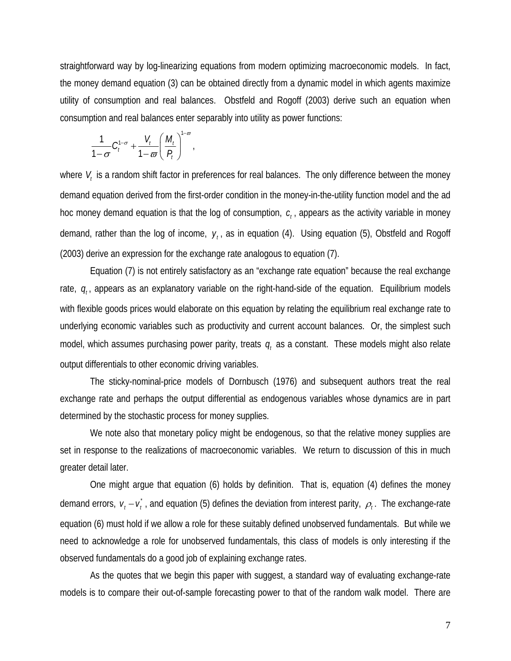straightforward way by log-linearizing equations from modern optimizing macroeconomic models. In fact, the money demand equation (3) can be obtained directly from a dynamic model in which agents maximize utility of consumption and real balances. Obstfeld and Rogoff (2003) derive such an equation when consumption and real balances enter separably into utility as power functions:

$$
\frac{1}{1-\sigma}C_t^{1-\sigma}+\frac{V_t}{1-\varpi}\left(\frac{M_t}{P_t}\right)^{1-\varpi},
$$

where  $V_t$  is a random shift factor in preferences for real balances. The only difference between the money demand equation derived from the first-order condition in the money-in-the-utility function model and the ad hoc money demand equation is that the log of consumption,  $c_i$ , appears as the activity variable in money demand, rather than the log of income,  $y_t$ , as in equation (4). Using equation (5), Obstfeld and Rogoff (2003) derive an expression for the exchange rate analogous to equation (7).

 Equation (7) is not entirely satisfactory as an "exchange rate equation" because the real exchange rate,  $q_t$ , appears as an explanatory variable on the right-hand-side of the equation. Equilibrium models with flexible goods prices would elaborate on this equation by relating the equilibrium real exchange rate to underlying economic variables such as productivity and current account balances. Or, the simplest such model, which assumes purchasing power parity, treats  $q_t$  as a constant. These models might also relate output differentials to other economic driving variables.

 The sticky-nominal-price models of Dornbusch (1976) and subsequent authors treat the real exchange rate and perhaps the output differential as endogenous variables whose dynamics are in part determined by the stochastic process for money supplies.

We note also that monetary policy might be endogenous, so that the relative money supplies are set in response to the realizations of macroeconomic variables. We return to discussion of this in much greater detail later.

 One might argue that equation (6) holds by definition. That is, equation (4) defines the money demand errors,  $v_t - v_t^*$ , and equation (5) defines the deviation from interest parity,  $\rho_t$ . The exchange-rate equation (6) must hold if we allow a role for these suitably defined unobserved fundamentals. But while we need to acknowledge a role for unobserved fundamentals, this class of models is only interesting if the observed fundamentals do a good job of explaining exchange rates.

 As the quotes that we begin this paper with suggest, a standard way of evaluating exchange-rate models is to compare their out-of-sample forecasting power to that of the random walk model. There are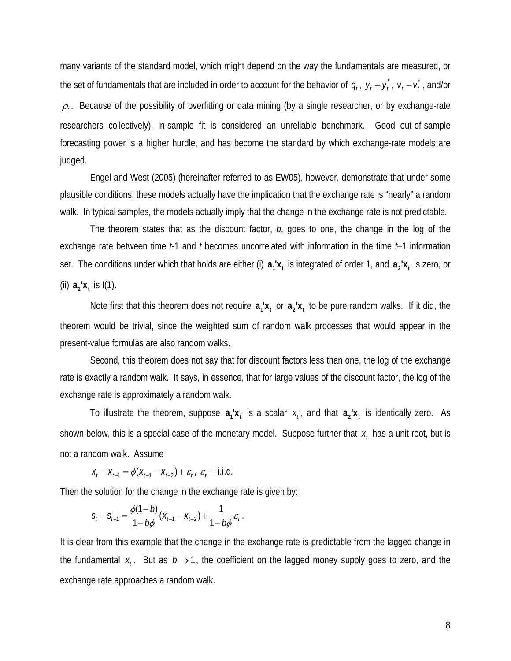many variants of the standard model, which might depend on the way the fundamentals are measured, or the set of fundamentals that are included in order to account for the behavior of  $q_t$ ,  $y_t - y_t^*$ ,  $v_t - v_t^*$ , and/or  $\rho_t$ . Because of the possibility of overfitting or data mining (by a single researcher, or by exchange-rate researchers collectively), in-sample fit is considered an unreliable benchmark. Good out-of-sample forecasting power is a higher hurdle, and has become the standard by which exchange-rate models are judged.

 Engel and West (2005) (hereinafter referred to as EW05), however, demonstrate that under some plausible conditions, these models actually have the implication that the exchange rate is "nearly" a random walk. In typical samples, the models actually imply that the change in the exchange rate is not predictable.

 The theorem states that as the discount factor, *b*, goes to one, the change in the log of the exchange rate between time *t*-1 and *t* becomes uncorrelated with information in the time *t*–1 information set. The conditions under which that holds are either (i)  $a_1x_t$  is integrated of order 1, and  $a_2x_t$  is zero, or (ii)  $a_2$ '**x**, is  $I(1)$ .

Note first that this theorem does not require  $a_1x_1$  or  $a_2x_1$  to be pure random walks. If it did, the theorem would be trivial, since the weighted sum of random walk processes that would appear in the present-value formulas are also random walks.

 Second, this theorem does not say that for discount factors less than one, the log of the exchange rate is exactly a random walk. It says, in essence, that for large values of the discount factor, the log of the exchange rate is approximately a random walk.

To illustrate the theorem, suppose  $a_1x_i$  is a scalar  $x_i$ , and that  $a_2x_i$  is identically zero. As shown below, this is a special case of the monetary model. Suppose further that  $x_t$  has a unit root, but is not a random walk. Assume

 $X_t - X_{t-1} = \phi(X_{t-1} - X_{t-2}) + \varepsilon_t, \quad \varepsilon_t \sim 1.1$ .d.

Then the solution for the change in the exchange rate is given by:

$$
S_t - S_{t-1} = \frac{\phi(1-b)}{1-b\phi}(X_{t-1} - X_{t-2}) + \frac{1}{1-b\phi}\varepsilon_t.
$$

It is clear from this example that the change in the exchange rate is predictable from the lagged change in the fundamental  $x_i$ . But as  $b \rightarrow 1$ , the coefficient on the lagged money supply goes to zero, and the exchange rate approaches a random walk.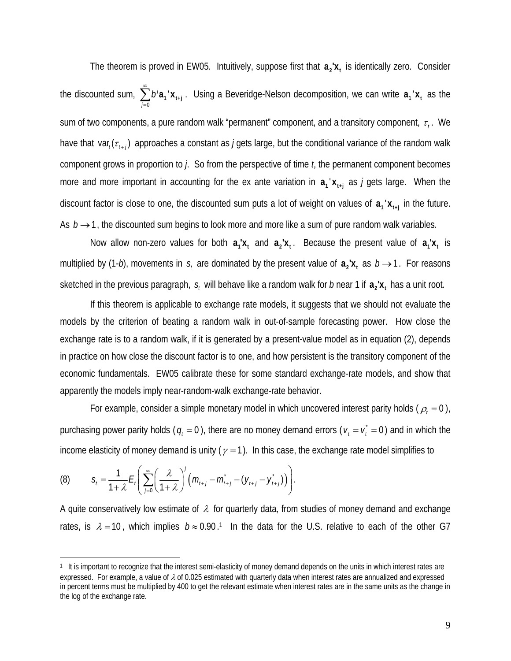The theorem is proved in EW05. Intuitively, suppose first that  $a_2x_t$  is identically zero. Consider the discounted sum, 0  $b^j$ a<sub>1</sub>' *j* ∞  $\sum_{j=0}$   $b^j a_1^{\dagger} x_{t+j}^{\dagger}$ . Using a Beveridge-Nelson decomposition, we can write  $a_1^{\dagger} x_t^{\dagger}$  as the sum of two components, a pure random walk "permanent" component, and a transitory component, τ<sub>ι</sub>. We have that var<sub> $i$ </sub>  $(\tau_{i+1})$  approaches a constant as *j* gets large, but the conditional variance of the random walk component grows in proportion to *j*. So from the perspective of time *t*, the permanent component becomes more and more important in accounting for the ex ante variation in  $a_1' x_{t+1}$  as *j* gets large. When the discount factor is close to one, the discounted sum puts a lot of weight on values of  $a_1 x_{t+1}$  in the future. As  $b \rightarrow 1$ , the discounted sum begins to look more and more like a sum of pure random walk variables.

Now allow non-zero values for both  $a_1 x_1$  and  $a_2 x_1$ . Because the present value of  $a_1 x_1$  is multiplied by (1-*b*), movements in  $s_t$  are dominated by the present value of  $a_2x_t$  as  $b \rightarrow 1$ . For reasons sketched in the previous paragraph,  $s_t$  will behave like a random walk for *b* near 1 if  $a_2$ ' $x_t$ , has a unit root.

 If this theorem is applicable to exchange rate models, it suggests that we should not evaluate the models by the criterion of beating a random walk in out-of-sample forecasting power. How close the exchange rate is to a random walk, if it is generated by a present-value model as in equation (2), depends in practice on how close the discount factor is to one, and how persistent is the transitory component of the economic fundamentals. EW05 calibrate these for some standard exchange-rate models, and show that apparently the models imply near-random-walk exchange-rate behavior.

For example, consider a simple monetary model in which uncovered interest parity holds ( $\rho_t = 0$ ), purchasing power parity holds ( $q_t = 0$ ), there are no money demand errors ( $v_t = v_t^* = 0$ ) and in which the income elasticity of money demand is unity ( $\gamma = 1$ ). In this case, the exchange rate model simplifies to

(8) 
$$
S_{t} = \frac{1}{1+\lambda} E_{t} \left( \sum_{j=0}^{\infty} \left( \frac{\lambda}{1+\lambda} \right)^{j} \left( m_{t+j} - m_{t+j} \right) - \left( y_{t+j} - y_{t+j} \right) \right).
$$

 $\overline{a}$ 

A quite conservatively low estimate of  $\lambda$  for quarterly data, from studies of money demand and exchange rates, is  $\lambda = 10$ , which implies  $b \approx 0.90$ <sup>1</sup> In the data for the U.S. relative to each of the other G7

<sup>1</sup> It is important to recognize that the interest semi-elasticity of money demand depends on the units in which interest rates are expressed. For example, a value of  $\lambda$  of 0.025 estimated with quarterly data when interest rates are annualized and expressed in percent terms must be multiplied by 400 to get the relevant estimate when interest rates are in the same units as the change in the log of the exchange rate.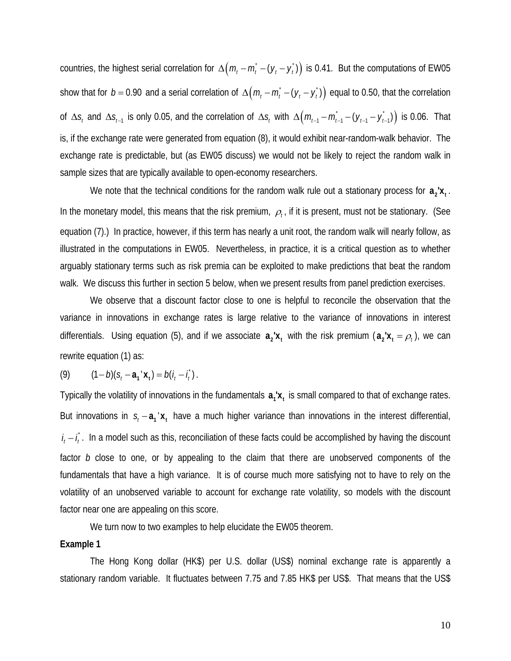countries, the highest serial correlation for  $\Delta ( m_t - m_t + ( y_t - y_t) )$  is 0.41. But the computations of EW05 show that for  $b = 0.90$  and a serial correlation of  $\Delta ( m_t - m_t - (y_t - y_t) )$  equal to 0.50, that the correlation of  $\Delta s$  and  $\Delta s$ <sub> $t-1$ </sub> is only 0.05, and the correlation of  $\Delta s$  with  $\Delta (m_{t-1} - m_{t-1} - (y_{t-1} - y_{t-1}^*))$  is 0.06. That is, if the exchange rate were generated from equation (8), it would exhibit near-random-walk behavior. The exchange rate is predictable, but (as EW05 discuss) we would not be likely to reject the random walk in sample sizes that are typically available to open-economy researchers.

We note that the technical conditions for the random walk rule out a stationary process for  $a_2'x_1$ . In the monetary model, this means that the risk premium,  $\rho_t$ , if it is present, must not be stationary. (See equation (7).) In practice, however, if this term has nearly a unit root, the random walk will nearly follow, as illustrated in the computations in EW05. Nevertheless, in practice, it is a critical question as to whether arguably stationary terms such as risk premia can be exploited to make predictions that beat the random walk. We discuss this further in section 5 below, when we present results from panel prediction exercises.

 We observe that a discount factor close to one is helpful to reconcile the observation that the variance in innovations in exchange rates is large relative to the variance of innovations in interest differentials. Using equation (5), and if we associate  $a_2'x_t$  with the risk premium  $(a_2'x_t = \rho_t)$ , we can rewrite equation (1) as:

(9)  $(1 - b)(s<sub>i</sub> - a<sub>i</sub><sup>+</sup> x<sub>i</sub>) = b(i<sub>i</sub> - i<sub>i</sub><sup>+</sup>).$ 

Typically the volatility of innovations in the fundamentals  $a_1 x_1$  is small compared to that of exchange rates. But innovations in  $s_t - a_1 \cdot x_t$  have a much higher variance than innovations in the interest differential,  $i_t - i_t$ . In a model such as this, reconciliation of these facts could be accomplished by having the discount factor *b* close to one, or by appealing to the claim that there are unobserved components of the fundamentals that have a high variance. It is of course much more satisfying not to have to rely on the volatility of an unobserved variable to account for exchange rate volatility, so models with the discount factor near one are appealing on this score.

We turn now to two examples to help elucidate the EW05 theorem.

### **Example 1**

 The Hong Kong dollar (HK\$) per U.S. dollar (US\$) nominal exchange rate is apparently a stationary random variable. It fluctuates between 7.75 and 7.85 HK\$ per US\$. That means that the US\$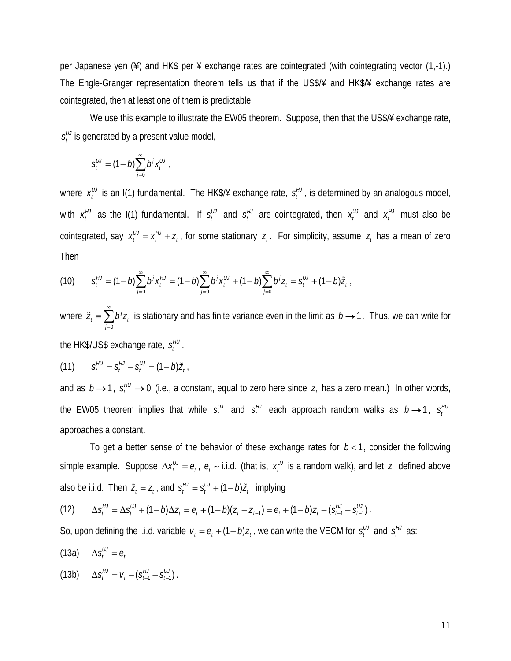per Japanese yen (¥) and HK\$ per ¥ exchange rates are cointegrated (with cointegrating vector (1,-1).) The Engle-Granger representation theorem tells us that if the US\$/¥ and HK\$/¥ exchange rates are cointegrated, then at least one of them is predictable.

We use this example to illustrate the EW05 theorem. Suppose, then that the US\$/¥ exchange rate,  $s_t^{\mu\nu}$  is generated by a present value model,

$$
s_t^{UU} = (1-b)\sum_{j=0}^{\infty} b^j x_t^{UU},
$$

where  $x_t^U$  is an I(1) fundamental. The HK\$/¥ exchange rate,  $s_t^H$ , is determined by an analogous model, with  $x_t^H$  as the I(1) fundamental. If  $s_t^H$  and  $s_t^H$  are cointegrated, then  $x_t^H$  and  $x_t^H$  must also be cointegrated, say  $x_t^{\mu\nu} = x_t^{\mu\nu} + z_t$ , for some stationary  $z_t$ . For simplicity, assume  $z_t$  has a mean of zero Then

(10) 
$$
S_t^{\mu} = (1-b)\sum_{j=0}^{\infty} b^j x_t^{\mu} = (1-b)\sum_{j=0}^{\infty} b^j x_t^{\mu} + (1-b)\sum_{j=0}^{\infty} b^j z_t = S_t^{\mu} + (1-b)\tilde{z}_t.
$$

where 0 *j*  $\tilde{Z}_t \equiv \sum b^j Z_i$ *j* ∞  $\tilde{z}_t = \sum_{j=0} b^j z_j$  is stationary and has finite variance even in the limit as  $b \to 1$ . Thus, we can write for the HK\$/US\$ exchange rate, *HU <sup>t</sup> s* .

(11) 
$$
S_t^{HU} = S_t^{HU} - S_t^{UU} = (1-b)\tilde{Z}_t.
$$

and as  $b \rightarrow 1$ ,  $s_t^{\mu\nu} \rightarrow 0$  (i.e., a constant, equal to zero here since  $z_t$  has a zero mean.) In other words, the EW05 theorem implies that while  $s_t^{\mu\nu}$  and  $s_t^{\mu\nu}$  each approach random walks as  $b\rightarrow 1$ ,  $s_t^{\mu\nu}$ approaches a constant.

To get a better sense of the behavior of these exchange rates for  $b < 1$ , consider the following simple example. Suppose  $\Delta x_t^{\mu\nu} = e_t$ ,  $e_t \sim i.i.d.$  (that is,  $x_t^{\mu\nu}$  is a random walk), and let  $z_t$  defined above also be i.i.d. Then  $\tilde{z}_t = z_t$ , and  $s_t^{\mu j} = s_t^{\mu j} + (1-b)\tilde{z}_t$ , implying

(12) 
$$
\Delta s_l^{HJ} = \Delta s_l^{UJ} + (1-b)\Delta z_l = e_l + (1-b)(z_l - z_{l-1}) = e_l + (1-b)z_l - (s_{l-1}^{HJ} - s_{l-1}^{UJ}).
$$

So, upon defining the i.i.d. variable  $v_t = e_t + (1 - b)z_t$ , we can write the VECM for  $s_t^{\mu\nu}$  and  $s_t^{\mu\nu}$  as:

 $(13a)$   $\Delta s_t^{\mu\nu} = e_t^{\mu\nu}$ 

(13b) 
$$
\Delta S_t^{HJ} = V_t - (S_{t-1}^{HJ} - S_{t-1}^{UJ}).
$$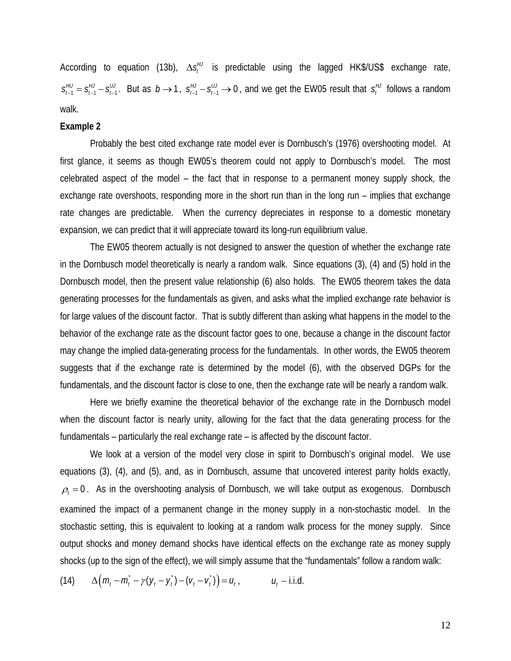According to equation (13b),  $\Delta s_t^{\mu\nu}$  is predictable using the lagged HK\$/US\$ exchange rate,  $1 - 3<sub>t-1</sub> - 3<sub>t-1</sub>$  $S_{t-1}^{HU} = S_{t-1}^{HJ} - S_{t-1}^{HJ}$ . But as  $b \to 1$ ,  $S_{t-1}^{HJ} - S_{t-1}^{HJ} \to 0$ , and we get the EW05 result that  $S_t^{HJ}$  follows a random walk.

#### **Example 2**

 Probably the best cited exchange rate model ever is Dornbusch's (1976) overshooting model. At first glance, it seems as though EW05's theorem could not apply to Dornbusch's model. The most celebrated aspect of the model – the fact that in response to a permanent money supply shock, the exchange rate overshoots, responding more in the short run than in the long run – implies that exchange rate changes are predictable. When the currency depreciates in response to a domestic monetary expansion, we can predict that it will appreciate toward its long-run equilibrium value.

 The EW05 theorem actually is not designed to answer the question of whether the exchange rate in the Dornbusch model theoretically is nearly a random walk. Since equations (3), (4) and (5) hold in the Dornbusch model, then the present value relationship (6) also holds. The EW05 theorem takes the data generating processes for the fundamentals as given, and asks what the implied exchange rate behavior is for large values of the discount factor. That is subtly different than asking what happens in the model to the behavior of the exchange rate as the discount factor goes to one, because a change in the discount factor may change the implied data-generating process for the fundamentals. In other words, the EW05 theorem suggests that if the exchange rate is determined by the model (6), with the observed DGPs for the fundamentals, and the discount factor is close to one, then the exchange rate will be nearly a random walk.

 Here we briefly examine the theoretical behavior of the exchange rate in the Dornbusch model when the discount factor is nearly unity, allowing for the fact that the data generating process for the fundamentals – particularly the real exchange rate – is affected by the discount factor.

We look at a version of the model very close in spirit to Dornbusch's original model. We use equations (3), (4), and (5), and, as in Dornbusch, assume that uncovered interest parity holds exactly,  $\rho_t = 0$ . As in the overshooting analysis of Dornbusch, we will take output as exogenous. Dornbusch examined the impact of a permanent change in the money supply in a non-stochastic model. In the stochastic setting, this is equivalent to looking at a random walk process for the money supply. Since output shocks and money demand shocks have identical effects on the exchange rate as money supply shocks (up to the sign of the effect), we will simply assume that the "fundamentals" follow a random walk:

(14)  $\Delta ( m_t - m_t \nightharpoonup y(y_t - y_t) - (v_t - v_t)) = u_t,$   $u_t \sim$  i.i.d.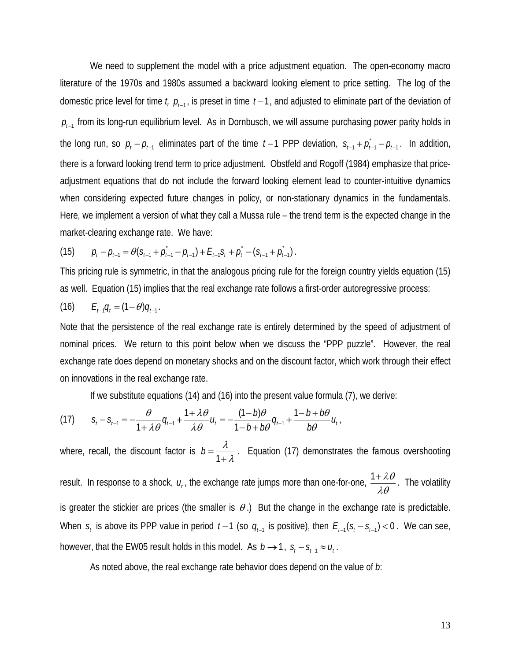We need to supplement the model with a price adjustment equation. The open-economy macro literature of the 1970s and 1980s assumed a backward looking element to price setting. The log of the domestic price level for time *t,*  $p_{t-1}$ , is preset in time  $t-1$ , and adjusted to eliminate part of the deviation of *p*<sub> $-1$ </sub> from its long-run equilibrium level. As in Dornbusch, we will assume purchasing power parity holds in the long run, so  $p_t - p_{t-1}$  eliminates part of the time  $t-1$  PPP deviation,  $s_{t-1} + \rho_{t-1} - \rho_{t-1}$ . In addition, there is a forward looking trend term to price adjustment. Obstfeld and Rogoff (1984) emphasize that priceadjustment equations that do not include the forward looking element lead to counter-intuitive dynamics when considering expected future changes in policy, or non-stationary dynamics in the fundamentals. Here, we implement a version of what they call a Mussa rule – the trend term is the expected change in the market-clearing exchange rate. We have:

(15) 
$$
p_{t} - p_{t-1} = \theta(s_{t-1} + p_{t-1} - p_{t-1}) + E_{t-1} s_{t} + p_{t}^{*} - (s_{t-1} + p_{t-1}^{*}).
$$

This pricing rule is symmetric, in that the analogous pricing rule for the foreign country yields equation (15) as well. Equation (15) implies that the real exchange rate follows a first-order autoregressive process:

(16) 
$$
E_{t-1}q_t = (1-\theta)q_{t-1}.
$$

Note that the persistence of the real exchange rate is entirely determined by the speed of adjustment of nominal prices. We return to this point below when we discuss the "PPP puzzle". However, the real exchange rate does depend on monetary shocks and on the discount factor, which work through their effect on innovations in the real exchange rate.

If we substitute equations (14) and (16) into the present value formula (7), we derive:

(17) 
$$
S_t - S_{t-1} = -\frac{\theta}{1 + \lambda \theta} q_{t-1} + \frac{1 + \lambda \theta}{\lambda \theta} u_t = -\frac{(1 - b)\theta}{1 - b + b\theta} q_{t-1} + \frac{1 - b + b\theta}{b\theta} u_t,
$$

where, recall, the discount factor is  $b = \frac{\lambda}{1 + \lambda}$ . Equation (17) demonstrates the famous overshooting result. In response to a shock,  $u_t$ , the exchange rate jumps more than one-for-one,  $\frac{1+\lambda\theta}{\lambda\theta}$ . The volatility is greater the stickier are prices (the smaller is  $\theta$ .) But the change in the exchange rate is predictable. When  $s_t$  is above its PPP value in period  $t-1$  (so  $q_{t-1}$  is positive), then  $E_{t-1}(s_t - s_{t-1}) < 0$ . We can see, however, that the EW05 result holds in this model. As  $b \rightarrow 1$ ,  $s_t - s_{t-1} \approx u_t$ .

As noted above, the real exchange rate behavior does depend on the value of *b*: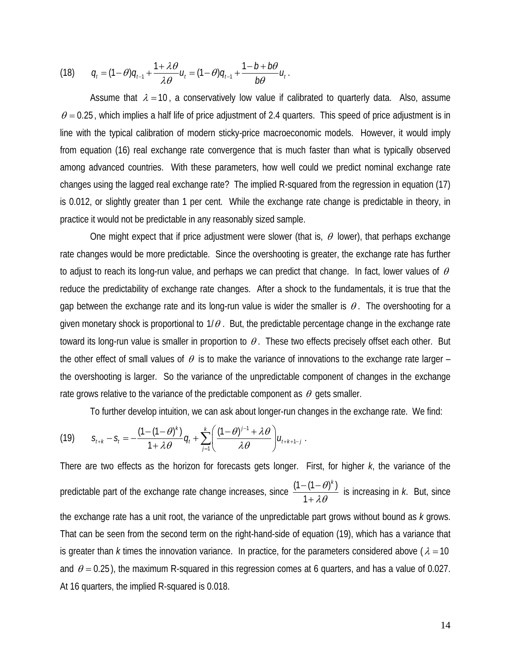(18) 
$$
q_t = (1 - \theta)q_{t-1} + \frac{1 + \lambda \theta}{\lambda \theta} u_t = (1 - \theta)q_{t-1} + \frac{1 - b + b\theta}{b\theta} u_t
$$
.

Assume that  $\lambda = 10$ , a conservatively low value if calibrated to quarterly data. Also, assume  $\theta$  = 0.25, which implies a half life of price adjustment of 2.4 quarters. This speed of price adjustment is in line with the typical calibration of modern sticky-price macroeconomic models. However, it would imply from equation (16) real exchange rate convergence that is much faster than what is typically observed among advanced countries. With these parameters, how well could we predict nominal exchange rate changes using the lagged real exchange rate? The implied R-squared from the regression in equation (17) is 0.012, or slightly greater than 1 per cent. While the exchange rate change is predictable in theory, in practice it would not be predictable in any reasonably sized sample.

One might expect that if price adjustment were slower (that is,  $\theta$  lower), that perhaps exchange rate changes would be more predictable. Since the overshooting is greater, the exchange rate has further to adjust to reach its long-run value, and perhaps we can predict that change. In fact, lower values of  $\theta$ reduce the predictability of exchange rate changes. After a shock to the fundamentals, it is true that the gap between the exchange rate and its long-run value is wider the smaller is  $\theta$ . The overshooting for a given monetary shock is proportional to  $1/\theta$ . But, the predictable percentage change in the exchange rate toward its long-run value is smaller in proportion to  $\theta$ . These two effects precisely offset each other. But the other effect of small values of  $\theta$  is to make the variance of innovations to the exchange rate larger – the overshooting is larger. So the variance of the unpredictable component of changes in the exchange rate grows relative to the variance of the predictable component as  $\theta$  gets smaller.

To further develop intuition, we can ask about longer-run changes in the exchange rate. We find:

(19) 
$$
S_{t+k} - S_t = -\frac{(1 - (1 - \theta)^k)}{1 + \lambda \theta} q_t + \sum_{j=1}^k \left( \frac{(1 - \theta)^{j-1} + \lambda \theta}{\lambda \theta} \right) u_{t+k+1-j}.
$$

There are two effects as the horizon for forecasts gets longer. First, for higher *k*, the variance of the predictable part of the exchange rate change increases, since  $\frac{(1-(1-\theta)^k)}{k}$ 1  $\theta$ <sup> $k$ </sup> λθ  $-(1-$ + is increasing in *k*. But, since the exchange rate has a unit root, the variance of the unpredictable part grows without bound as *k* grows. That can be seen from the second term on the right-hand-side of equation (19), which has a variance that is greater than *k* times the innovation variance. In practice, for the parameters considered above ( $\lambda = 10$ ) and  $\theta$  = 0.25), the maximum R-squared in this regression comes at 6 quarters, and has a value of 0.027. At 16 quarters, the implied R-squared is 0.018.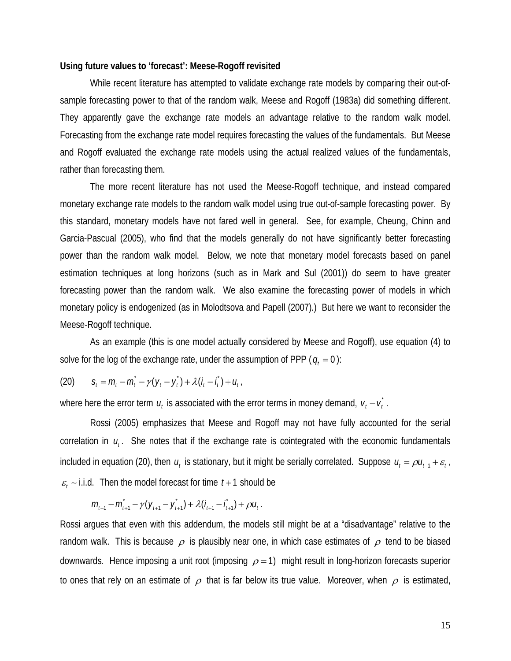#### **Using future values to 'forecast': Meese-Rogoff revisited**

While recent literature has attempted to validate exchange rate models by comparing their out-ofsample forecasting power to that of the random walk, Meese and Rogoff (1983a) did something different. They apparently gave the exchange rate models an advantage relative to the random walk model. Forecasting from the exchange rate model requires forecasting the values of the fundamentals. But Meese and Rogoff evaluated the exchange rate models using the actual realized values of the fundamentals, rather than forecasting them.

 The more recent literature has not used the Meese-Rogoff technique, and instead compared monetary exchange rate models to the random walk model using true out-of-sample forecasting power. By this standard, monetary models have not fared well in general. See, for example, Cheung, Chinn and Garcia-Pascual (2005), who find that the models generally do not have significantly better forecasting power than the random walk model. Below, we note that monetary model forecasts based on panel estimation techniques at long horizons (such as in Mark and Sul (2001)) do seem to have greater forecasting power than the random walk. We also examine the forecasting power of models in which monetary policy is endogenized (as in Molodtsova and Papell (2007).) But here we want to reconsider the Meese-Rogoff technique.

 As an example (this is one model actually considered by Meese and Rogoff), use equation (4) to solve for the log of the exchange rate, under the assumption of PPP ( $q_t = 0$ ):

(20) 
$$
S_t = m_t - m_t - \gamma (y_t - y_t) + \lambda (i_t - i_t) + u_t,
$$

where here the error term  $u_t$  is associated with the error terms in money demand,  $v_t - v_t^*$ .

 Rossi (2005) emphasizes that Meese and Rogoff may not have fully accounted for the serial correlation in  $u_i$ . She notes that if the exchange rate is cointegrated with the economic fundamentals included in equation (20), then  $u_t$  is stationary, but it might be serially correlated. Suppose  $u_t = \rho u_{t-1} + \varepsilon_t$ ,  $\varepsilon$ <sub>*i*</sub> ∼ i.i.d. Then the model forecast for time  $t+1$  should be

$$
m_{t+1} - m_{t+1}^* - \gamma (y_{t+1} - y_{t+1}^*) + \lambda (i_{t+1} - i_{t+1}^*) + \rho u_t^*.
$$

Rossi argues that even with this addendum, the models still might be at a "disadvantage" relative to the random walk. This is because  $\rho$  is plausibly near one, in which case estimates of  $\rho$  tend to be biased downwards. Hence imposing a unit root (imposing  $\rho = 1$ ) might result in long-horizon forecasts superior to ones that rely on an estimate of  $\rho$  that is far below its true value. Moreover, when  $\rho$  is estimated,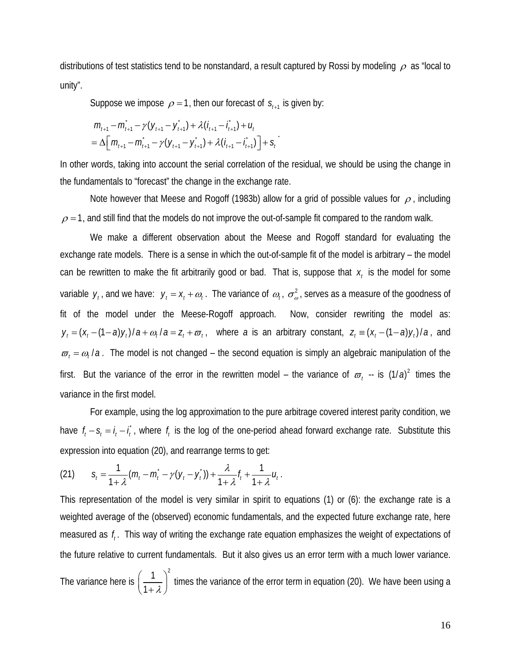distributions of test statistics tend to be nonstandard, a result captured by Rossi by modeling  $\rho$  as "local to unity".

Suppose we impose  $\rho = 1$ , then our forecast of  $s_{t+1}$  is given by:

$$
m_{l+1} - m_{l+1} - \gamma (y_{l+1} - y_{l+1}) + \lambda (i_{l+1} - i_{l+1}) + u_l
$$
  
=  $\Delta \Big[ m_{l+1} - m_{l+1} - \gamma (y_{l+1} - y_{l+1}) + \lambda (i_{l+1} - i_{l+1}) \Big] + s_l$ 

In other words, taking into account the serial correlation of the residual, we should be using the change in the fundamentals to "forecast" the change in the exchange rate.

.

Note however that Meese and Rogoff (1983b) allow for a grid of possible values for  $\rho$ , including  $\rho$  = 1, and still find that the models do not improve the out-of-sample fit compared to the random walk.

 We make a different observation about the Meese and Rogoff standard for evaluating the exchange rate models. There is a sense in which the out-of-sample fit of the model is arbitrary – the model can be rewritten to make the fit arbitrarily good or bad. That is, suppose that  $x_i$  is the model for some variable  $y_t$ , and we have:  $y_t = x_t + \omega_t$ . The variance of  $\omega_t$ ,  $\sigma^2_\omega$ , serves as a measure of the goodness of fit of the model under the Meese-Rogoff approach. Now, consider rewriting the model as:  $y_t = (x_t - (1 - a)y_t) / a + \omega_t / a = z_t + \overline{\omega}_t$ , where *a* is an arbitrary constant,  $z_t = (x_t - (1 - a)y_t) / a$ , and  $\sigma_t = \omega_t / a$ . The model is not changed – the second equation is simply an algebraic manipulation of the first. But the variance of the error in the rewritten model – the variance of  $\sigma_t$  -- is  $(1/a)^2$  times the variance in the first model.

 For example, using the log approximation to the pure arbitrage covered interest parity condition, we have  $f_t - s_t = i_t - i_t$ , where  $f_t$  is the log of the one-period ahead forward exchange rate. Substitute this expression into equation (20), and rearrange terms to get:

(21) 
$$
S_t = \frac{1}{1+\lambda}(m_t - m_t - \gamma(y_t - y_t)) + \frac{\lambda}{1+\lambda}f_t + \frac{1}{1+\lambda}u_t.
$$

This representation of the model is very similar in spirit to equations (1) or (6): the exchange rate is a weighted average of the (observed) economic fundamentals, and the expected future exchange rate, here measured as *<sup>t</sup> f* . This way of writing the exchange rate equation emphasizes the weight of expectations of the future relative to current fundamentals. But it also gives us an error term with a much lower variance. The variance here is 1  $\bigg\}^2$  $\left(\frac{1}{1+\lambda}\right)^2$  times the variance of the error term in equation (20). We have been using a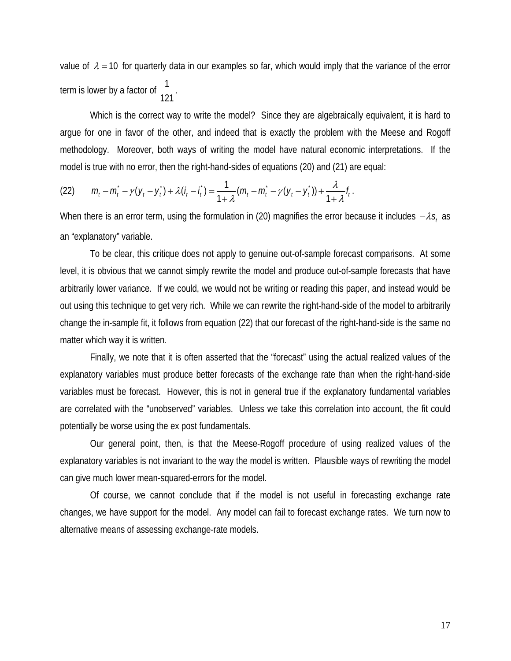value of  $\lambda = 10$  for quarterly data in our examples so far, which would imply that the variance of the error term is lower by a factor of  $\frac{1}{121}$ .

Which is the correct way to write the model? Since they are algebraically equivalent, it is hard to argue for one in favor of the other, and indeed that is exactly the problem with the Meese and Rogoff methodology. Moreover, both ways of writing the model have natural economic interpretations. If the model is true with no error, then the right-hand-sides of equations (20) and (21) are equal:

(22) 
$$
m_t - m_t - \gamma (y_t - y_t) + \lambda (t_t - t_t) = \frac{1}{1 + \lambda} (m_t - m_t - \gamma (y_t - y_t)) + \frac{\lambda}{1 + \lambda} t_t.
$$

When there is an error term, using the formulation in (20) magnifies the error because it includes  $-\lambda s$ , as an "explanatory" variable.

 To be clear, this critique does not apply to genuine out-of-sample forecast comparisons. At some level, it is obvious that we cannot simply rewrite the model and produce out-of-sample forecasts that have arbitrarily lower variance. If we could, we would not be writing or reading this paper, and instead would be out using this technique to get very rich. While we can rewrite the right-hand-side of the model to arbitrarily change the in-sample fit, it follows from equation (22) that our forecast of the right-hand-side is the same no matter which way it is written.

 Finally, we note that it is often asserted that the "forecast" using the actual realized values of the explanatory variables must produce better forecasts of the exchange rate than when the right-hand-side variables must be forecast. However, this is not in general true if the explanatory fundamental variables are correlated with the "unobserved" variables. Unless we take this correlation into account, the fit could potentially be worse using the ex post fundamentals.

 Our general point, then, is that the Meese-Rogoff procedure of using realized values of the explanatory variables is not invariant to the way the model is written. Plausible ways of rewriting the model can give much lower mean-squared-errors for the model.

 Of course, we cannot conclude that if the model is not useful in forecasting exchange rate changes, we have support for the model. Any model can fail to forecast exchange rates. We turn now to alternative means of assessing exchange-rate models.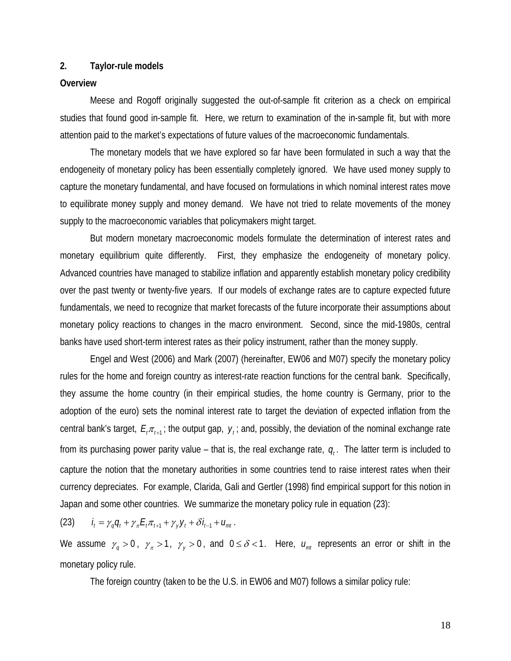# **2. Taylor-rule models**

# **Overview**

 Meese and Rogoff originally suggested the out-of-sample fit criterion as a check on empirical studies that found good in-sample fit. Here, we return to examination of the in-sample fit, but with more attention paid to the market's expectations of future values of the macroeconomic fundamentals.

 The monetary models that we have explored so far have been formulated in such a way that the endogeneity of monetary policy has been essentially completely ignored. We have used money supply to capture the monetary fundamental, and have focused on formulations in which nominal interest rates move to equilibrate money supply and money demand. We have not tried to relate movements of the money supply to the macroeconomic variables that policymakers might target.

 But modern monetary macroeconomic models formulate the determination of interest rates and monetary equilibrium quite differently. First, they emphasize the endogeneity of monetary policy. Advanced countries have managed to stabilize inflation and apparently establish monetary policy credibility over the past twenty or twenty-five years. If our models of exchange rates are to capture expected future fundamentals, we need to recognize that market forecasts of the future incorporate their assumptions about monetary policy reactions to changes in the macro environment. Second, since the mid-1980s, central banks have used short-term interest rates as their policy instrument, rather than the money supply.

 Engel and West (2006) and Mark (2007) (hereinafter, EW06 and M07) specify the monetary policy rules for the home and foreign country as interest-rate reaction functions for the central bank. Specifically, they assume the home country (in their empirical studies, the home country is Germany, prior to the adoption of the euro) sets the nominal interest rate to target the deviation of expected inflation from the central bank's target,  $E_i \pi_{i+1}$ ; the output gap,  $y_i$ ; and, possibly, the deviation of the nominal exchange rate from its purchasing power parity value – that is, the real exchange rate,  $q_i$ . The latter term is included to capture the notion that the monetary authorities in some countries tend to raise interest rates when their currency depreciates. For example, Clarida, Gali and Gertler (1998) find empirical support for this notion in Japan and some other countries. We summarize the monetary policy rule in equation (23):

(23)  $t_i = \gamma_q q_t + \gamma_\pi E_t \pi_{t+1} + \gamma_v y_t + \delta i_{t-1} + u_{mt}$ .

We assume  $\gamma_q > 0$ ,  $\gamma_{\pi} > 1$ ,  $\gamma_y > 0$ , and  $0 \le \delta < 1$ . Here,  $u_{mt}$  represents an error or shift in the monetary policy rule.

The foreign country (taken to be the U.S. in EW06 and M07) follows a similar policy rule: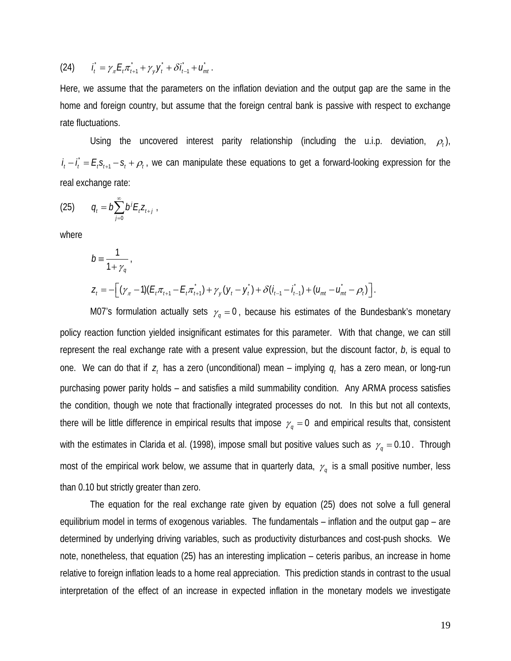(24) 
$$
\hat{I}_t = \gamma_\pi E_t \pi_{t+1}^* + \gamma_y \hat{Y}_t + \delta \hat{I}_{t-1} + \hat{U}_{mt}.
$$

Here, we assume that the parameters on the inflation deviation and the output gap are the same in the home and foreign country, but assume that the foreign central bank is passive with respect to exchange rate fluctuations.

Using the uncovered interest parity relationship (including the u.i.p. deviation,  $\rho_t$ ),  $i_t - i_t = E_t S_{t+1} - S_t + \rho_t$ , we can manipulate these equations to get a forward-looking expression for the real exchange rate:

(25) 
$$
q_t = b \sum_{j=0}^{\infty} b^j E_t Z_{t+j}.
$$

where

$$
b = \frac{1}{1 + \gamma_q},
$$
  
\n
$$
Z_t = -[(\gamma_{\pi} - 1)(E_t \pi_{t+1} - E_t \pi_{t+1}^*) + \gamma_y (y_t - y_t^*) + \delta (i_{t-1} - i_{t-1}) + (u_{mt} - u_{mt}^* - \rho_t)].
$$

M07's formulation actually sets  $\gamma_q = 0$ , because his estimates of the Bundesbank's monetary policy reaction function yielded insignificant estimates for this parameter. With that change, we can still represent the real exchange rate with a present value expression, but the discount factor, *b*, is equal to one. We can do that if  $z_t$  has a zero (unconditional) mean – implying  $q_t$  has a zero mean, or long-run purchasing power parity holds – and satisfies a mild summability condition. Any ARMA process satisfies the condition, though we note that fractionally integrated processes do not. In this but not all contexts, there will be little difference in empirical results that impose  $\gamma_q = 0$  and empirical results that, consistent with the estimates in Clarida et al. (1998), impose small but positive values such as  $\gamma_q = 0.10$ . Through most of the empirical work below, we assume that in quarterly data,  $\gamma_q$  is a small positive number, less than 0.10 but strictly greater than zero.

 The equation for the real exchange rate given by equation (25) does not solve a full general equilibrium model in terms of exogenous variables. The fundamentals – inflation and the output gap – are determined by underlying driving variables, such as productivity disturbances and cost-push shocks. We note, nonetheless, that equation (25) has an interesting implication – ceteris paribus, an increase in home relative to foreign inflation leads to a home real appreciation. This prediction stands in contrast to the usual interpretation of the effect of an increase in expected inflation in the monetary models we investigate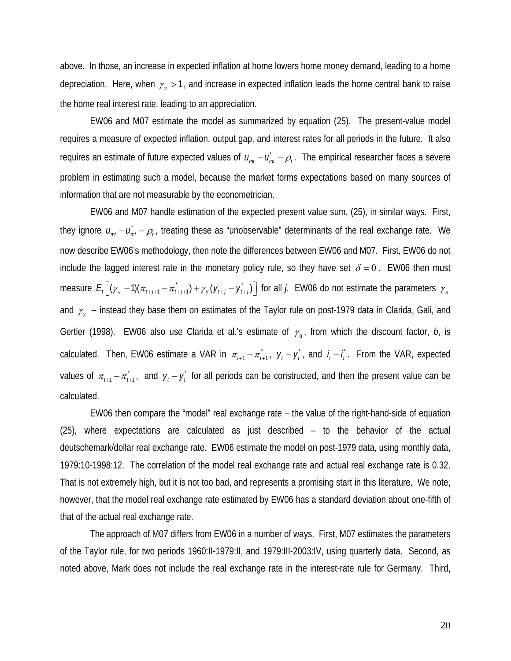above. In those, an increase in expected inflation at home lowers home money demand, leading to a home depreciation. Here, when  $\gamma_{\pi} > 1$ , and increase in expected inflation leads the home central bank to raise the home real interest rate, leading to an appreciation.

 EW06 and M07 estimate the model as summarized by equation (25). The present-value model requires a measure of expected inflation, output gap, and interest rates for all periods in the future. It also requires an estimate of future expected values of  $u_{mt} - u_{mt}$  –  $\rho_t$ . The empirical researcher faces a severe problem in estimating such a model, because the market forms expectations based on many sources of information that are not measurable by the econometrician.

 EW06 and M07 handle estimation of the expected present value sum, (25), in similar ways. First, they ignore  $u_{mt} - u_{mt} - \rho_t$ , treating these as "unobservable" determinants of the real exchange rate. We now describe EW06's methodology, then note the differences between EW06 and M07. First, EW06 do not include the lagged interest rate in the monetary policy rule, so they have set  $\delta = 0$ . EW06 then must measure  $E_t(\lfloor (\gamma_{\pi}-1)(\pi_{t+j+1}-\pi_{t+j+1})+\gamma_{y}(\gamma_{t+j}-\gamma_{t+j}^*)\rfloor$  for all *j*. EW06 do not estimate the parameters  $\gamma_{\pi}$ and  $\gamma_{v}$  -- instead they base them on estimates of the Taylor rule on post-1979 data in Clarida, Gali, and Gertler (1998). EW06 also use Clarida et al.'s estimate of  $\gamma_q$ , from which the discount factor, *b*, is calculated. Then, EW06 estimate a VAR in  $\pi_{t+1} - \pi_{t+1}^*$ ,  $y_t - y_t^*$ , and  $i_t - i_t^*$ . From the VAR, expected values of  $\pi_{t+1} - \pi_{t+1}$ , and  $y_t - y_t$  for all periods can be constructed, and then the present value can be calculated.

 EW06 then compare the "model" real exchange rate – the value of the right-hand-side of equation (25), where expectations are calculated as just described – to the behavior of the actual deutschemark/dollar real exchange rate. EW06 estimate the model on post-1979 data, using monthly data, 1979:10-1998:12. The correlation of the model real exchange rate and actual real exchange rate is 0.32. That is not extremely high, but it is not too bad, and represents a promising start in this literature. We note, however, that the model real exchange rate estimated by EW06 has a standard deviation about one-fifth of that of the actual real exchange rate.

 The approach of M07 differs from EW06 in a number of ways. First, M07 estimates the parameters of the Taylor rule, for two periods 1960:II-1979:II, and 1979:III-2003:IV, using quarterly data. Second, as noted above, Mark does not include the real exchange rate in the interest-rate rule for Germany. Third,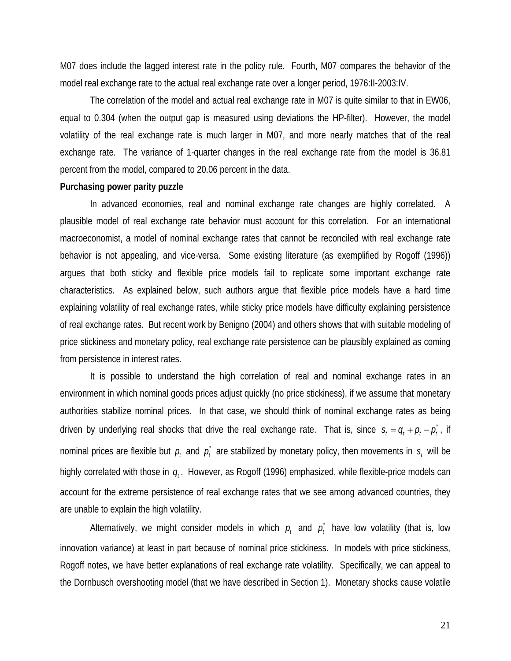M07 does include the lagged interest rate in the policy rule. Fourth, M07 compares the behavior of the model real exchange rate to the actual real exchange rate over a longer period, 1976:II-2003:IV.

 The correlation of the model and actual real exchange rate in M07 is quite similar to that in EW06, equal to 0.304 (when the output gap is measured using deviations the HP-filter). However, the model volatility of the real exchange rate is much larger in M07, and more nearly matches that of the real exchange rate. The variance of 1-quarter changes in the real exchange rate from the model is 36.81 percent from the model, compared to 20.06 percent in the data.

#### **Purchasing power parity puzzle**

 In advanced economies, real and nominal exchange rate changes are highly correlated. A plausible model of real exchange rate behavior must account for this correlation. For an international macroeconomist, a model of nominal exchange rates that cannot be reconciled with real exchange rate behavior is not appealing, and vice-versa. Some existing literature (as exemplified by Rogoff (1996)) argues that both sticky and flexible price models fail to replicate some important exchange rate characteristics. As explained below, such authors argue that flexible price models have a hard time explaining volatility of real exchange rates, while sticky price models have difficulty explaining persistence of real exchange rates. But recent work by Benigno (2004) and others shows that with suitable modeling of price stickiness and monetary policy, real exchange rate persistence can be plausibly explained as coming from persistence in interest rates.

 It is possible to understand the high correlation of real and nominal exchange rates in an environment in which nominal goods prices adjust quickly (no price stickiness), if we assume that monetary authorities stabilize nominal prices. In that case, we should think of nominal exchange rates as being driven by underlying real shocks that drive the real exchange rate. That is, since  $s_t = q_t + p_t - p_t^*$ , if nominal prices are flexible but  $p_t$  and  $p_t^*$  are stabilized by monetary policy, then movements in  $s_t$  will be highly correlated with those in  $q_i$ . However, as Rogoff (1996) emphasized, while flexible-price models can account for the extreme persistence of real exchange rates that we see among advanced countries, they are unable to explain the high volatility.

Alternatively, we might consider models in which  $p_t$  and  $p_t$  have low volatility (that is, low innovation variance) at least in part because of nominal price stickiness. In models with price stickiness, Rogoff notes, we have better explanations of real exchange rate volatility. Specifically, we can appeal to the Dornbusch overshooting model (that we have described in Section 1). Monetary shocks cause volatile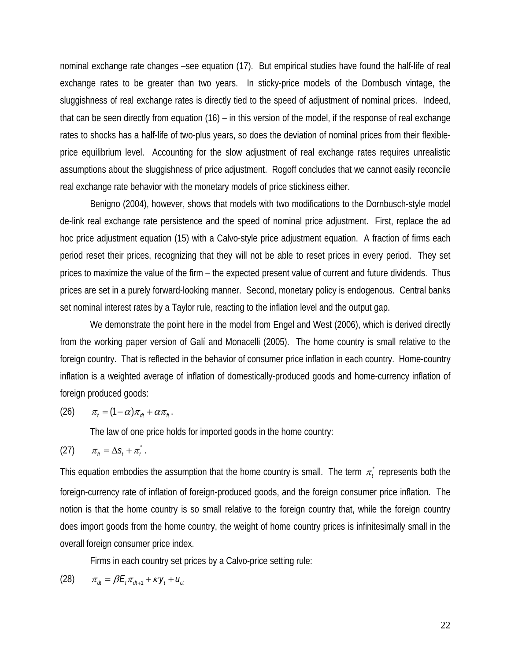nominal exchange rate changes –see equation (17). But empirical studies have found the half-life of real exchange rates to be greater than two years. In sticky-price models of the Dornbusch vintage, the sluggishness of real exchange rates is directly tied to the speed of adjustment of nominal prices. Indeed, that can be seen directly from equation (16) – in this version of the model, if the response of real exchange rates to shocks has a half-life of two-plus years, so does the deviation of nominal prices from their flexibleprice equilibrium level. Accounting for the slow adjustment of real exchange rates requires unrealistic assumptions about the sluggishness of price adjustment. Rogoff concludes that we cannot easily reconcile real exchange rate behavior with the monetary models of price stickiness either.

 Benigno (2004), however, shows that models with two modifications to the Dornbusch-style model de-link real exchange rate persistence and the speed of nominal price adjustment. First, replace the ad hoc price adjustment equation (15) with a Calvo-style price adjustment equation. A fraction of firms each period reset their prices, recognizing that they will not be able to reset prices in every period. They set prices to maximize the value of the firm – the expected present value of current and future dividends. Thus prices are set in a purely forward-looking manner. Second, monetary policy is endogenous. Central banks set nominal interest rates by a Taylor rule, reacting to the inflation level and the output gap.

 We demonstrate the point here in the model from Engel and West (2006), which is derived directly from the working paper version of Galí and Monacelli (2005). The home country is small relative to the foreign country. That is reflected in the behavior of consumer price inflation in each country. Home-country inflation is a weighted average of inflation of domestically-produced goods and home-currency inflation of foreign produced goods:

$$
(26) \qquad \pi_t = (1-\alpha)\pi_{dt} + \alpha\pi_{ft}.
$$

The law of one price holds for imported goods in the home country:

$$
(27) \qquad \pi_{\scriptscriptstyle{f}t} = \Delta s_t + \pi_t^*.
$$

This equation embodies the assumption that the home country is small. The term  $\pi_t$  represents both the foreign-currency rate of inflation of foreign-produced goods, and the foreign consumer price inflation. The notion is that the home country is so small relative to the foreign country that, while the foreign country does import goods from the home country, the weight of home country prices is infinitesimally small in the overall foreign consumer price index.

Firms in each country set prices by a Calvo-price setting rule:

(28) 
$$
\pi_{dt} = \beta E_t \pi_{dt+1} + \kappa y_t + u_{ct}
$$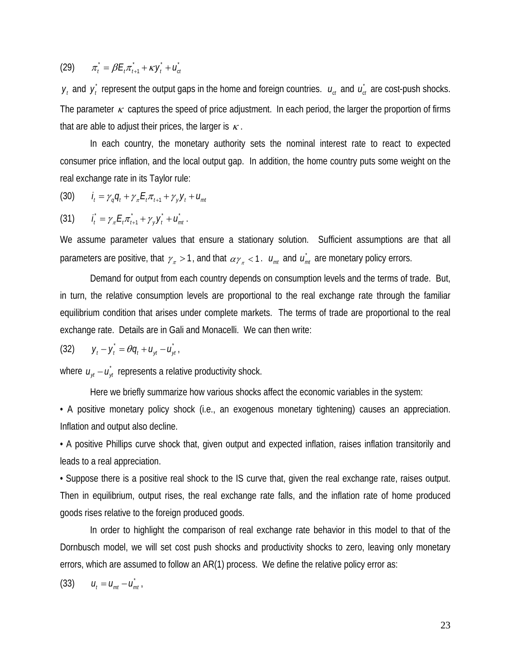$\pi_t^* = \beta E_t \pi_{t+1}^* + \kappa y_t^* + u_{ct}^*$ 

 $y_t$  and  $y_t$  represent the output gaps in the home and foreign countries.  $u_{ct}$  and  $\vec{u_{ct}}$  are cost-push shocks. The parameter  $\kappa$  captures the speed of price adjustment. In each period, the larger the proportion of firms that are able to adjust their prices, the larger is  $\kappa$ .

 In each country, the monetary authority sets the nominal interest rate to react to expected consumer price inflation, and the local output gap. In addition, the home country puts some weight on the real exchange rate in its Taylor rule:

(30) 
$$
i_t = \gamma_q q_t + \gamma_{\pi} E_t \pi_{t+1} + \gamma_y y_t + u_{mt}
$$

(31) 
$$
\vec{I}_t = \gamma_{\pi} E_t \vec{\pi}_{t+1} + \gamma_{\gamma} \vec{y}_t + \vec{u}_{mt}.
$$

We assume parameter values that ensure a stationary solution. Sufficient assumptions are that all parameters are positive, that  $\gamma_{\pi} > 1$ , and that  $\alpha \gamma_{\pi} < 1$ .  $u_{mt}$  and  $\dot{u_{mt}}$  are monetary policy errors.

 Demand for output from each country depends on consumption levels and the terms of trade. But, in turn, the relative consumption levels are proportional to the real exchange rate through the familiar equilibrium condition that arises under complete markets. The terms of trade are proportional to the real exchange rate. Details are in Gali and Monacelli. We can then write:

(32) 
$$
y_t - y_t^* = \theta q_t + u_{yt} - u_{yt}^*
$$

where  $u_{\nu t} - u_{\nu t}$  represents a relative productivity shock.

Here we briefly summarize how various shocks affect the economic variables in the system:

• A positive monetary policy shock (i.e., an exogenous monetary tightening) causes an appreciation. Inflation and output also decline.

• A positive Phillips curve shock that, given output and expected inflation, raises inflation transitorily and leads to a real appreciation.

• Suppose there is a positive real shock to the IS curve that, given the real exchange rate, raises output. Then in equilibrium, output rises, the real exchange rate falls, and the inflation rate of home produced goods rises relative to the foreign produced goods.

 In order to highlight the comparison of real exchange rate behavior in this model to that of the Dornbusch model, we will set cost push shocks and productivity shocks to zero, leaving only monetary errors, which are assumed to follow an AR(1) process. We define the relative policy error as:

(33) 
$$
u_t = u_{mt} - u_{mt}^*
$$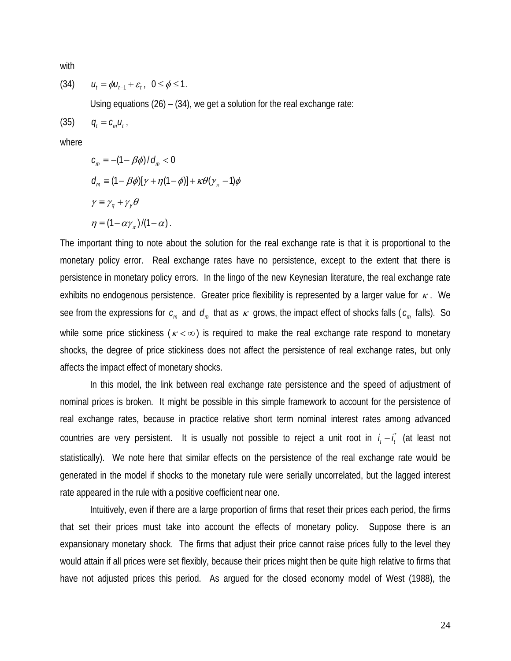with

$$
(34) \qquad u_t = \phi u_{t-1} + \varepsilon_t, \ \ 0 \le \phi \le 1.
$$

Using equations (26) – (34), we get a solution for the real exchange rate:

 $(35)$   $q_i = c_m u_i$ 

where

$$
c_m \equiv -(1 - \beta \phi) / d_m < 0
$$
  
\n
$$
d_m \equiv (1 - \beta \phi) [\gamma + \eta (1 - \phi)] + \kappa \theta (\gamma_{\pi} - 1) \phi
$$
  
\n
$$
\gamma \equiv \gamma_q + \gamma_{y} \theta
$$
  
\n
$$
\eta \equiv (1 - \alpha \gamma_{\pi}) / (1 - \alpha).
$$

The important thing to note about the solution for the real exchange rate is that it is proportional to the monetary policy error. Real exchange rates have no persistence, except to the extent that there is persistence in monetary policy errors. In the lingo of the new Keynesian literature, the real exchange rate exhibits no endogenous persistence. Greater price flexibility is represented by a larger value for  $\kappa$ . We see from the expressions for  $c_m$  and  $d_m$  that as  $\kappa$  grows, the impact effect of shocks falls ( $c_m$  falls). So while some price stickiness ( $\kappa < \infty$ ) is required to make the real exchange rate respond to monetary shocks, the degree of price stickiness does not affect the persistence of real exchange rates, but only affects the impact effect of monetary shocks.

 In this model, the link between real exchange rate persistence and the speed of adjustment of nominal prices is broken. It might be possible in this simple framework to account for the persistence of real exchange rates, because in practice relative short term nominal interest rates among advanced countries are very persistent. It is usually not possible to reject a unit root in  $i_t - \hat{i_t}$  (at least not statistically). We note here that similar effects on the persistence of the real exchange rate would be generated in the model if shocks to the monetary rule were serially uncorrelated, but the lagged interest rate appeared in the rule with a positive coefficient near one.

 Intuitively, even if there are a large proportion of firms that reset their prices each period, the firms that set their prices must take into account the effects of monetary policy. Suppose there is an expansionary monetary shock. The firms that adjust their price cannot raise prices fully to the level they would attain if all prices were set flexibly, because their prices might then be quite high relative to firms that have not adjusted prices this period. As argued for the closed economy model of West (1988), the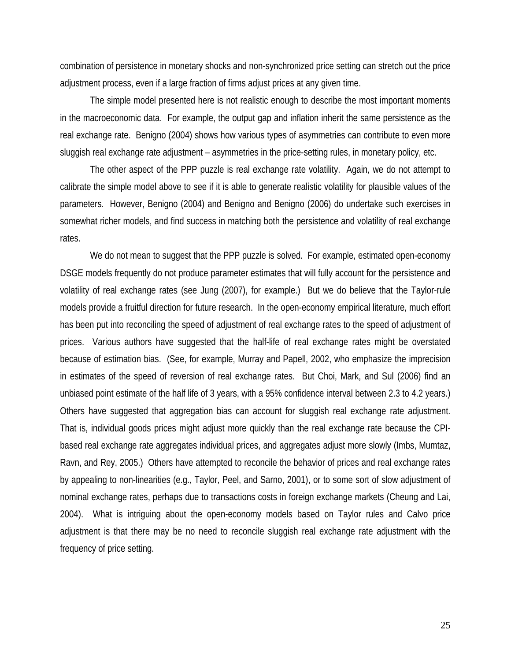combination of persistence in monetary shocks and non-synchronized price setting can stretch out the price adjustment process, even if a large fraction of firms adjust prices at any given time.

 The simple model presented here is not realistic enough to describe the most important moments in the macroeconomic data. For example, the output gap and inflation inherit the same persistence as the real exchange rate. Benigno (2004) shows how various types of asymmetries can contribute to even more sluggish real exchange rate adjustment – asymmetries in the price-setting rules, in monetary policy, etc.

 The other aspect of the PPP puzzle is real exchange rate volatility. Again, we do not attempt to calibrate the simple model above to see if it is able to generate realistic volatility for plausible values of the parameters. However, Benigno (2004) and Benigno and Benigno (2006) do undertake such exercises in somewhat richer models, and find success in matching both the persistence and volatility of real exchange rates.

We do not mean to suggest that the PPP puzzle is solved. For example, estimated open-economy DSGE models frequently do not produce parameter estimates that will fully account for the persistence and volatility of real exchange rates (see Jung (2007), for example.) But we do believe that the Taylor-rule models provide a fruitful direction for future research. In the open-economy empirical literature, much effort has been put into reconciling the speed of adjustment of real exchange rates to the speed of adjustment of prices. Various authors have suggested that the half-life of real exchange rates might be overstated because of estimation bias. (See, for example, Murray and Papell, 2002, who emphasize the imprecision in estimates of the speed of reversion of real exchange rates. But Choi, Mark, and Sul (2006) find an unbiased point estimate of the half life of 3 years, with a 95% confidence interval between 2.3 to 4.2 years.) Others have suggested that aggregation bias can account for sluggish real exchange rate adjustment. That is, individual goods prices might adjust more quickly than the real exchange rate because the CPIbased real exchange rate aggregates individual prices, and aggregates adjust more slowly (Imbs, Mumtaz, Ravn, and Rey, 2005.) Others have attempted to reconcile the behavior of prices and real exchange rates by appealing to non-linearities (e.g., Taylor, Peel, and Sarno, 2001), or to some sort of slow adjustment of nominal exchange rates, perhaps due to transactions costs in foreign exchange markets (Cheung and Lai, 2004). What is intriguing about the open-economy models based on Taylor rules and Calvo price adjustment is that there may be no need to reconcile sluggish real exchange rate adjustment with the frequency of price setting.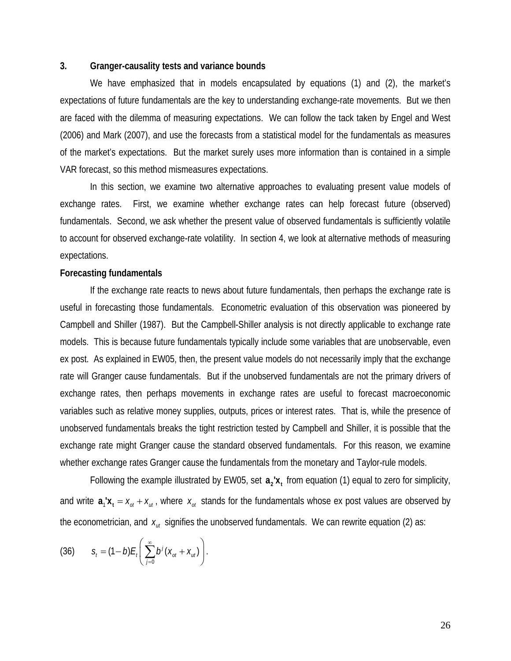# **3. Granger-causality tests and variance bounds**

We have emphasized that in models encapsulated by equations (1) and (2), the market's expectations of future fundamentals are the key to understanding exchange-rate movements. But we then are faced with the dilemma of measuring expectations. We can follow the tack taken by Engel and West (2006) and Mark (2007), and use the forecasts from a statistical model for the fundamentals as measures of the market's expectations. But the market surely uses more information than is contained in a simple VAR forecast, so this method mismeasures expectations.

 In this section, we examine two alternative approaches to evaluating present value models of exchange rates. First, we examine whether exchange rates can help forecast future (observed) fundamentals. Second, we ask whether the present value of observed fundamentals is sufficiently volatile to account for observed exchange-rate volatility. In section 4, we look at alternative methods of measuring expectations.

### **Forecasting fundamentals**

 If the exchange rate reacts to news about future fundamentals, then perhaps the exchange rate is useful in forecasting those fundamentals. Econometric evaluation of this observation was pioneered by Campbell and Shiller (1987). But the Campbell-Shiller analysis is not directly applicable to exchange rate models. This is because future fundamentals typically include some variables that are unobservable, even ex post. As explained in EW05, then, the present value models do not necessarily imply that the exchange rate will Granger cause fundamentals. But if the unobserved fundamentals are not the primary drivers of exchange rates, then perhaps movements in exchange rates are useful to forecast macroeconomic variables such as relative money supplies, outputs, prices or interest rates. That is, while the presence of unobserved fundamentals breaks the tight restriction tested by Campbell and Shiller, it is possible that the exchange rate might Granger cause the standard observed fundamentals. For this reason, we examine whether exchange rates Granger cause the fundamentals from the monetary and Taylor-rule models.

Following the example illustrated by EW05, set  $a_2'x_t$  from equation (1) equal to zero for simplicity, and write  $a_1'x_t = x_{at} + x_{ut}$ , where  $x_{at}$  stands for the fundamentals whose ex post values are observed by the econometrician, and  $x_{ut}$  signifies the unobserved fundamentals. We can rewrite equation (2) as:

(36) 
$$
S_t = (1-b)E_t \left( \sum_{j=0}^{\infty} b^j (x_{ot} + x_{ut}) \right).
$$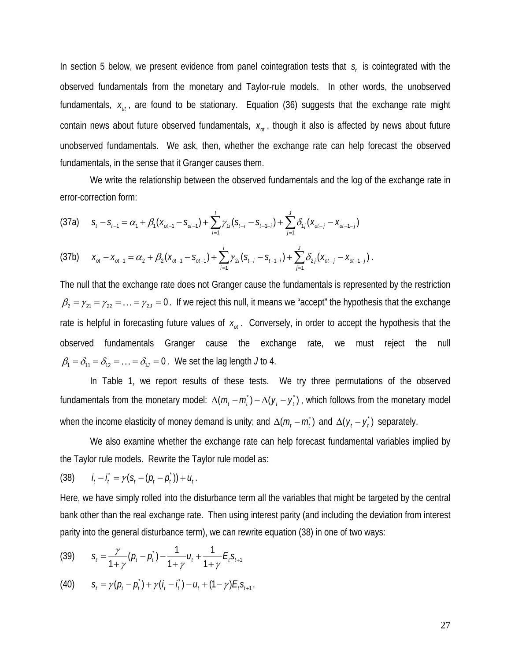In section 5 below, we present evidence from panel cointegration tests that  $s<sub>t</sub>$  is cointegrated with the observed fundamentals from the monetary and Taylor-rule models. In other words, the unobserved fundamentals,  $x_{nt}$ , are found to be stationary. Equation (36) suggests that the exchange rate might contain news about future observed fundamentals,  $x_{at}$ , though it also is affected by news about future unobserved fundamentals. We ask, then, whether the exchange rate can help forecast the observed fundamentals, in the sense that it Granger causes them.

 We write the relationship between the observed fundamentals and the log of the exchange rate in error-correction form:

$$
(37a) \t St - St-1 = \alpha_1 + \beta_1 (x_{ot-1} - s_{ot-1}) + \sum_{i=1}^{I} \gamma_{1i} (s_{t-i} - s_{t-1-i}) + \sum_{j=1}^{J} \delta_{1j} (x_{ot-j} - x_{ot-1-j})
$$

$$
(37b) \t X_{ol} - X_{ol-1} = \alpha_2 + \beta_2 (X_{ol-1} - S_{ol-1}) + \sum_{i=1}^{l} \gamma_{2i} (S_{t-i} - S_{t-1-i}) + \sum_{j=1}^{l} \delta_{2j} (X_{ol-j} - X_{ol-1-j}).
$$

The null that the exchange rate does not Granger cause the fundamentals is represented by the restriction  $\beta_2 = \gamma_{21} = \gamma_{22} = \ldots = \gamma_{2J} = 0$ . If we reject this null, it means we "accept" the hypothesis that the exchange rate is helpful in forecasting future values of  $x_{at}$ . Conversely, in order to accept the hypothesis that the observed fundamentals Granger cause the exchange rate, we must reject the null  $\beta_1 = \delta_{11} = \delta_{12} = \cdots = \delta_{11} = 0$ . We set the lag length *J* to 4.

 In Table 1, we report results of these tests. We try three permutations of the observed fundamentals from the monetary model:  $\Delta(m_t - m_t) - \Delta(y_t - y_t)$ , which follows from the monetary model when the income elasticity of money demand is unity; and  $\Delta ( m_t - m_t)$  and  $\Delta ( y_t - y_t)$  separately.

We also examine whether the exchange rate can help forecast fundamental variables implied by the Taylor rule models. Rewrite the Taylor rule model as:

(38) 
$$
i_t - i_t = \gamma (s_t - (p_t - p_t)) + u_t.
$$

Here, we have simply rolled into the disturbance term all the variables that might be targeted by the central bank other than the real exchange rate. Then using interest parity (and including the deviation from interest parity into the general disturbance term), we can rewrite equation (38) in one of two ways:

(39) 
$$
S_t = \frac{\gamma}{1+\gamma} (p_t - p_t) - \frac{1}{1+\gamma} u_t + \frac{1}{1+\gamma} E_t S_{t+1}
$$

(40) 
$$
S_t = \gamma (p_t - \dot{p_t}) + \gamma (i_t - \dot{i_t}) - u_t + (1 - \gamma) E_t S_{t+1}.
$$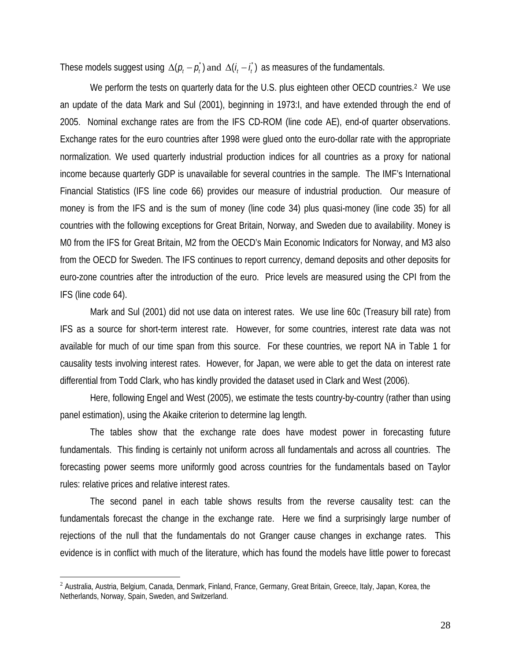These models suggest using  $\Delta(p_i - p_i)$  and  $\Delta(i_i - i)$  as measures of the fundamentals.

We perform the tests on quarterly data for the U.S. plus eighteen other OECD countries.<sup>2</sup> We use an update of the data Mark and Sul (2001), beginning in 1973:I, and have extended through the end of 2005. Nominal exchange rates are from the IFS CD-ROM (line code AE), end-of quarter observations. Exchange rates for the euro countries after 1998 were glued onto the euro-dollar rate with the appropriate normalization. We used quarterly industrial production indices for all countries as a proxy for national income because quarterly GDP is unavailable for several countries in the sample. The IMF's International Financial Statistics (IFS line code 66) provides our measure of industrial production. Our measure of money is from the IFS and is the sum of money (line code 34) plus quasi-money (line code 35) for all countries with the following exceptions for Great Britain, Norway, and Sweden due to availability. Money is M0 from the IFS for Great Britain, M2 from the OECD's Main Economic Indicators for Norway, and M3 also from the OECD for Sweden. The IFS continues to report currency, demand deposits and other deposits for euro-zone countries after the introduction of the euro. Price levels are measured using the CPI from the IFS (line code 64).

 Mark and Sul (2001) did not use data on interest rates. We use line 60c (Treasury bill rate) from IFS as a source for short-term interest rate. However, for some countries, interest rate data was not available for much of our time span from this source. For these countries, we report NA in Table 1 for causality tests involving interest rates. However, for Japan, we were able to get the data on interest rate differential from Todd Clark, who has kindly provided the dataset used in Clark and West (2006).

 Here, following Engel and West (2005), we estimate the tests country-by-country (rather than using panel estimation), using the Akaike criterion to determine lag length.

 The tables show that the exchange rate does have modest power in forecasting future fundamentals. This finding is certainly not uniform across all fundamentals and across all countries. The forecasting power seems more uniformly good across countries for the fundamentals based on Taylor rules: relative prices and relative interest rates.

 The second panel in each table shows results from the reverse causality test: can the fundamentals forecast the change in the exchange rate. Here we find a surprisingly large number of rejections of the null that the fundamentals do not Granger cause changes in exchange rates. This evidence is in conflict with much of the literature, which has found the models have little power to forecast

 $\overline{a}$ 

<sup>&</sup>lt;sup>2</sup> Australia, Austria, Belgium, Canada, Denmark, Finland, France, Germany, Great Britain, Greece, Italy, Japan, Korea, the Netherlands, Norway, Spain, Sweden, and Switzerland.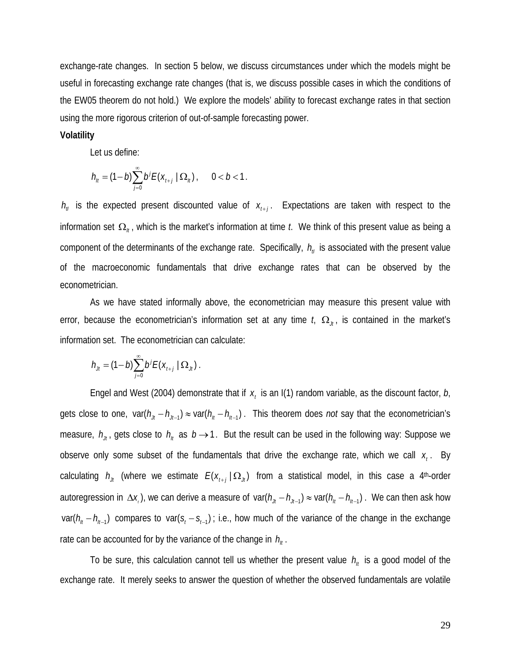exchange-rate changes. In section 5 below, we discuss circumstances under which the models might be useful in forecasting exchange rate changes (that is, we discuss possible cases in which the conditions of the EW05 theorem do not hold.) We explore the models' ability to forecast exchange rates in that section using the more rigorous criterion of out-of-sample forecasting power.

# **Volatility**

Let us define:

$$
h_{tt} = (1-b)\sum_{j=0}^{\infty} b^j E(x_{t+j} | \Omega_{tt}), \quad 0 < b < 1.
$$

 $h_{ij}$  is the expected present discounted value of  $x_{i+j}$ . Expectations are taken with respect to the information set  $\Omega_{n}$ , which is the market's information at time *t*. We think of this present value as being a component of the determinants of the exchange rate. Specifically,  $h_{ij}$  is associated with the present value of the macroeconomic fundamentals that drive exchange rates that can be observed by the econometrician.

 As we have stated informally above, the econometrician may measure this present value with error, because the econometrician's information set at any time  $t_i$ ,  $\Omega_{\mu}$ , is contained in the market's information set. The econometrician can calculate:

$$
h_{j_l} = (1-b)\sum_{j=0}^{\infty} b^j E(x_{l+j} | \Omega_{j_l}).
$$

Engel and West (2004) demonstrate that if  $x_t$  is an I(1) random variable, as the discount factor,  $b_t$ gets close to one,  $var(h_{\mu} - h_{\mu-1}) \approx var(h_{\mu} - h_{\mu-1})$ . This theorem does *not* say that the econometrician's measure,  $h_{tt}$ , gets close to  $h_{tt}$  as  $b \rightarrow 1$ . But the result can be used in the following way: Suppose we observe only some subset of the fundamentals that drive the exchange rate, which we call  $x<sub>t</sub>$ . By calculating  $h_{tt}$  (where we estimate  $E(X_{t+1} | \Omega_{tt})$  from a statistical model, in this case a 4<sup>th</sup>-order autoregression in  $\Delta x_i$ ), we can derive a measure of var( $h_{tt} - h_{tt-1}$ ) ≈ var( $h_{tt} - h_{tt-1}$ ). We can then ask how  $var(h_{n} - h_{n-1})$  compares to var( $s_{t} - s_{t-1}$ ); i.e., how much of the variance of the change in the exchange rate can be accounted for by the variance of the change in  $h_{\mu}$ .

To be sure, this calculation cannot tell us whether the present value  $h_{tt}$  is a good model of the exchange rate. It merely seeks to answer the question of whether the observed fundamentals are volatile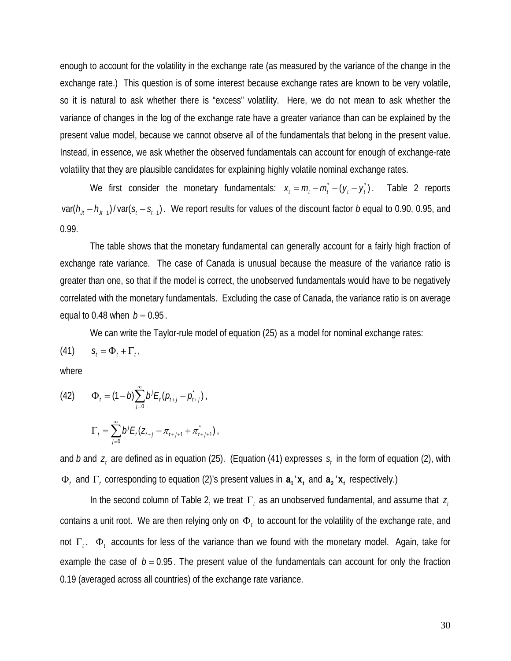enough to account for the volatility in the exchange rate (as measured by the variance of the change in the exchange rate.) This question is of some interest because exchange rates are known to be very volatile, so it is natural to ask whether there is "excess" volatility. Here, we do not mean to ask whether the variance of changes in the log of the exchange rate have a greater variance than can be explained by the present value model, because we cannot observe all of the fundamentals that belong in the present value. Instead, in essence, we ask whether the observed fundamentals can account for enough of exchange-rate volatility that they are plausible candidates for explaining highly volatile nominal exchange rates.

We first consider the monetary fundamentals:  $x_t = m_t - m_t - (y_t - y_t)$ . Table 2 reports  $var(h_{j_1}-h_{j_{i-1}})/var(s_i-s_{i-1})$ . We report results for values of the discount factor *b* equal to 0.90, 0.95, and 0.99.

 The table shows that the monetary fundamental can generally account for a fairly high fraction of exchange rate variance. The case of Canada is unusual because the measure of the variance ratio is greater than one, so that if the model is correct, the unobserved fundamentals would have to be negatively correlated with the monetary fundamentals. Excluding the case of Canada, the variance ratio is on average equal to 0.48 when  $b = 0.95$ .

We can write the Taylor-rule model of equation (25) as a model for nominal exchange rates:

$$
(41) \t St = \Phit + \Gammat.
$$

where

(42) 
$$
\Phi_t = (1-b)\sum_{j=0}^{\infty} b^j E_t (p_{t+j} - p_{t+j}^*)
$$

$$
\Gamma_t = \sum_{j=0}^{\infty} b^j E_t (z_{t+j} - \pi_{t+j+1} + \pi_{t+j+1}),
$$

and  $b$  and  $z<sub>i</sub>$  are defined as in equation (25). (Equation (41) expresses  $s<sub>i</sub>$  in the form of equation (2), with Φ<sub>t</sub> and Γ<sub>t</sub> corresponding to equation (2)'s present values in  $a_1$ '**x**<sub>t</sub> and  $a_2$ '**x**<sub>t</sub> respectively.)

In the second column of Table 2, we treat Γ<sub>t</sub> as an unobserved fundamental, and assume that *z*<sub>t</sub> contains a unit root. We are then relying only on Φ*t* to account for the volatility of the exchange rate, and not Γ*<sup>t</sup>* . Φ*t* accounts for less of the variance than we found with the monetary model. Again, take for example the case of  $b = 0.95$ . The present value of the fundamentals can account for only the fraction 0.19 (averaged across all countries) of the exchange rate variance.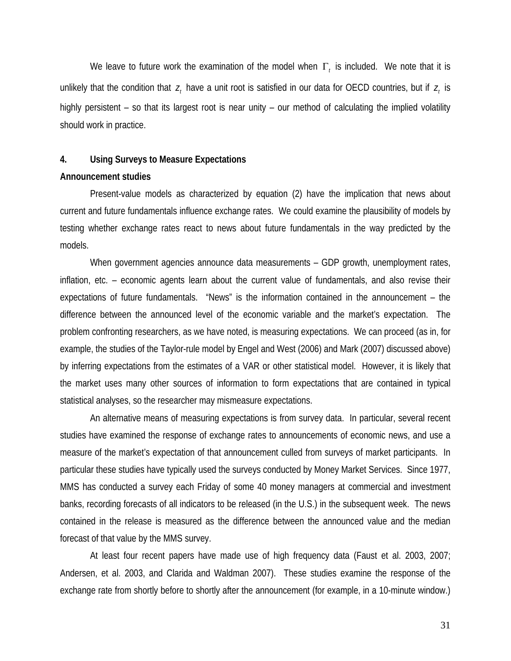We leave to future work the examination of the model when  $\Gamma_t$  is included. We note that it is unlikely that the condition that  $z_t$ , have a unit root is satisfied in our data for OECD countries, but if  $z_t$  is highly persistent – so that its largest root is near unity – our method of calculating the implied volatility should work in practice.

#### **4. Using Surveys to Measure Expectations**

#### **Announcement studies**

 Present-value models as characterized by equation (2) have the implication that news about current and future fundamentals influence exchange rates. We could examine the plausibility of models by testing whether exchange rates react to news about future fundamentals in the way predicted by the models.

When government agencies announce data measurements – GDP growth, unemployment rates, inflation, etc. – economic agents learn about the current value of fundamentals, and also revise their expectations of future fundamentals. "News" is the information contained in the announcement – the difference between the announced level of the economic variable and the market's expectation. The problem confronting researchers, as we have noted, is measuring expectations. We can proceed (as in, for example, the studies of the Taylor-rule model by Engel and West (2006) and Mark (2007) discussed above) by inferring expectations from the estimates of a VAR or other statistical model. However, it is likely that the market uses many other sources of information to form expectations that are contained in typical statistical analyses, so the researcher may mismeasure expectations.

 An alternative means of measuring expectations is from survey data. In particular, several recent studies have examined the response of exchange rates to announcements of economic news, and use a measure of the market's expectation of that announcement culled from surveys of market participants. In particular these studies have typically used the surveys conducted by Money Market Services. Since 1977, MMS has conducted a survey each Friday of some 40 money managers at commercial and investment banks, recording forecasts of all indicators to be released (in the U.S.) in the subsequent week. The news contained in the release is measured as the difference between the announced value and the median forecast of that value by the MMS survey.

 At least four recent papers have made use of high frequency data (Faust et al. 2003, 2007; Andersen, et al. 2003, and Clarida and Waldman 2007). These studies examine the response of the exchange rate from shortly before to shortly after the announcement (for example, in a 10-minute window.)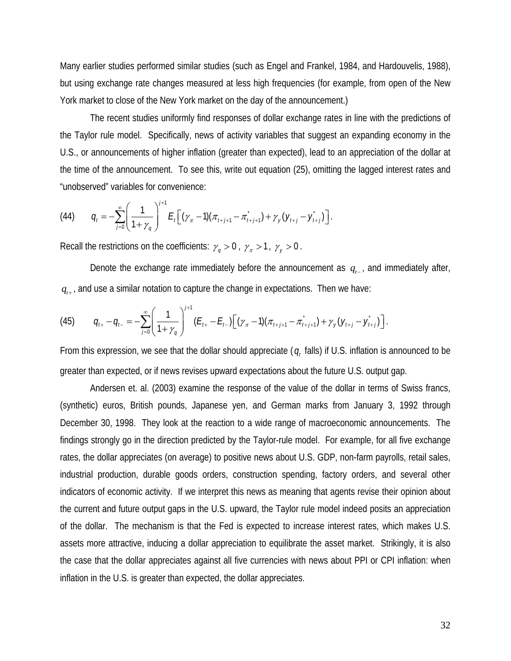Many earlier studies performed similar studies (such as Engel and Frankel, 1984, and Hardouvelis, 1988), but using exchange rate changes measured at less high frequencies (for example, from open of the New York market to close of the New York market on the day of the announcement.)

 The recent studies uniformly find responses of dollar exchange rates in line with the predictions of the Taylor rule model. Specifically, news of activity variables that suggest an expanding economy in the U.S., or announcements of higher inflation (greater than expected), lead to an appreciation of the dollar at the time of the announcement. To see this, write out equation (25), omitting the lagged interest rates and "unobserved" variables for convenience:

(44) 
$$
q_{t} = -\sum_{j=0}^{\infty} \left( \frac{1}{1+\gamma_{q}} \right)^{j+1} E_{t} \left[ (\gamma_{\pi}-1)(\pi_{t+j+1} - \pi_{t+j+1}) + \gamma_{y} (y_{t+j} - y_{t+j}) \right].
$$

Recall the restrictions on the coefficients:  $\gamma_q > 0$ ,  $\gamma_{\pi} > 1$ ,  $\gamma_{\gamma} > 0$ .

Denote the exchange rate immediately before the announcement as  $q_{t-1}$ , and immediately after,  $q_{i+1}$  and use a similar notation to capture the change in expectations. Then we have:

(45) 
$$
q_{t+} - q_{t-} = -\sum_{j=0}^{\infty} \left( \frac{1}{1+\gamma_q} \right)^{j+1} (E_{t+} - E_{t-}) \left[ (\gamma_{\pi} - 1) (\pi_{t+j+1} - \pi_{t+j+1}) + \gamma_{y} (y_{t+j} - y_{t+j}) \right].
$$

From this expression, we see that the dollar should appreciate ( $q_t$  falls) if U.S. inflation is announced to be greater than expected, or if news revises upward expectations about the future U.S. output gap.

 Andersen et. al. (2003) examine the response of the value of the dollar in terms of Swiss francs, (synthetic) euros, British pounds, Japanese yen, and German marks from January 3, 1992 through December 30, 1998. They look at the reaction to a wide range of macroeconomic announcements. The findings strongly go in the direction predicted by the Taylor-rule model. For example, for all five exchange rates, the dollar appreciates (on average) to positive news about U.S. GDP, non-farm payrolls, retail sales, industrial production, durable goods orders, construction spending, factory orders, and several other indicators of economic activity. If we interpret this news as meaning that agents revise their opinion about the current and future output gaps in the U.S. upward, the Taylor rule model indeed posits an appreciation of the dollar. The mechanism is that the Fed is expected to increase interest rates, which makes U.S. assets more attractive, inducing a dollar appreciation to equilibrate the asset market. Strikingly, it is also the case that the dollar appreciates against all five currencies with news about PPI or CPI inflation: when inflation in the U.S. is greater than expected, the dollar appreciates.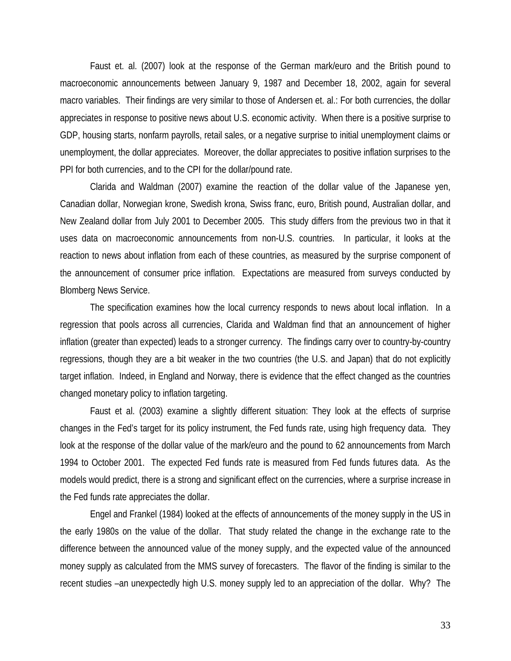Faust et. al. (2007) look at the response of the German mark/euro and the British pound to macroeconomic announcements between January 9, 1987 and December 18, 2002, again for several macro variables. Their findings are very similar to those of Andersen et. al.: For both currencies, the dollar appreciates in response to positive news about U.S. economic activity. When there is a positive surprise to GDP, housing starts, nonfarm payrolls, retail sales, or a negative surprise to initial unemployment claims or unemployment, the dollar appreciates. Moreover, the dollar appreciates to positive inflation surprises to the PPI for both currencies, and to the CPI for the dollar/pound rate.

 Clarida and Waldman (2007) examine the reaction of the dollar value of the Japanese yen, Canadian dollar, Norwegian krone, Swedish krona, Swiss franc, euro, British pound, Australian dollar, and New Zealand dollar from July 2001 to December 2005. This study differs from the previous two in that it uses data on macroeconomic announcements from non-U.S. countries. In particular, it looks at the reaction to news about inflation from each of these countries, as measured by the surprise component of the announcement of consumer price inflation. Expectations are measured from surveys conducted by Blomberg News Service.

 The specification examines how the local currency responds to news about local inflation. In a regression that pools across all currencies, Clarida and Waldman find that an announcement of higher inflation (greater than expected) leads to a stronger currency. The findings carry over to country-by-country regressions, though they are a bit weaker in the two countries (the U.S. and Japan) that do not explicitly target inflation. Indeed, in England and Norway, there is evidence that the effect changed as the countries changed monetary policy to inflation targeting.

 Faust et al. (2003) examine a slightly different situation: They look at the effects of surprise changes in the Fed's target for its policy instrument, the Fed funds rate, using high frequency data. They look at the response of the dollar value of the mark/euro and the pound to 62 announcements from March 1994 to October 2001. The expected Fed funds rate is measured from Fed funds futures data. As the models would predict, there is a strong and significant effect on the currencies, where a surprise increase in the Fed funds rate appreciates the dollar.

 Engel and Frankel (1984) looked at the effects of announcements of the money supply in the US in the early 1980s on the value of the dollar. That study related the change in the exchange rate to the difference between the announced value of the money supply, and the expected value of the announced money supply as calculated from the MMS survey of forecasters. The flavor of the finding is similar to the recent studies –an unexpectedly high U.S. money supply led to an appreciation of the dollar. Why? The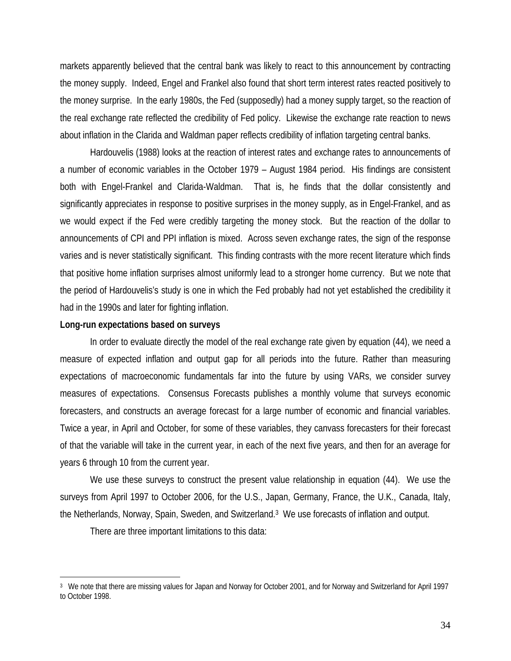markets apparently believed that the central bank was likely to react to this announcement by contracting the money supply. Indeed, Engel and Frankel also found that short term interest rates reacted positively to the money surprise. In the early 1980s, the Fed (supposedly) had a money supply target, so the reaction of the real exchange rate reflected the credibility of Fed policy. Likewise the exchange rate reaction to news about inflation in the Clarida and Waldman paper reflects credibility of inflation targeting central banks.

 Hardouvelis (1988) looks at the reaction of interest rates and exchange rates to announcements of a number of economic variables in the October 1979 – August 1984 period. His findings are consistent both with Engel-Frankel and Clarida-Waldman. That is, he finds that the dollar consistently and significantly appreciates in response to positive surprises in the money supply, as in Engel-Frankel, and as we would expect if the Fed were credibly targeting the money stock. But the reaction of the dollar to announcements of CPI and PPI inflation is mixed. Across seven exchange rates, the sign of the response varies and is never statistically significant. This finding contrasts with the more recent literature which finds that positive home inflation surprises almost uniformly lead to a stronger home currency. But we note that the period of Hardouvelis's study is one in which the Fed probably had not yet established the credibility it had in the 1990s and later for fighting inflation.

#### **Long-run expectations based on surveys**

 In order to evaluate directly the model of the real exchange rate given by equation (44), we need a measure of expected inflation and output gap for all periods into the future. Rather than measuring expectations of macroeconomic fundamentals far into the future by using VARs, we consider survey measures of expectations. Consensus Forecasts publishes a monthly volume that surveys economic forecasters, and constructs an average forecast for a large number of economic and financial variables. Twice a year, in April and October, for some of these variables, they canvass forecasters for their forecast of that the variable will take in the current year, in each of the next five years, and then for an average for years 6 through 10 from the current year.

 We use these surveys to construct the present value relationship in equation (44). We use the surveys from April 1997 to October 2006, for the U.S., Japan, Germany, France, the U.K., Canada, Italy, the Netherlands, Norway, Spain, Sweden, and Switzerland.3 We use forecasts of inflation and output.

There are three important limitations to this data:

 $\overline{a}$ 

<sup>&</sup>lt;sup>3</sup> We note that there are missing values for Japan and Norway for October 2001, and for Norway and Switzerland for April 1997 to October 1998.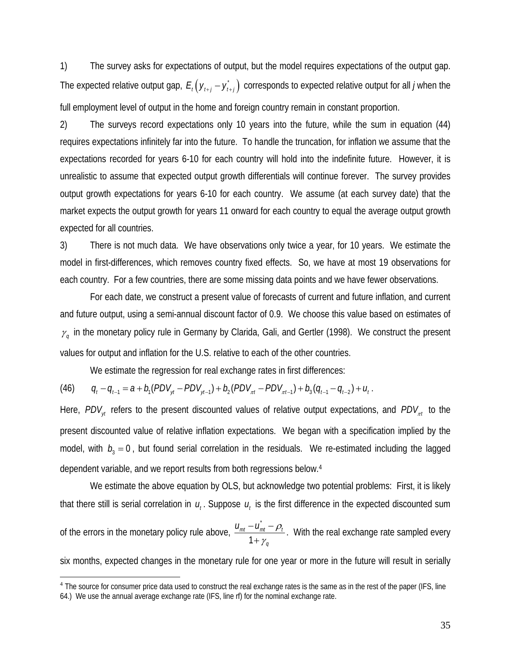1) The survey asks for expectations of output, but the model requires expectations of the output gap. The expected relative output gap,  $E_t ( y_{t+i} - y_{t+i} )$  corresponds to expected relative output for all *j* when the full employment level of output in the home and foreign country remain in constant proportion.

2) The surveys record expectations only 10 years into the future, while the sum in equation (44) requires expectations infinitely far into the future. To handle the truncation, for inflation we assume that the expectations recorded for years 6-10 for each country will hold into the indefinite future. However, it is unrealistic to assume that expected output growth differentials will continue forever. The survey provides output growth expectations for years 6-10 for each country. We assume (at each survey date) that the market expects the output growth for years 11 onward for each country to equal the average output growth expected for all countries.

3) There is not much data. We have observations only twice a year, for 10 years. We estimate the model in first-differences, which removes country fixed effects. So, we have at most 19 observations for each country. For a few countries, there are some missing data points and we have fewer observations.

 For each date, we construct a present value of forecasts of current and future inflation, and current and future output, using a semi-annual discount factor of 0.9. We choose this value based on estimates of  $\gamma_q$  in the monetary policy rule in Germany by Clarida, Gali, and Gertler (1998). We construct the present values for output and inflation for the U.S. relative to each of the other countries.

We estimate the regression for real exchange rates in first differences:

(46) 
$$
q_t - q_{t-1} = a + b_1 (PDV_{yt} - PDV_{yt-1}) + b_2 (PDV_{xt} - PDV_{xt-1}) + b_3 (q_{t-1} - q_{t-2}) + u_t.
$$

 $\overline{a}$ 

Here,  $PDV_{\nu}$  refers to the present discounted values of relative output expectations, and  $PDV_{\pi t}$  to the present discounted value of relative inflation expectations. We began with a specification implied by the model, with  $b_3 = 0$ , but found serial correlation in the residuals. We re-estimated including the lagged dependent variable, and we report results from both regressions below.4

We estimate the above equation by OLS, but acknowledge two potential problems: First, it is likely that there still is serial correlation in  $u_t$ . Suppose  $u_t$  is the first difference in the expected discounted sum

of the errors in the monetary policy rule above, \* 1  $_{mt}$   $\mu$ <sub>mt</sub>  $\mu$ <sub>i</sub> *q*  $u_{mt} - u_{mt} - \rho$ γ  $-\tilde{U_{mt}}-$ + . With the real exchange rate sampled every

six months, expected changes in the monetary rule for one year or more in the future will result in serially

<sup>&</sup>lt;sup>4</sup> The source for consumer price data used to construct the real exchange rates is the same as in the rest of the paper (IFS, line 64.) We use the annual average exchange rate (IFS, line rf) for the nominal exchange rate.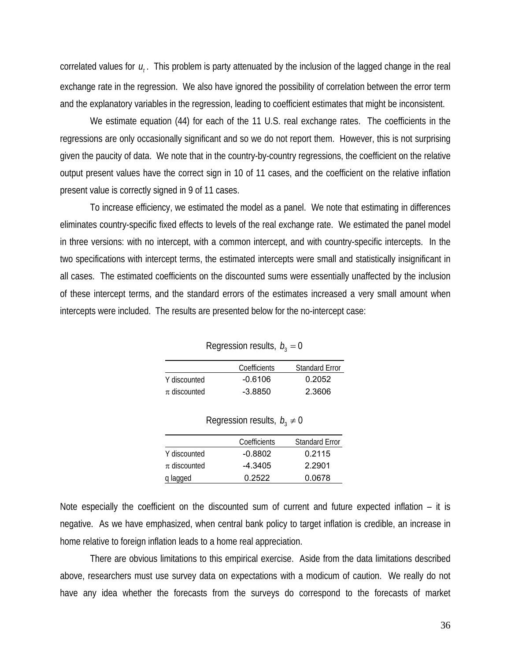correlated values for  $u_i$ . This problem is party attenuated by the inclusion of the lagged change in the real exchange rate in the regression. We also have ignored the possibility of correlation between the error term and the explanatory variables in the regression, leading to coefficient estimates that might be inconsistent.

 We estimate equation (44) for each of the 11 U.S. real exchange rates. The coefficients in the regressions are only occasionally significant and so we do not report them. However, this is not surprising given the paucity of data. We note that in the country-by-country regressions, the coefficient on the relative output present values have the correct sign in 10 of 11 cases, and the coefficient on the relative inflation present value is correctly signed in 9 of 11 cases.

 To increase efficiency, we estimated the model as a panel. We note that estimating in differences eliminates country-specific fixed effects to levels of the real exchange rate. We estimated the panel model in three versions: with no intercept, with a common intercept, and with country-specific intercepts. In the two specifications with intercept terms, the estimated intercepts were small and statistically insignificant in all cases. The estimated coefficients on the discounted sums were essentially unaffected by the inclusion of these intercept terms, and the standard errors of the estimates increased a very small amount when intercepts were included. The results are presented below for the no-intercept case:

Regression results,  $b_3 = 0$ 

|                  | Coefficients | <b>Standard Error</b> |
|------------------|--------------|-----------------------|
| Y discounted     | $-0.6106$    | 0.2052                |
| $\pi$ discounted | -3.8850      | 2.3606                |

|                  | $\log$ $\sqrt{2}$ $\sqrt{2}$ $\log$ $\sqrt{2}$ $\sqrt{2}$ $\sqrt{2}$ $\sqrt{2}$ $\sqrt{2}$ $\sqrt{2}$ $\sqrt{2}$ $\sqrt{2}$ $\sqrt{2}$ $\sqrt{2}$ $\sqrt{2}$ $\sqrt{2}$ $\sqrt{2}$ $\sqrt{2}$ $\sqrt{2}$ $\sqrt{2}$ $\sqrt{2}$ $\sqrt{2}$ $\sqrt{2}$ $\sqrt{2}$ $\sqrt{2}$ $\sqrt{2}$ $\sqrt{2}$ $\sqrt{2}$ $\sqrt$ |                       |
|------------------|---------------------------------------------------------------------------------------------------------------------------------------------------------------------------------------------------------------------------------------------------------------------------------------------------------------------|-----------------------|
|                  | Coefficients                                                                                                                                                                                                                                                                                                        | <b>Standard Error</b> |
| Y discounted     | $-0.8802$                                                                                                                                                                                                                                                                                                           | 0.2115                |
| $\pi$ discounted | $-4.3405$                                                                                                                                                                                                                                                                                                           | 2.2901                |
| q lagged         | 0.2522                                                                                                                                                                                                                                                                                                              | 0.0678                |

Regression results,  $b \neq 0$ 

Note especially the coefficient on the discounted sum of current and future expected inflation – it is negative. As we have emphasized, when central bank policy to target inflation is credible, an increase in home relative to foreign inflation leads to a home real appreciation.

 There are obvious limitations to this empirical exercise. Aside from the data limitations described above, researchers must use survey data on expectations with a modicum of caution. We really do not have any idea whether the forecasts from the surveys do correspond to the forecasts of market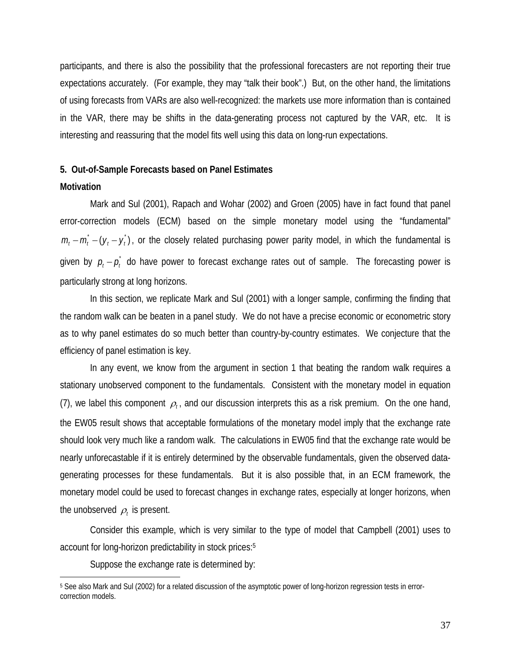participants, and there is also the possibility that the professional forecasters are not reporting their true expectations accurately. (For example, they may "talk their book".) But, on the other hand, the limitations of using forecasts from VARs are also well-recognized: the markets use more information than is contained in the VAR, there may be shifts in the data-generating process not captured by the VAR, etc. It is interesting and reassuring that the model fits well using this data on long-run expectations.

# **5. Out-of-Sample Forecasts based on Panel Estimates**

### **Motivation**

 $\overline{a}$ 

 Mark and Sul (2001), Rapach and Wohar (2002) and Groen (2005) have in fact found that panel error-correction models (ECM) based on the simple monetary model using the "fundamental"  $m_t - m_t - (y_t - y_t)$ , or the closely related purchasing power parity model, in which the fundamental is given by  $p_t - p_t^*$  do have power to forecast exchange rates out of sample. The forecasting power is particularly strong at long horizons.

 In this section, we replicate Mark and Sul (2001) with a longer sample, confirming the finding that the random walk can be beaten in a panel study. We do not have a precise economic or econometric story as to why panel estimates do so much better than country-by-country estimates. We conjecture that the efficiency of panel estimation is key.

 In any event, we know from the argument in section 1 that beating the random walk requires a stationary unobserved component to the fundamentals. Consistent with the monetary model in equation (7), we label this component  $\rho_t$ , and our discussion interprets this as a risk premium. On the one hand, the EW05 result shows that acceptable formulations of the monetary model imply that the exchange rate should look very much like a random walk. The calculations in EW05 find that the exchange rate would be nearly unforecastable if it is entirely determined by the observable fundamentals, given the observed datagenerating processes for these fundamentals. But it is also possible that, in an ECM framework, the monetary model could be used to forecast changes in exchange rates, especially at longer horizons, when the unobserved  $\rho_t$  is present.

 Consider this example, which is very similar to the type of model that Campbell (2001) uses to account for long-horizon predictability in stock prices:5

Suppose the exchange rate is determined by:

<sup>5</sup> See also Mark and Sul (2002) for a related discussion of the asymptotic power of long-horizon regression tests in errorcorrection models.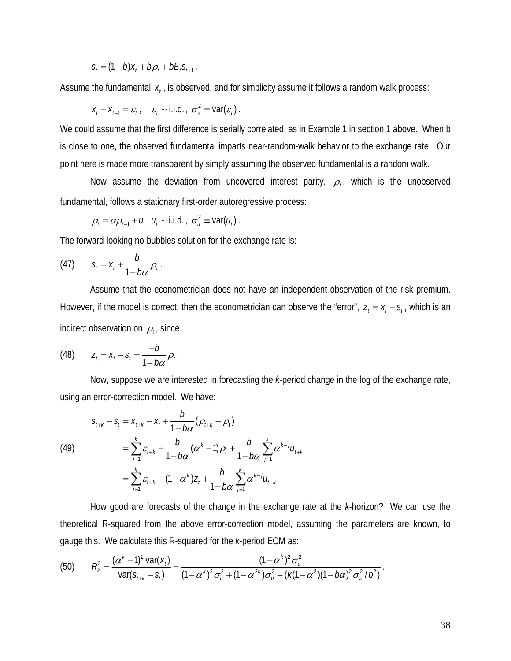$$
S_t = (1 - b)x_t + b\rho_t + bE_tS_{t+1}.
$$

Assume the fundamental  $x_i$ , is observed, and for simplicity assume it follows a random walk process:

$$
X_t - X_{t-1} = \varepsilon_t, \quad \varepsilon_t \sim \text{i.i.d.}, \quad \sigma_{\varepsilon}^2 \equiv \text{var}(\varepsilon_t).
$$

We could assume that the first difference is serially correlated, as in Example 1 in section 1 above. When b is close to one, the observed fundamental imparts near-random-walk behavior to the exchange rate. Our point here is made more transparent by simply assuming the observed fundamental is a random walk.

Now assume the deviation from uncovered interest parity,  $\rho_t$ , which is the unobserved fundamental, follows a stationary first-order autoregressive process:

$$
\rho_t = \alpha \rho_{t-1} + u_t, u_t \sim \text{i.i.d.}, \sigma_u^2 \equiv \text{var}(u_t).
$$

The forward-looking no-bubbles solution for the exchange rate is:

$$
(47) \qquad s_t = x_t + \frac{b}{1-b\alpha}\rho_t.
$$

 Assume that the econometrician does not have an independent observation of the risk premium. However, if the model is correct, then the econometrician can observe the "error",  $z_t = x_t - s_t$ , which is an indirect observation on  $\rho_t$ , since

(48) 
$$
Z_t = X_t - S_t = \frac{-b}{1 - b\alpha} \rho_t.
$$

 Now, suppose we are interested in forecasting the *k*-period change in the log of the exchange rate, using an error-correction model. We have:

(49)  
\n
$$
S_{l+k} - S_l = X_{l+k} - X_l + \frac{b}{1 - b\alpha} (\rho_{l+k} - \rho_l)
$$
\n
$$
= \sum_{j=1}^k \varepsilon_{l+k} + \frac{b}{1 - b\alpha} (\alpha^k - 1) \rho_l + \frac{b}{1 - b\alpha} \sum_{j=1}^k \alpha^{k-j} u_{l+k}
$$
\n
$$
= \sum_{j=1}^k \varepsilon_{l+k} + (1 - \alpha^k) Z_l + \frac{b}{1 - b\alpha} \sum_{j=1}^k \alpha^{k-j} u_{l+k}
$$

 How good are forecasts of the change in the exchange rate at the *k*-horizon? We can use the theoretical R-squared from the above error-correction model, assuming the parameters are known, to gauge this. We calculate this R-squared for the *k*-period ECM as:

(50) 
$$
R_k^2 = \frac{(\alpha^k - 1)^2 \text{var}(x_t)}{\text{var}(s_{t+k} - s_t)} = \frac{(1 - \alpha^k)^2 \sigma_u^2}{(1 - \alpha^k)^2 \sigma_u^2 + (1 - \alpha^2)^k \sigma_u^2 + (k(1 - \alpha^2)(1 - b\alpha)^2 \sigma_s^2 / b^2)}.
$$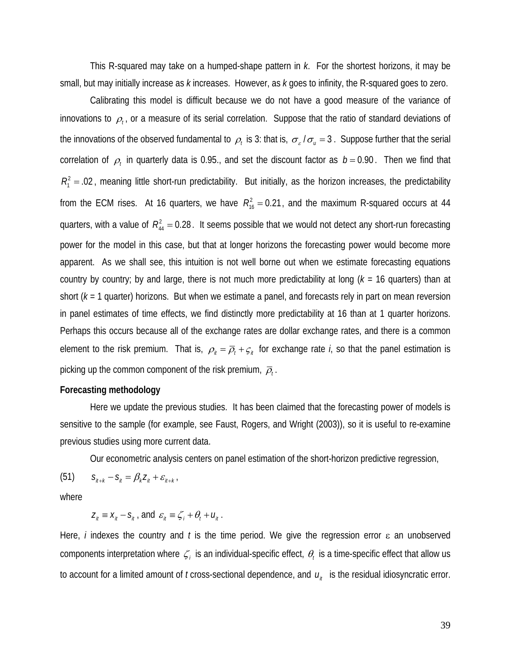This R-squared may take on a humped-shape pattern in *k*. For the shortest horizons, it may be small, but may initially increase as *k* increases. However, as *k* goes to infinity, the R-squared goes to zero.

 Calibrating this model is difficult because we do not have a good measure of the variance of innovations to  $\rho_t$ , or a measure of its serial correlation. Suppose that the ratio of standard deviations of the innovations of the observed fundamental to  $\rho_t$  is 3: that is,  $\sigma_{\varepsilon}/\sigma_u = 3$ . Suppose further that the serial correlation of  $\rho_t$  in quarterly data is 0.95., and set the discount factor as  $b = 0.90$ . Then we find that  $R_1^2$  = .02, meaning little short-run predictability. But initially, as the horizon increases, the predictability from the ECM rises. At 16 quarters, we have  $R_{16}^2 = 0.21$ , and the maximum R-squared occurs at 44 quarters, with a value of  $R_{44}^2 = 0.28$ . It seems possible that we would not detect any short-run forecasting power for the model in this case, but that at longer horizons the forecasting power would become more apparent. As we shall see, this intuition is not well borne out when we estimate forecasting equations country by country; by and large, there is not much more predictability at long (*k* = 16 quarters) than at short (*k* = 1 quarter) horizons. But when we estimate a panel, and forecasts rely in part on mean reversion in panel estimates of time effects, we find distinctly more predictability at 16 than at 1 quarter horizons. Perhaps this occurs because all of the exchange rates are dollar exchange rates, and there is a common element to the risk premium. That is,  $\rho_{i} = \overline{\rho}_i + \varsigma_{i}$  for exchange rate *i*, so that the panel estimation is picking up the common component of the risk premium,  $\overline{\rho}_t$ .

# **Forecasting methodology**

Here we update the previous studies. It has been claimed that the forecasting power of models is sensitive to the sample (for example, see Faust, Rogers, and Wright (2003)), so it is useful to re-examine previous studies using more current data.

Our econometric analysis centers on panel estimation of the short-horizon predictive regression,

 $(51)$   $S_{ij+k} - S_{ij} = \beta_k Z_{ij} + \varepsilon_{ij+k}$ 

where

 $Z_{ii} \equiv X_{ii} - S_{ii}$ , and  $\varepsilon_{ii} \equiv \zeta_i + \theta_i + U_{ii}$ .

Here, *i* indexes the country and *t* is the time period. We give the regression error ε an unobserved components interpretation where  $\zeta_i$  is an individual-specific effect,  $\theta_i$  is a time-specific effect that allow us to account for a limited amount of  $t$  cross-sectional dependence, and  $u_{i}$  is the residual idiosyncratic error.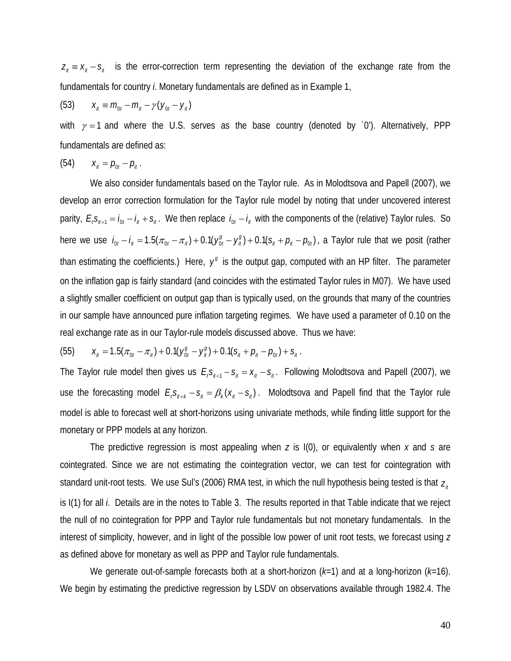$z_{n} = x_{n} - s_{n}$  is the error-correction term representing the deviation of the exchange rate from the fundamentals for country *i*. Monetary fundamentals are defined as in Example 1,

(53) 
$$
X_{it} \equiv m_{0t} - m_{it} - \gamma (y_{0t} - y_{it})
$$

with  $\gamma = 1$  and where the U.S. serves as the base country (denoted by `0'). Alternatively, PPP fundamentals are defined as:

(54) 
$$
X_{it} = p_{0t} - p_{it}.
$$

 We also consider fundamentals based on the Taylor rule. As in Molodtsova and Papell (2007), we develop an error correction formulation for the Taylor rule model by noting that under uncovered interest parity,  $E_i S_{i+1} = i_{0t} - i_{it} + s_{it}$ . We then replace  $i_{0t} - i_{it}$  with the components of the (relative) Taylor rules. So here we use  $i_{0t} - i_{tt} = 1.5(\pi_{0t} - \pi_{tt}) + 0.1(y_{0t}^g - y_{tt}^g) + 0.1(s_{tt} + \rho_{tt} - \rho_{0t})$ , a Taylor rule that we posit (rather than estimating the coefficients.) Here,  $y<sup>g</sup>$  is the output gap, computed with an HP filter. The parameter on the inflation gap is fairly standard (and coincides with the estimated Taylor rules in M07). We have used a slightly smaller coefficient on output gap than is typically used, on the grounds that many of the countries in our sample have announced pure inflation targeting regimes. We have used a parameter of 0.10 on the real exchange rate as in our Taylor-rule models discussed above. Thus we have:

(55) 
$$
x_{ii} = 1.5(\pi_{0t} - \pi_{ii}) + 0.1(y_{0t}^g - y_{ii}^g) + 0.1(s_{ii} + \rho_{ii} - \rho_{0t}) + s_{ii}.
$$

The Taylor rule model then gives us  $E_i s_{i+1} - s_i = x_{i} - s_{i}$ . Following Molodtsova and Papell (2007), we use the forecasting model  $E_i s_{i+k} - s_i = \beta_k (x_i - s_i)$ . Molodtsova and Papell find that the Taylor rule model is able to forecast well at short-horizons using univariate methods, while finding little support for the monetary or PPP models at any horizon.

The predictive regression is most appealing when *z* is I(0), or equivalently when *x* and *s* are cointegrated. Since we are not estimating the cointegration vector, we can test for cointegration with standard unit-root tests. We use Sul's (2006) RMA test, in which the null hypothesis being tested is that  $Z_{i}$ is I(1) for all *i*. Details are in the notes to Table 3. The results reported in that Table indicate that we reject the null of no cointegration for PPP and Taylor rule fundamentals but not monetary fundamentals. In the interest of simplicity, however, and in light of the possible low power of unit root tests, we forecast using *z* as defined above for monetary as well as PPP and Taylor rule fundamentals.

We generate out-of-sample forecasts both at a short-horizon (*k=*1) and at a long-horizon (*k=*16). We begin by estimating the predictive regression by LSDV on observations available through 1982.4. The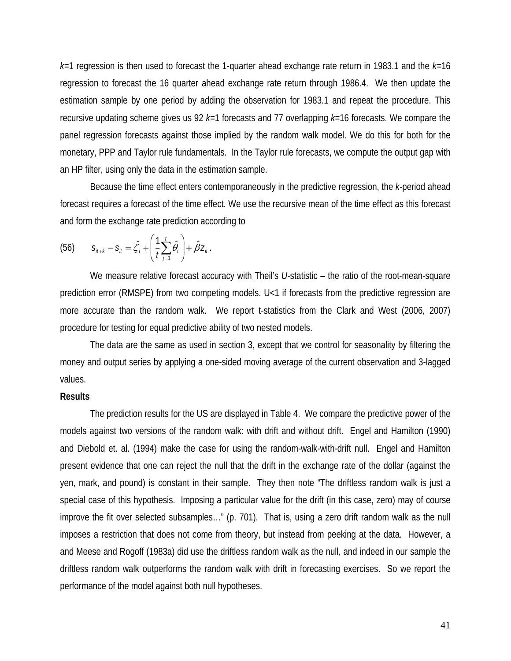*k=*1 regression is then used to forecast the 1-quarter ahead exchange rate return in 1983.1 and the *k=*16 regression to forecast the 16 quarter ahead exchange rate return through 1986.4. We then update the estimation sample by one period by adding the observation for 1983.1 and repeat the procedure. This recursive updating scheme gives us 92 *k=*1 forecasts and 77 overlapping *k=*16 forecasts. We compare the panel regression forecasts against those implied by the random walk model. We do this for both for the monetary, PPP and Taylor rule fundamentals. In the Taylor rule forecasts, we compute the output gap with an HP filter, using only the data in the estimation sample.

Because the time effect enters contemporaneously in the predictive regression, the *k*-period ahead forecast requires a forecast of the time effect. We use the recursive mean of the time effect as this forecast and form the exchange rate prediction according to

(56) 
$$
S_{i\!\!\!j+\!\!\!k}-S_{i\!\!\!j}=\hat{\zeta}_i+\left(\frac{1}{t}\sum_{j=1}^t\hat{\theta}_i\right)+\hat{\beta}Z_{i\!\!\!j}.
$$

We measure relative forecast accuracy with Theil's U-statistic – the ratio of the root-mean-square prediction error (RMSPE) from two competing models. U<1 if forecasts from the predictive regression are more accurate than the random walk. We report t-statistics from the Clark and West (2006, 2007) procedure for testing for equal predictive ability of two nested models.

 The data are the same as used in section 3, except that we control for seasonality by filtering the money and output series by applying a one-sided moving average of the current observation and 3-lagged values.

### **Results**

The prediction results for the US are displayed in Table 4. We compare the predictive power of the models against two versions of the random walk: with drift and without drift. Engel and Hamilton (1990) and Diebold et. al. (1994) make the case for using the random-walk-with-drift null. Engel and Hamilton present evidence that one can reject the null that the drift in the exchange rate of the dollar (against the yen, mark, and pound) is constant in their sample. They then note "The driftless random walk is just a special case of this hypothesis. Imposing a particular value for the drift (in this case, zero) may of course improve the fit over selected subsamples…" (p. 701). That is, using a zero drift random walk as the null imposes a restriction that does not come from theory, but instead from peeking at the data. However, a and Meese and Rogoff (1983a) did use the driftless random walk as the null, and indeed in our sample the driftless random walk outperforms the random walk with drift in forecasting exercises. So we report the performance of the model against both null hypotheses.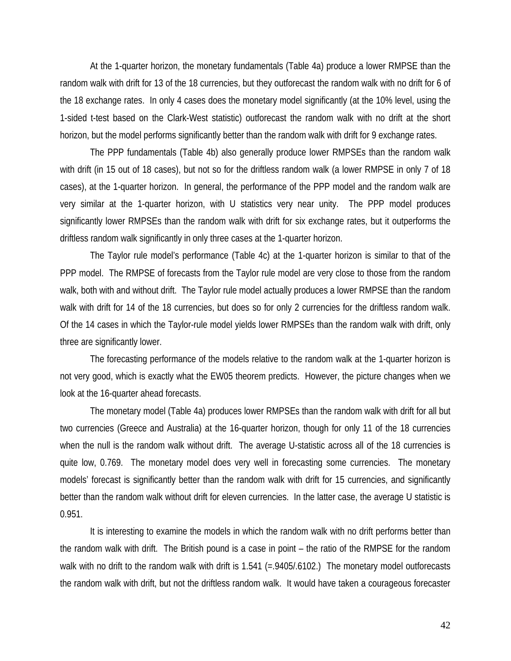At the 1-quarter horizon, the monetary fundamentals (Table 4a) produce a lower RMPSE than the random walk with drift for 13 of the 18 currencies, but they outforecast the random walk with no drift for 6 of the 18 exchange rates. In only 4 cases does the monetary model significantly (at the 10% level, using the 1-sided t-test based on the Clark-West statistic) outforecast the random walk with no drift at the short horizon, but the model performs significantly better than the random walk with drift for 9 exchange rates.

The PPP fundamentals (Table 4b) also generally produce lower RMPSEs than the random walk with drift (in 15 out of 18 cases), but not so for the driftless random walk (a lower RMPSE in only 7 of 18 cases), at the 1-quarter horizon. In general, the performance of the PPP model and the random walk are very similar at the 1-quarter horizon, with U statistics very near unity. The PPP model produces significantly lower RMPSEs than the random walk with drift for six exchange rates, but it outperforms the driftless random walk significantly in only three cases at the 1-quarter horizon.

The Taylor rule model's performance (Table 4c) at the 1-quarter horizon is similar to that of the PPP model. The RMPSE of forecasts from the Taylor rule model are very close to those from the random walk, both with and without drift. The Taylor rule model actually produces a lower RMPSE than the random walk with drift for 14 of the 18 currencies, but does so for only 2 currencies for the driftless random walk. Of the 14 cases in which the Taylor-rule model yields lower RMPSEs than the random walk with drift, only three are significantly lower.

The forecasting performance of the models relative to the random walk at the 1-quarter horizon is not very good, which is exactly what the EW05 theorem predicts. However, the picture changes when we look at the 16-quarter ahead forecasts.

The monetary model (Table 4a) produces lower RMPSEs than the random walk with drift for all but two currencies (Greece and Australia) at the 16-quarter horizon, though for only 11 of the 18 currencies when the null is the random walk without drift. The average U-statistic across all of the 18 currencies is quite low, 0.769. The monetary model does very well in forecasting some currencies. The monetary models' forecast is significantly better than the random walk with drift for 15 currencies, and significantly better than the random walk without drift for eleven currencies. In the latter case, the average U statistic is 0.951.

It is interesting to examine the models in which the random walk with no drift performs better than the random walk with drift. The British pound is a case in point – the ratio of the RMPSE for the random walk with no drift to the random walk with drift is 1.541 (=.9405/.6102.) The monetary model outforecasts the random walk with drift, but not the driftless random walk. It would have taken a courageous forecaster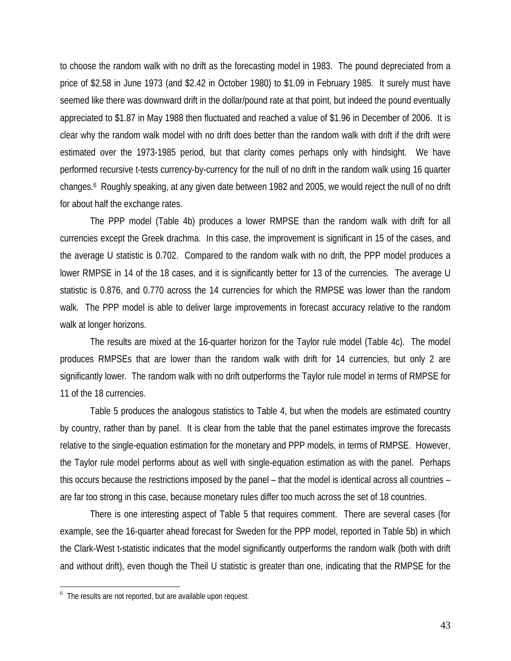to choose the random walk with no drift as the forecasting model in 1983. The pound depreciated from a price of \$2.58 in June 1973 (and \$2.42 in October 1980) to \$1.09 in February 1985. It surely must have seemed like there was downward drift in the dollar/pound rate at that point, but indeed the pound eventually appreciated to \$1.87 in May 1988 then fluctuated and reached a value of \$1.96 in December of 2006. It is clear why the random walk model with no drift does better than the random walk with drift if the drift were estimated over the 1973-1985 period, but that clarity comes perhaps only with hindsight. We have performed recursive t-tests currency-by-currency for the null of no drift in the random walk using 16 quarter changes.6 Roughly speaking, at any given date between 1982 and 2005, we would reject the null of no drift for about half the exchange rates.

The PPP model (Table 4b) produces a lower RMPSE than the random walk with drift for all currencies except the Greek drachma. In this case, the improvement is significant in 15 of the cases, and the average U statistic is 0.702. Compared to the random walk with no drift, the PPP model produces a lower RMPSE in 14 of the 18 cases, and it is significantly better for 13 of the currencies*.* The average U statistic is 0.876, and 0.770 across the 14 currencies for which the RMPSE was lower than the random walk. The PPP model is able to deliver large improvements in forecast accuracy relative to the random walk at longer horizons.

The results are mixed at the 16-quarter horizon for the Taylor rule model (Table 4c). The model produces RMPSEs that are lower than the random walk with drift for 14 currencies, but only 2 are significantly lower. The random walk with no drift outperforms the Taylor rule model in terms of RMPSE for 11 of the 18 currencies.

Table 5 produces the analogous statistics to Table 4, but when the models are estimated country by country, rather than by panel. It is clear from the table that the panel estimates improve the forecasts relative to the single-equation estimation for the monetary and PPP models, in terms of RMPSE. However, the Taylor rule model performs about as well with single-equation estimation as with the panel. Perhaps this occurs because the restrictions imposed by the panel – that the model is identical across all countries – are far too strong in this case, because monetary rules differ too much across the set of 18 countries.

 There is one interesting aspect of Table 5 that requires comment. There are several cases (for example, see the 16-quarter ahead forecast for Sweden for the PPP model, reported in Table 5b) in which the Clark-West t-statistic indicates that the model significantly outperforms the random walk (both with drift and without drift), even though the Theil U statistic is greater than one, indicating that the RMPSE for the

 $\overline{a}$ 

<sup>&</sup>lt;sup>6</sup> The results are not reported, but are available upon request.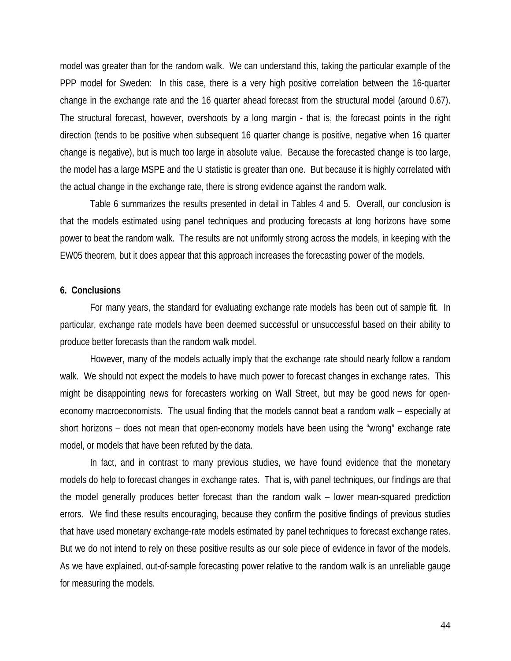model was greater than for the random walk. We can understand this, taking the particular example of the PPP model for Sweden: In this case, there is a very high positive correlation between the 16-quarter change in the exchange rate and the 16 quarter ahead forecast from the structural model (around 0.67). The structural forecast, however, overshoots by a long margin - that is, the forecast points in the right direction (tends to be positive when subsequent 16 quarter change is positive, negative when 16 quarter change is negative), but is much too large in absolute value. Because the forecasted change is too large, the model has a large MSPE and the U statistic is greater than one. But because it is highly correlated with the actual change in the exchange rate, there is strong evidence against the random walk.

Table 6 summarizes the results presented in detail in Tables 4 and 5. Overall, our conclusion is that the models estimated using panel techniques and producing forecasts at long horizons have some power to beat the random walk. The results are not uniformly strong across the models, in keeping with the EW05 theorem, but it does appear that this approach increases the forecasting power of the models.

#### **6. Conclusions**

For many years, the standard for evaluating exchange rate models has been out of sample fit. In particular, exchange rate models have been deemed successful or unsuccessful based on their ability to produce better forecasts than the random walk model.

 However, many of the models actually imply that the exchange rate should nearly follow a random walk. We should not expect the models to have much power to forecast changes in exchange rates. This might be disappointing news for forecasters working on Wall Street, but may be good news for openeconomy macroeconomists. The usual finding that the models cannot beat a random walk – especially at short horizons – does not mean that open-economy models have been using the "wrong" exchange rate model, or models that have been refuted by the data.

 In fact, and in contrast to many previous studies, we have found evidence that the monetary models do help to forecast changes in exchange rates. That is, with panel techniques, our findings are that the model generally produces better forecast than the random walk – lower mean-squared prediction errors. We find these results encouraging, because they confirm the positive findings of previous studies that have used monetary exchange-rate models estimated by panel techniques to forecast exchange rates. But we do not intend to rely on these positive results as our sole piece of evidence in favor of the models. As we have explained, out-of-sample forecasting power relative to the random walk is an unreliable gauge for measuring the models.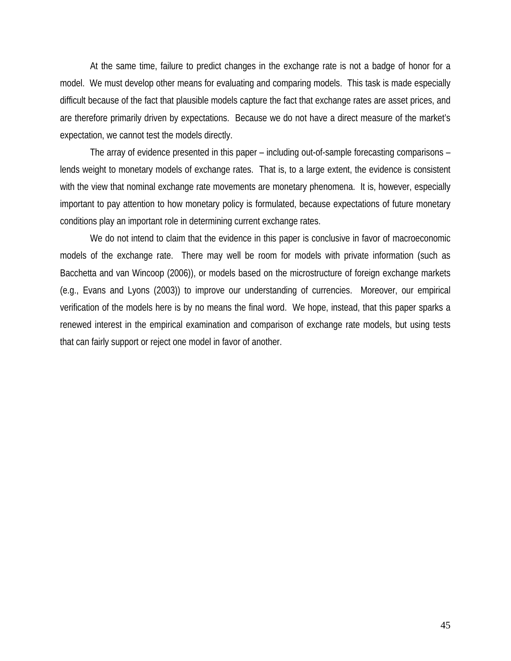At the same time, failure to predict changes in the exchange rate is not a badge of honor for a model. We must develop other means for evaluating and comparing models. This task is made especially difficult because of the fact that plausible models capture the fact that exchange rates are asset prices, and are therefore primarily driven by expectations. Because we do not have a direct measure of the market's expectation, we cannot test the models directly.

 The array of evidence presented in this paper – including out-of-sample forecasting comparisons – lends weight to monetary models of exchange rates. That is, to a large extent, the evidence is consistent with the view that nominal exchange rate movements are monetary phenomena. It is, however, especially important to pay attention to how monetary policy is formulated, because expectations of future monetary conditions play an important role in determining current exchange rates.

We do not intend to claim that the evidence in this paper is conclusive in favor of macroeconomic models of the exchange rate. There may well be room for models with private information (such as Bacchetta and van Wincoop (2006)), or models based on the microstructure of foreign exchange markets (e.g., Evans and Lyons (2003)) to improve our understanding of currencies. Moreover, our empirical verification of the models here is by no means the final word. We hope, instead, that this paper sparks a renewed interest in the empirical examination and comparison of exchange rate models, but using tests that can fairly support or reject one model in favor of another.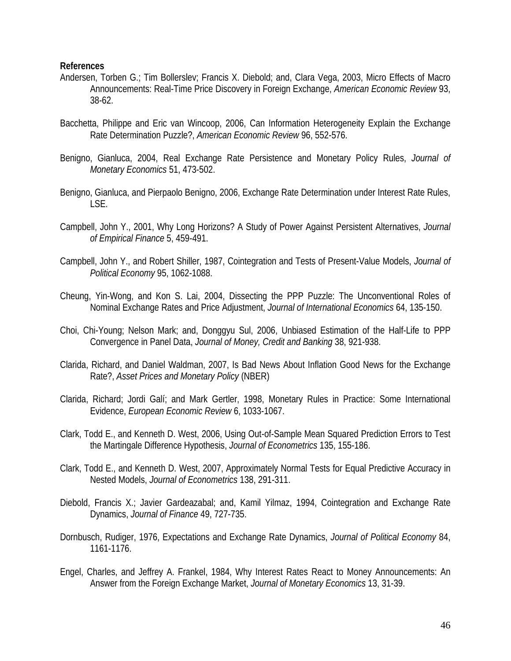# **References**

- Andersen, Torben G.; Tim Bollerslev; Francis X. Diebold; and, Clara Vega, 2003, Micro Effects of Macro Announcements: Real-Time Price Discovery in Foreign Exchange, *American Economic Review* 93, 38-62.
- Bacchetta, Philippe and Eric van Wincoop, 2006, Can Information Heterogeneity Explain the Exchange Rate Determination Puzzle?, *American Economic Review* 96, 552-576.
- Benigno, Gianluca, 2004, Real Exchange Rate Persistence and Monetary Policy Rules, *Journal of Monetary Economics* 51, 473-502.
- Benigno, Gianluca, and Pierpaolo Benigno, 2006, Exchange Rate Determination under Interest Rate Rules, LSE.
- Campbell, John Y., 2001, Why Long Horizons? A Study of Power Against Persistent Alternatives, *Journal of Empirical Finance* 5, 459-491.
- Campbell, John Y., and Robert Shiller, 1987, Cointegration and Tests of Present-Value Models, *Journal of Political Economy* 95, 1062-1088.
- Cheung, Yin-Wong, and Kon S. Lai, 2004, Dissecting the PPP Puzzle: The Unconventional Roles of Nominal Exchange Rates and Price Adjustment, *Journal of International Economics* 64, 135-150.
- Choi, Chi-Young; Nelson Mark; and, Donggyu Sul, 2006, Unbiased Estimation of the Half-Life to PPP Convergence in Panel Data, *Journal of Money, Credit and Banking* 38, 921-938.
- Clarida, Richard, and Daniel Waldman, 2007, Is Bad News About Inflation Good News for the Exchange Rate?, *Asset Prices and Monetary Policy* (NBER)
- Clarida, Richard; Jordi Galí; and Mark Gertler, 1998, Monetary Rules in Practice: Some International Evidence, *European Economic Review* 6, 1033-1067.
- Clark, Todd E., and Kenneth D. West, 2006, Using Out-of-Sample Mean Squared Prediction Errors to Test the Martingale Difference Hypothesis, *Journal of Econometrics* 135, 155-186.
- Clark, Todd E., and Kenneth D. West, 2007, Approximately Normal Tests for Equal Predictive Accuracy in Nested Models, *Journal of Econometrics* 138, 291-311.
- Diebold, Francis X.; Javier Gardeazabal; and, Kamil Yilmaz, 1994, Cointegration and Exchange Rate Dynamics, *Journal of Finance* 49, 727-735.
- Dornbusch, Rudiger, 1976, Expectations and Exchange Rate Dynamics, *Journal of Political Economy* 84, 1161-1176.
- Engel, Charles, and Jeffrey A. Frankel, 1984, Why Interest Rates React to Money Announcements: An Answer from the Foreign Exchange Market, *Journal of Monetary Economics* 13, 31-39.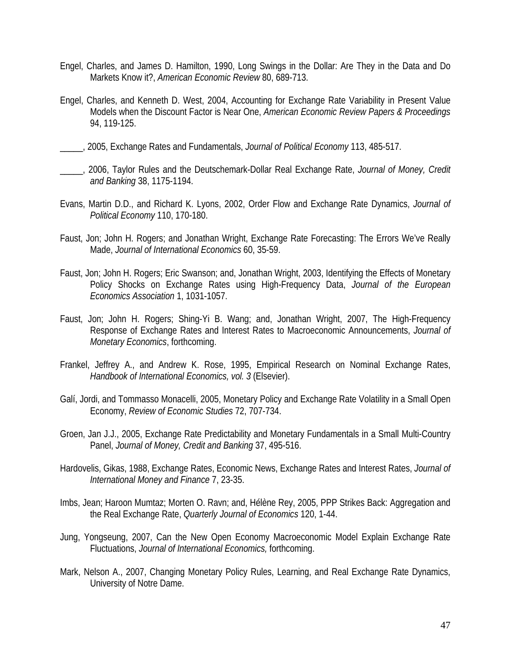- Engel, Charles, and James D. Hamilton, 1990, Long Swings in the Dollar: Are They in the Data and Do Markets Know it?, *American Economic Review* 80, 689-713.
- Engel, Charles, and Kenneth D. West, 2004, Accounting for Exchange Rate Variability in Present Value Models when the Discount Factor is Near One, *American Economic Review Papers & Proceedings* 94, 119-125.
- \_\_\_\_\_, 2005, Exchange Rates and Fundamentals, *Journal of Political Economy* 113, 485-517.
- \_\_\_\_\_, 2006, Taylor Rules and the Deutschemark-Dollar Real Exchange Rate, *Journal of Money, Credit and Banking* 38, 1175-1194.
- Evans, Martin D.D., and Richard K. Lyons, 2002, Order Flow and Exchange Rate Dynamics, *Journal of Political Economy* 110, 170-180.
- Faust, Jon; John H. Rogers; and Jonathan Wright, Exchange Rate Forecasting: The Errors We've Really Made, *Journal of International Economics* 60, 35-59.
- Faust, Jon; John H. Rogers; Eric Swanson; and, Jonathan Wright, 2003, Identifying the Effects of Monetary Policy Shocks on Exchange Rates using High-Frequency Data, *Journal of the European Economics Association* 1, 1031-1057.
- Faust, Jon; John H. Rogers; Shing-Yi B. Wang; and, Jonathan Wright, 2007, The High-Frequency Response of Exchange Rates and Interest Rates to Macroeconomic Announcements, *Journal of Monetary Economics*, forthcoming.
- Frankel, Jeffrey A., and Andrew K. Rose, 1995, Empirical Research on Nominal Exchange Rates, *Handbook of International Economics, vol. 3* (Elsevier).
- Galí, Jordi, and Tommasso Monacelli, 2005, Monetary Policy and Exchange Rate Volatility in a Small Open Economy, *Review of Economic Studies* 72, 707-734.
- Groen, Jan J.J., 2005, Exchange Rate Predictability and Monetary Fundamentals in a Small Multi-Country Panel, *Journal of Money, Credit and Banking* 37, 495-516.
- Hardovelis, Gikas, 1988, Exchange Rates, Economic News, Exchange Rates and Interest Rates, *Journal of International Money and Finance* 7, 23-35.
- Imbs, Jean; Haroon Mumtaz; Morten O. Ravn; and, Hélène Rey, 2005, PPP Strikes Back: Aggregation and the Real Exchange Rate, *Quarterly Journal of Economics* 120, 1-44.
- Jung, Yongseung, 2007, Can the New Open Economy Macroeconomic Model Explain Exchange Rate Fluctuations, *Journal of International Economics,* forthcoming.
- Mark, Nelson A., 2007, Changing Monetary Policy Rules, Learning, and Real Exchange Rate Dynamics, University of Notre Dame.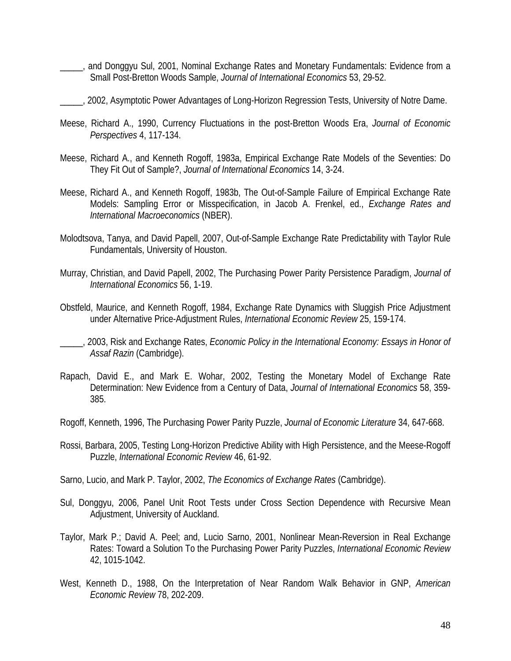- \_\_\_\_\_, and Donggyu Sul, 2001, Nominal Exchange Rates and Monetary Fundamentals: Evidence from a Small Post-Bretton Woods Sample, *Journal of International Economics* 53, 29-52.
- 2002, Asymptotic Power Advantages of Long-Horizon Regression Tests, University of Notre Dame.
- Meese, Richard A., 1990, Currency Fluctuations in the post-Bretton Woods Era, *Journal of Economic Perspectives* 4, 117-134.
- Meese, Richard A., and Kenneth Rogoff, 1983a, Empirical Exchange Rate Models of the Seventies: Do They Fit Out of Sample?, *Journal of International Economics* 14, 3-24.
- Meese, Richard A., and Kenneth Rogoff, 1983b, The Out-of-Sample Failure of Empirical Exchange Rate Models: Sampling Error or Misspecification, in Jacob A. Frenkel, ed., *Exchange Rates and International Macroeconomics* (NBER).
- Molodtsova, Tanya, and David Papell, 2007, Out-of-Sample Exchange Rate Predictability with Taylor Rule Fundamentals, University of Houston.
- Murray, Christian, and David Papell, 2002, The Purchasing Power Parity Persistence Paradigm, *Journal of International Economics* 56, 1-19.
- Obstfeld, Maurice, and Kenneth Rogoff, 1984, Exchange Rate Dynamics with Sluggish Price Adjustment under Alternative Price-Adjustment Rules, *International Economic Review* 25, 159-174.
- \_\_\_\_\_, 2003, Risk and Exchange Rates, *Economic Policy in the International Economy: Essays in Honor of Assaf Razin* (Cambridge).
- Rapach, David E., and Mark E. Wohar, 2002, Testing the Monetary Model of Exchange Rate Determination: New Evidence from a Century of Data, *Journal of International Economics* 58, 359- 385.
- Rogoff, Kenneth, 1996, The Purchasing Power Parity Puzzle, *Journal of Economic Literature* 34, 647-668.
- Rossi, Barbara, 2005, Testing Long-Horizon Predictive Ability with High Persistence, and the Meese-Rogoff Puzzle, *International Economic Review* 46, 61-92.
- Sarno, Lucio, and Mark P. Taylor, 2002, *The Economics of Exchange Rates* (Cambridge).
- Sul, Donggyu, 2006, Panel Unit Root Tests under Cross Section Dependence with Recursive Mean Adjustment, University of Auckland.
- Taylor, Mark P.; David A. Peel; and, Lucio Sarno, 2001, Nonlinear Mean-Reversion in Real Exchange Rates: Toward a Solution To the Purchasing Power Parity Puzzles, *International Economic Review* 42, 1015-1042.
- West, Kenneth D., 1988, On the Interpretation of Near Random Walk Behavior in GNP, *American Economic Review* 78, 202-209.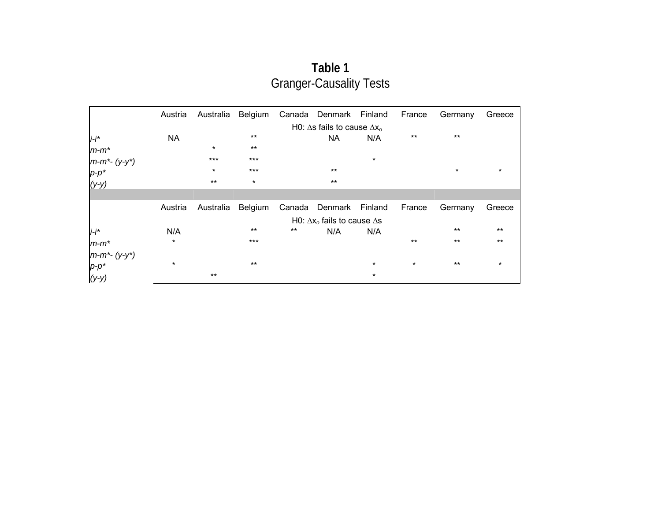| Table 1                        |
|--------------------------------|
| <b>Granger-Causality Tests</b> |

|                  | Austria   | Australia | Belgium |        | Canada Denmark Finland                     |         | France  | Germany | Greece  |
|------------------|-----------|-----------|---------|--------|--------------------------------------------|---------|---------|---------|---------|
|                  |           |           |         |        | H0: $\Delta$ s fails to cause $\Delta x_o$ |         |         |         |         |
| $i-i^*$          | <b>NA</b> |           | $***$   |        | <b>NA</b>                                  | N/A     | $***$   | $***$   |         |
| $m-m^*$          |           | $\star$   | $***$   |        |                                            |         |         |         |         |
| $m-m^*$ - (y-y*) |           | $***$     | $***$   |        |                                            | $\star$ |         |         |         |
|                  |           | $\star$   | $***$   |        | $***$                                      |         |         | $\star$ | $\ast$  |
| р-р*<br>(у-у)    |           | $***$     | $\star$ |        | $***$                                      |         |         |         |         |
|                  |           |           |         |        |                                            |         |         |         |         |
|                  | Austria   | Australia | Belgium | Canada | Denmark Finland                            |         | France  | Germany | Greece  |
|                  |           |           |         |        | H0: $\Delta x_0$ fails to cause $\Delta s$ |         |         |         |         |
| $i-i^*$          | N/A       |           | $***$   | $***$  | N/A                                        | N/A     |         | $***$   | $***$   |
| $m-m^*$          | $\ast$    |           | $***$   |        |                                            |         | $***$   | $***$   | $***$   |
| $m-m^*$ - (y-y*) |           |           |         |        |                                            |         |         |         |         |
| $p-p^*$          | $\star$   |           | $***$   |        |                                            | $\star$ | $\star$ | $***$   | $\star$ |
| $(y-y)$          |           | $***$     |         |        |                                            | $\star$ |         |         |         |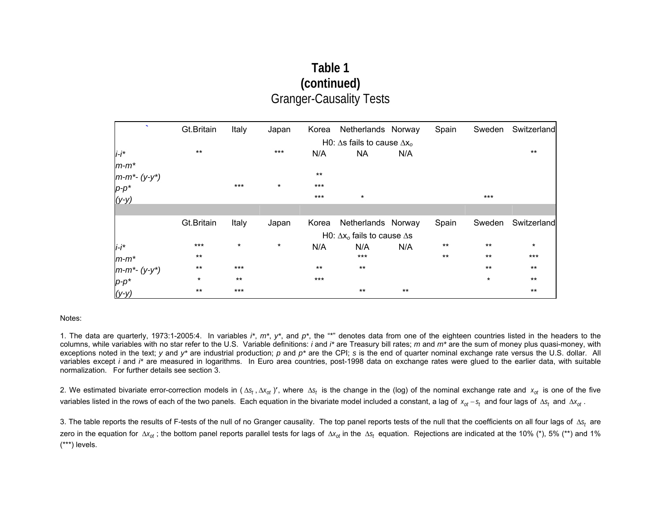# **Table 1 (continued)** Granger-Causality Tests

| $\sim$           | Gt.Britain | Italy   | Japan   |       | Korea Netherlands Norway                   |       | Spain | Sweden  | Switzerland |
|------------------|------------|---------|---------|-------|--------------------------------------------|-------|-------|---------|-------------|
|                  |            |         |         |       | H0: $\Delta s$ fails to cause $\Delta x_o$ |       |       |         |             |
| $i-i$ *          | $***$      |         | $***$   | N/A   | NA                                         | N/A   |       |         | $***$       |
| $m-m^*$          |            |         |         |       |                                            |       |       |         |             |
| $m-m^*$ - (y-y*) |            |         |         | $***$ |                                            |       |       |         |             |
|                  |            | $***$   | $\star$ | $***$ |                                            |       |       |         |             |
| р-р*<br>(у-у)    |            |         |         | $***$ | $\star$                                    |       |       | $***$   |             |
|                  |            |         |         |       |                                            |       |       |         |             |
|                  | Gt.Britain | Italy   | Japan   | Korea | Netherlands Norway                         |       | Spain | Sweden  | Switzerland |
|                  |            |         |         |       | H0: $\Delta x_0$ fails to cause $\Delta s$ |       |       |         |             |
| $i-i^*$          | $***$      | $\star$ | $\star$ | N/A   | N/A                                        | N/A   | $***$ | $***$   | $\star$     |
| $m-m^*$          | $***$      |         |         |       | $***$                                      |       | $***$ | $***$   | $***$       |
| $m-m^*$ - (y-y*) | $***$      | $***$   |         | $***$ | $***$                                      |       |       | $***$   | $***$       |
| $p-p^*$          | $\star$    | $***$   |         | $***$ |                                            |       |       | $\star$ | $***$       |
| $(y-y)$          | $***$      | $***$   |         |       | $***$                                      | $***$ |       |         | $***$       |

#### Notes:

1. The data are quarterly, 1973:1-2005:4. In variables *i\**, *m\**, *y\**, and *p\**, the "\*" denotes data from one of the eighteen countries listed in the headers to the columns, while variables with no star refer to the U.S. Variable definitions: *i* and *i\** are Treasury bill rates; *m* and *m\** are the sum of money plus quasi-money, with exceptions noted in the text; *y* and *y*<sup>\*</sup> are industrial production; *p* and *p*<sup>\*</sup> are the CPI; *s* is the end of quarter nominal exchange rate versus the U.S. dollar. All variables except *i* and *i\** are measured in logarithms. In Euro area countries, post-1998 data on exchange rates were glued to the earlier data, with suitable normalization. For further details see section 3.

2. We estimated bivariate error-correction models in ( $\Delta s_f$ ,  $\Delta x_{of}$ )', where  $\Delta s_f$  is the change in the (log) of the nominal exchange rate and  $x_{of}$  is one of the five variables listed in the rows of each of the two panels. Each equation in the bivariate model included a constant, a lag of *x<sub>ot</sub> - s<sub>t</sub>* and four lags of ∆*s<sub>t</sub>* and ∆*x<sub>ot</sub>* .

3. The table reports the results of F-tests of the null of no Granger causality. The top panel reports tests of the null that the coefficients on all four lags of ∆*s<sub>t</sub>* are zero in the equation for ∆x<sub>ot</sub>; the bottom panel reports parallel tests for lags of ∆x<sub>ot</sub> in the ∆s<sub>t</sub> equation. Rejections are indicated at the 10% (\*), 5% (\*\*) and 1% (\*\*\*) levels.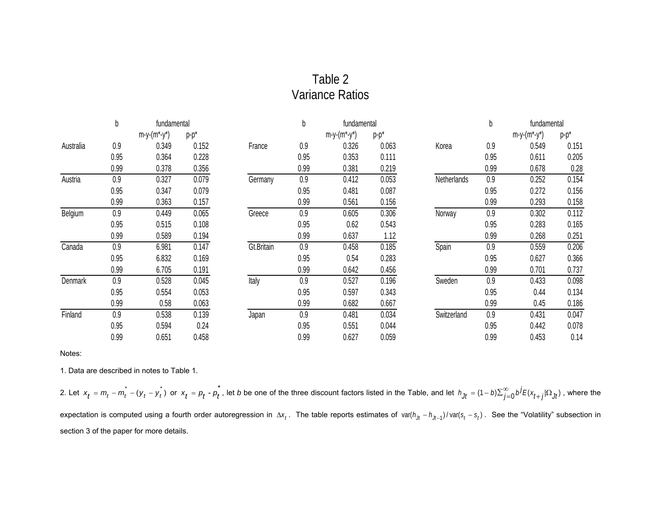# Table 2 Variance Ratios

|           | b    | fundamental         |         |            | b    | fundamental         |         |             | b    | fundamental         |         |
|-----------|------|---------------------|---------|------------|------|---------------------|---------|-------------|------|---------------------|---------|
|           |      | $m-y-(m^{*}-y^{*})$ | $p-p^*$ |            |      | $m-y-(m^{*}-y^{*})$ | $p-p^*$ |             |      | $m-y-(m^{*}-y^{*})$ | $p-p^*$ |
| Australia | 0.9  | 0.349               | 0.152   | France     | 0.9  | 0.326               | 0.063   | Korea       | 0.9  | 0.549               | 0.151   |
|           | 0.95 | 0.364               | 0.228   |            | 0.95 | 0.353               | 0.111   |             | 0.95 | 0.611               | 0.205   |
|           | 0.99 | 0.378               | 0.356   |            | 0.99 | 0.381               | 0.219   |             | 0.99 | 0.678               | 0.28    |
| Austria   | 0.9  | 0.327               | 0.079   | Germany    | 0.9  | 0.412               | 0.053   | Netherlands | 0.9  | 0.252               | 0.154   |
|           | 0.95 | 0.347               | 0.079   |            | 0.95 | 0.481               | 0.087   |             | 0.95 | 0.272               | 0.156   |
|           | 0.99 | 0.363               | 0.157   |            | 0.99 | 0.561               | 0.156   |             | 0.99 | 0.293               | 0.158   |
| Belgium   | 0.9  | 0.449               | 0.065   | Greece     | 0.9  | 0.605               | 0.306   | Norway      | 0.9  | 0.302               | 0.112   |
|           | 0.95 | 0.515               | 0.108   |            | 0.95 | 0.62                | 0.543   |             | 0.95 | 0.283               | 0.165   |
|           | 0.99 | 0.589               | 0.194   |            | 0.99 | 0.637               | 1.12    |             | 0.99 | 0.268               | 0.251   |
| Canada    | 0.9  | 6.981               | 0.147   | Gt.Britain | 0.9  | 0.458               | 0.185   | Spain       | 0.9  | 0.559               | 0.206   |
|           | 0.95 | 6.832               | 0.169   |            | 0.95 | 0.54                | 0.283   |             | 0.95 | 0.627               | 0.366   |
|           | 0.99 | 6.705               | 0.191   |            | 0.99 | 0.642               | 0.456   |             | 0.99 | 0.701               | 0.737   |
| Denmark   | 0.9  | 0.528               | 0.045   | Italy      | 0.9  | 0.527               | 0.196   | Sweden      | 0.9  | 0.433               | 0.098   |
|           | 0.95 | 0.554               | 0.053   |            | 0.95 | 0.597               | 0.343   |             | 0.95 | 0.44                | 0.134   |
|           | 0.99 | 0.58                | 0.063   |            | 0.99 | 0.682               | 0.667   |             | 0.99 | 0.45                | 0.186   |
| Finland   | 0.9  | 0.538               | 0.139   | Japan      | 0.9  | 0.481               | 0.034   | Switzerland | 0.9  | 0.431               | 0.047   |
|           | 0.95 | 0.594               | 0.24    |            | 0.95 | 0.551               | 0.044   |             | 0.95 | 0.442               | 0.078   |
|           | 0.99 | 0.651               | 0.458   |            | 0.99 | 0.627               | 0.059   |             | 0.99 | 0.453               | 0.14    |

Notes:

1. Data are described in notes to Table 1.

2. Let  $x_t = m_t - m_t - (y_t$  $x_t = m_t - m_t^* - (y_t - y_t^*)$  or  $x_t = p_t - p_t^*$ , let b be one of the three discount factors listed in the Table, and let  $h_{ft} = (1-b)\sum_{j=0}^{\infty} b^j E(x_{t+j}|\Omega_{Jf})$  , where the expectation is computed using a fourth order autoregression in  $\Delta x_f$ . The table reports estimates of var( $h_{jt}$  –  $h_{jt-1}$ )/var( $s_t$  –  $s_t$ ). See the "Volatility" subsection in section 3 of the paper for more details.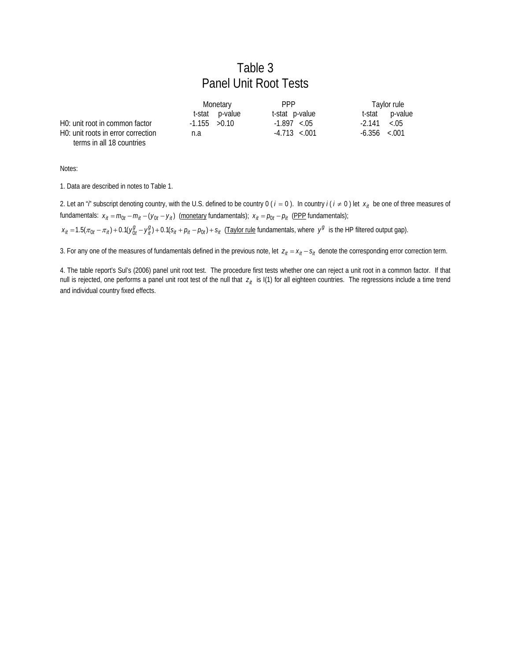# Table 3 Panel Unit Root Tests

|                                                 | Monetary        |                | <b>PPP</b>        | Taylor rule       |         |
|-------------------------------------------------|-----------------|----------------|-------------------|-------------------|---------|
|                                                 |                 | t-stat p-value | t-stat p-value    | t-stat            | p-value |
| H <sub>0</sub> : unit root in common factor     | $-1.155 > 0.10$ |                | $-1.897 \le 0.5$  | $-2.141$          | < 0.05  |
| H <sub>0</sub> : unit roots in error correction | n.a             |                | $-4.713 \le 0.01$ | $-6.356 \le 0.01$ |         |
| terms in all 18 countries                       |                 |                |                   |                   |         |

Notes:

1. Data are described in notes to Table 1.

2. Let an "*i*" subscript denoting country, with the U.S. defined to be country 0 ( $i = 0$ ). In country  $i(i \neq 0)$  let  $x_{it}$  be one of three measures of fundamentals:  $x_{it} = m_{0t} - m_{it} - (y_{0t} - y_{it})$  (monetary fundamentals);  $x_{it} = p_{0t} - p_{it}$  (PPP fundamentals);

 $x_{it} = 1.5(\pi_{0t} - \pi_{it}) + 0.1(y_{0t}^g - y_{it}^g) + 0.1(s_{it} + p_{it} - p_{0t}) + s_{it}$  (Taylor rule fundamentals, where  $y^g$  is the HP filtered output gap).

3. For any one of the measures of fundamentals defined in the previous note, let  $z_{it} = x_{it} - s_{it}$  denote the corresponding error correction term.

4. The table report's Sul's (2006) panel unit root test. The procedure first tests whether one can reject a unit root in a common factor. If that null is rejected, one performs a panel unit root test of the null that  $z_{it}$  is I(1) for all eighteen countries. The regressions include a time trend and individual country fixed effects.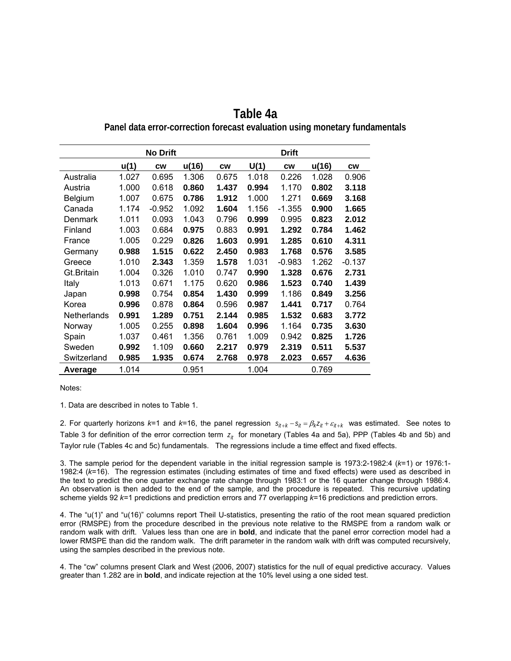|                    |       | <b>No Drift</b> |       |           |       |           |       |           |
|--------------------|-------|-----------------|-------|-----------|-------|-----------|-------|-----------|
|                    | u(1)  | <b>CW</b>       | u(16) | <b>CW</b> | U(1)  | <b>CW</b> | u(16) | <b>CW</b> |
| Australia          | 1.027 | 0.695           | 1.306 | 0.675     | 1.018 | 0.226     | 1.028 | 0.906     |
| Austria            | 1.000 | 0.618           | 0.860 | 1.437     | 0.994 | 1.170     | 0.802 | 3.118     |
| Belgium            | 1.007 | 0.675           | 0.786 | 1.912     | 1.000 | 1.271     | 0.669 | 3.168     |
| Canada             | 1.174 | $-0.952$        | 1.092 | 1.604     | 1.156 | $-1.355$  | 0.900 | 1.665     |
| Denmark            | 1.011 | 0.093           | 1.043 | 0.796     | 0.999 | 0.995     | 0.823 | 2.012     |
| Finland            | 1.003 | 0.684           | 0.975 | 0.883     | 0.991 | 1.292     | 0.784 | 1.462     |
| France             | 1.005 | 0.229           | 0.826 | 1.603     | 0.991 | 1.285     | 0.610 | 4.311     |
| Germany            | 0.988 | 1.515           | 0.622 | 2.450     | 0.983 | 1.768     | 0.576 | 3.585     |
| Greece             | 1.010 | 2.343           | 1.359 | 1.578     | 1.031 | $-0.983$  | 1.262 | $-0.137$  |
| Gt.Britain         | 1.004 | 0.326           | 1.010 | 0.747     | 0.990 | 1.328     | 0.676 | 2.731     |
| Italy              | 1.013 | 0.671           | 1.175 | 0.620     | 0.986 | 1.523     | 0.740 | 1.439     |
| Japan              | 0.998 | 0.754           | 0.854 | 1.430     | 0.999 | 1.186     | 0.849 | 3.256     |
| Korea              | 0.996 | 0.878           | 0.864 | 0.596     | 0.987 | 1.441     | 0.717 | 0.764     |
| <b>Netherlands</b> | 0.991 | 1.289           | 0.751 | 2.144     | 0.985 | 1.532     | 0.683 | 3.772     |
| Norway             | 1.005 | 0.255           | 0.898 | 1.604     | 0.996 | 1.164     | 0.735 | 3.630     |
| Spain              | 1.037 | 0.461           | 1.356 | 0.761     | 1.009 | 0.942     | 0.825 | 1.726     |
| Sweden             | 0.992 | 1.109           | 0.660 | 2.217     | 0.979 | 2.319     | 0.511 | 5.537     |
| Switzerland        | 0.985 | 1.935           | 0.674 | 2.768     | 0.978 | 2.023     | 0.657 | 4.636     |
| Average            | 1.014 |                 | 0.951 |           | 1.004 |           | 0.769 |           |

**Table 4a Panel data error-correction forecast evaluation using monetary fundamentals** 

Notes:

1. Data are described in notes to Table 1.

2. For quarterly horizons  $k=1$  and  $k=16$ , the panel regression  $s_{ij+k}-s_{ji}=\beta_k z_{ji}+\varepsilon_{ji+k}$  was estimated. See notes to Table 3 for definition of the error correction term  $z_{ij}$  for monetary (Tables 4a and 5a), PPP (Tables 4b and 5b) and Taylor rule (Tables 4c and 5c) fundamentals. The regressions include a time effect and fixed effects.

3. The sample period for the dependent variable in the initial regression sample is 1973:2-1982:4 (*k*=1) or 1976:1- 1982:4 (*k*=16). The regression estimates (including estimates of time and fixed effects) were used as described in the text to predict the one quarter exchange rate change through 1983:1 or the 16 quarter change through 1986:4. An observation is then added to the end of the sample, and the procedure is repeated. This recursive updating scheme yields 92 *k*=1 predictions and prediction errors and 77 overlapping *k*=16 predictions and prediction errors.

4. The "u(1)" and "u(16)" columns report Theil U-statistics, presenting the ratio of the root mean squared prediction error (RMSPE) from the procedure described in the previous note relative to the RMSPE from a random walk or random walk with drift. Values less than one are in **bold**, and indicate that the panel error correction model had a lower RMSPE than did the random walk. The drift parameter in the random walk with drift was computed recursively, using the samples described in the previous note.

4. The "cw" columns present Clark and West (2006, 2007) statistics for the null of equal predictive accuracy. Values greater than 1.282 are in **bold**, and indicate rejection at the 10% level using a one sided test.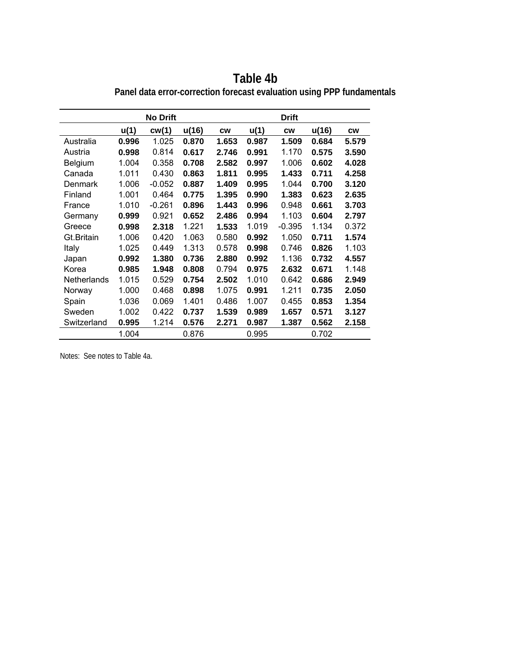|                    |       | <b>No Drift</b> |       |           |       | <b>Drift</b> |       |           |
|--------------------|-------|-----------------|-------|-----------|-------|--------------|-------|-----------|
|                    | u(1)  | cw(1)           | u(16) | <b>CW</b> | u(1)  | <b>CW</b>    | u(16) | <b>CW</b> |
| Australia          | 0.996 | 1.025           | 0.870 | 1.653     | 0.987 | 1.509        | 0.684 | 5.579     |
| Austria            | 0.998 | 0.814           | 0.617 | 2.746     | 0.991 | 1.170        | 0.575 | 3.590     |
| Belgium            | 1.004 | 0.358           | 0.708 | 2.582     | 0.997 | 1.006        | 0.602 | 4.028     |
| Canada             | 1.011 | 0.430           | 0.863 | 1.811     | 0.995 | 1.433        | 0.711 | 4.258     |
| Denmark            | 1.006 | $-0.052$        | 0.887 | 1.409     | 0.995 | 1.044        | 0.700 | 3.120     |
| Finland            | 1.001 | 0.464           | 0.775 | 1.395     | 0.990 | 1.383        | 0.623 | 2.635     |
| France             | 1.010 | $-0.261$        | 0.896 | 1.443     | 0.996 | 0.948        | 0.661 | 3.703     |
| Germany            | 0.999 | 0.921           | 0.652 | 2.486     | 0.994 | 1.103        | 0.604 | 2.797     |
| Greece             | 0.998 | 2.318           | 1.221 | 1.533     | 1.019 | $-0.395$     | 1.134 | 0.372     |
| Gt.Britain         | 1.006 | 0.420           | 1.063 | 0.580     | 0.992 | 1.050        | 0.711 | 1.574     |
| Italy              | 1.025 | 0.449           | 1.313 | 0.578     | 0.998 | 0.746        | 0.826 | 1.103     |
| Japan              | 0.992 | 1.380           | 0.736 | 2.880     | 0.992 | 1.136        | 0.732 | 4.557     |
| Korea              | 0.985 | 1.948           | 0.808 | 0.794     | 0.975 | 2.632        | 0.671 | 1.148     |
| <b>Netherlands</b> | 1.015 | 0.529           | 0.754 | 2.502     | 1.010 | 0.642        | 0.686 | 2.949     |
| Norway             | 1.000 | 0.468           | 0.898 | 1.075     | 0.991 | 1.211        | 0.735 | 2.050     |
| Spain              | 1.036 | 0.069           | 1.401 | 0.486     | 1.007 | 0.455        | 0.853 | 1.354     |
| Sweden             | 1.002 | 0.422           | 0.737 | 1.539     | 0.989 | 1.657        | 0.571 | 3.127     |
| Switzerland        | 0.995 | 1.214           | 0.576 | 2.271     | 0.987 | 1.387        | 0.562 | 2.158     |
|                    | 1.004 |                 | 0.876 |           | 0.995 |              | 0.702 |           |

**Table 4b Panel data error-correction forecast evaluation using PPP fundamentals**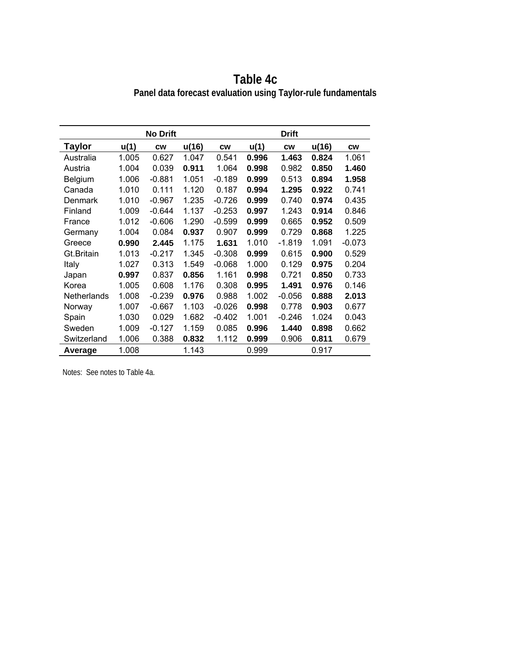|                    |       | <b>No Drift</b> |       |           |       | <b>Drift</b> |       |           |
|--------------------|-------|-----------------|-------|-----------|-------|--------------|-------|-----------|
| Taylor             | u(1)  | <b>CW</b>       | u(16) | <b>CW</b> | u(1)  | <b>CW</b>    | u(16) | <b>CW</b> |
| Australia          | 1.005 | 0.627           | 1.047 | 0.541     | 0.996 | 1.463        | 0.824 | 1.061     |
| Austria            | 1.004 | 0.039           | 0.911 | 1.064     | 0.998 | 0.982        | 0.850 | 1.460     |
| <b>Belgium</b>     | 1.006 | $-0.881$        | 1.051 | $-0.189$  | 0.999 | 0.513        | 0.894 | 1.958     |
| Canada             | 1.010 | 0.111           | 1.120 | 0.187     | 0.994 | 1.295        | 0.922 | 0.741     |
| Denmark            | 1.010 | $-0.967$        | 1.235 | $-0.726$  | 0.999 | 0.740        | 0.974 | 0.435     |
| Finland            | 1.009 | $-0.644$        | 1.137 | $-0.253$  | 0.997 | 1.243        | 0.914 | 0.846     |
| France             | 1.012 | $-0.606$        | 1.290 | $-0.599$  | 0.999 | 0.665        | 0.952 | 0.509     |
| Germany            | 1.004 | 0.084           | 0.937 | 0.907     | 0.999 | 0.729        | 0.868 | 1.225     |
| Greece             | 0.990 | 2.445           | 1.175 | 1.631     | 1.010 | $-1.819$     | 1.091 | $-0.073$  |
| Gt.Britain         | 1.013 | $-0.217$        | 1.345 | $-0.308$  | 0.999 | 0.615        | 0.900 | 0.529     |
| Italy              | 1.027 | 0.313           | 1.549 | $-0.068$  | 1.000 | 0.129        | 0.975 | 0.204     |
| Japan              | 0.997 | 0.837           | 0.856 | 1.161     | 0.998 | 0.721        | 0.850 | 0.733     |
| Korea              | 1.005 | 0.608           | 1.176 | 0.308     | 0.995 | 1.491        | 0.976 | 0.146     |
| <b>Netherlands</b> | 1.008 | $-0.239$        | 0.976 | 0.988     | 1.002 | $-0.056$     | 0.888 | 2.013     |
| Norway             | 1.007 | $-0.667$        | 1.103 | $-0.026$  | 0.998 | 0.778        | 0.903 | 0.677     |
| Spain              | 1.030 | 0.029           | 1.682 | $-0.402$  | 1.001 | -0.246       | 1.024 | 0.043     |
| Sweden             | 1.009 | $-0.127$        | 1.159 | 0.085     | 0.996 | 1.440        | 0.898 | 0.662     |
| Switzerland        | 1.006 | 0.388           | 0.832 | 1.112     | 0.999 | 0.906        | 0.811 | 0.679     |
| Average            | 1.008 |                 | 1.143 |           | 0.999 |              | 0.917 |           |

**Table 4c Panel data forecast evaluation using Taylor-rule fundamentals**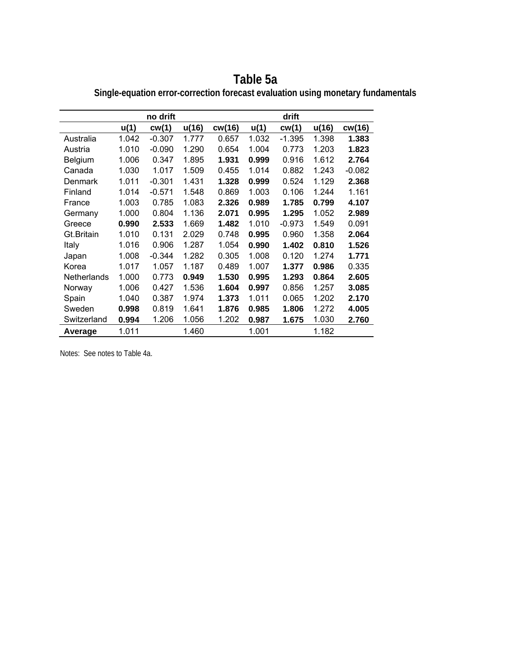|             |       | no drift |       |        |       | drift    |       |          |
|-------------|-------|----------|-------|--------|-------|----------|-------|----------|
|             | u(1)  | cw(1)    | u(16) | cw(16) | u(1)  | cw(1)    | u(16) | cw(16)   |
| Australia   | 1.042 | $-0.307$ | 1.777 | 0.657  | 1.032 | $-1.395$ | 1.398 | 1.383    |
| Austria     | 1.010 | $-0.090$ | 1.290 | 0.654  | 1.004 | 0.773    | 1.203 | 1.823    |
| Belgium     | 1.006 | 0.347    | 1.895 | 1.931  | 0.999 | 0.916    | 1.612 | 2.764    |
| Canada      | 1.030 | 1.017    | 1.509 | 0.455  | 1.014 | 0.882    | 1.243 | $-0.082$ |
| Denmark     | 1.011 | $-0.301$ | 1.431 | 1.328  | 0.999 | 0.524    | 1.129 | 2.368    |
| Finland     | 1.014 | $-0.571$ | 1.548 | 0.869  | 1.003 | 0.106    | 1.244 | 1.161    |
| France      | 1.003 | 0.785    | 1.083 | 2.326  | 0.989 | 1.785    | 0.799 | 4.107    |
| Germany     | 1.000 | 0.804    | 1.136 | 2.071  | 0.995 | 1.295    | 1.052 | 2.989    |
| Greece      | 0.990 | 2.533    | 1.669 | 1.482  | 1.010 | $-0.973$ | 1.549 | 0.091    |
| Gt.Britain  | 1.010 | 0.131    | 2.029 | 0.748  | 0.995 | 0.960    | 1.358 | 2.064    |
| Italy       | 1.016 | 0.906    | 1.287 | 1.054  | 0.990 | 1.402    | 0.810 | 1.526    |
| Japan       | 1.008 | $-0.344$ | 1.282 | 0.305  | 1.008 | 0.120    | 1.274 | 1.771    |
| Korea       | 1.017 | 1.057    | 1.187 | 0.489  | 1.007 | 1.377    | 0.986 | 0.335    |
| Netherlands | 1.000 | 0.773    | 0.949 | 1.530  | 0.995 | 1.293    | 0.864 | 2.605    |
| Norway      | 1.006 | 0.427    | 1.536 | 1.604  | 0.997 | 0.856    | 1.257 | 3.085    |
| Spain       | 1.040 | 0.387    | 1.974 | 1.373  | 1.011 | 0.065    | 1.202 | 2.170    |
| Sweden      | 0.998 | 0.819    | 1.641 | 1.876  | 0.985 | 1.806    | 1.272 | 4.005    |
| Switzerland | 0.994 | 1.206    | 1.056 | 1.202  | 0.987 | 1.675    | 1.030 | 2.760    |
| Average     | 1.011 |          | 1.460 |        | 1.001 |          | 1.182 |          |

**Table 5a Single-equation error-correction forecast evaluation using monetary fundamentals**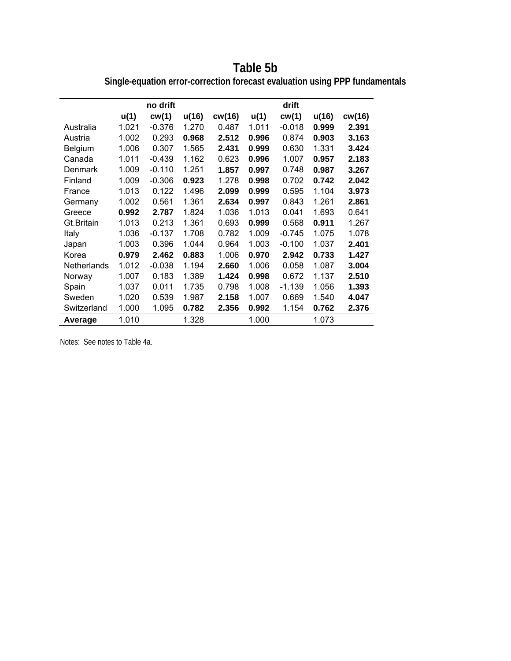**Table 5b Single-equation error-correction forecast evaluation using PPP fundamentals** 

|                |       | no drift |       |        |       | drift    |       |        |
|----------------|-------|----------|-------|--------|-------|----------|-------|--------|
|                | u(1)  | cw(1)    | u(16) | cw(16) | u(1)  | cw(1)    | u(16) | cw(16) |
|                |       |          |       |        |       |          |       |        |
| Australia      | 1.021 | $-0.376$ | 1.270 | 0.487  | 1.011 | $-0.018$ | 0.999 | 2.391  |
| Austria        | 1.002 | 0.293    | 0.968 | 2.512  | 0.996 | 0.874    | 0.903 | 3.163  |
| <b>Belgium</b> | 1.006 | 0.307    | 1.565 | 2.431  | 0.999 | 0.630    | 1.331 | 3.424  |
| Canada         | 1.011 | $-0.439$ | 1.162 | 0.623  | 0.996 | 1.007    | 0.957 | 2.183  |
| Denmark        | 1.009 | $-0.110$ | 1.251 | 1.857  | 0.997 | 0.748    | 0.987 | 3.267  |
| Finland        | 1.009 | $-0.306$ | 0.923 | 1.278  | 0.998 | 0.702    | 0.742 | 2.042  |
| France         | 1.013 | 0.122    | 1.496 | 2.099  | 0.999 | 0.595    | 1.104 | 3.973  |
| Germany        | 1.002 | 0.561    | 1.361 | 2.634  | 0.997 | 0.843    | 1.261 | 2.861  |
| Greece         | 0.992 | 2.787    | 1.824 | 1.036  | 1.013 | 0.041    | 1.693 | 0.641  |
| Gt.Britain     | 1.013 | 0.213    | 1.361 | 0.693  | 0.999 | 0.568    | 0.911 | 1.267  |
| Italy          | 1.036 | $-0.137$ | 1.708 | 0.782  | 1.009 | $-0.745$ | 1.075 | 1.078  |
| Japan          | 1.003 | 0.396    | 1.044 | 0.964  | 1.003 | $-0.100$ | 1.037 | 2.401  |
| Korea          | 0.979 | 2.462    | 0.883 | 1.006  | 0.970 | 2.942    | 0.733 | 1.427  |
| Netherlands    | 1.012 | $-0.038$ | 1.194 | 2.660  | 1.006 | 0.058    | 1.087 | 3.004  |
| Norway         | 1.007 | 0.183    | 1.389 | 1.424  | 0.998 | 0.672    | 1.137 | 2.510  |
| Spain          | 1.037 | 0.011    | 1.735 | 0.798  | 1.008 | $-1.139$ | 1.056 | 1.393  |
| Sweden         | 1.020 | 0.539    | 1.987 | 2.158  | 1.007 | 0.669    | 1.540 | 4.047  |
| Switzerland    | 1.000 | 1.095    | 0.782 | 2.356  | 0.992 | 1.154    | 0.762 | 2.376  |
| Average        | 1.010 |          | 1.328 |        | 1.000 |          | 1.073 |        |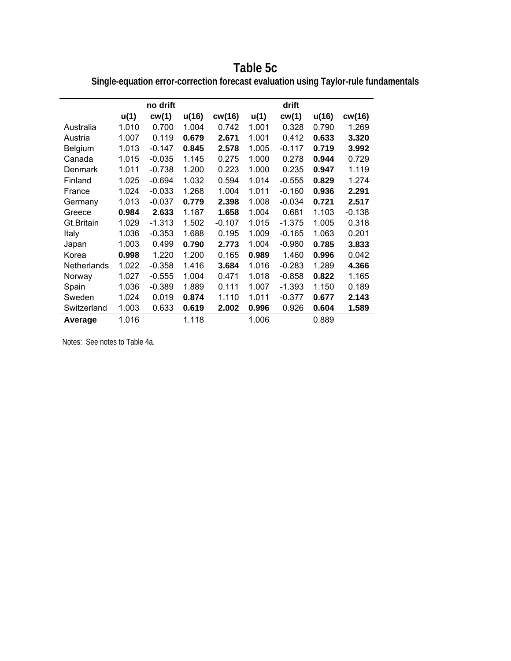**Table 5c Single-equation error-correction forecast evaluation using Taylor-rule fundamentals** 

|             |       | no drift |       |          |       | drift    |       |          |
|-------------|-------|----------|-------|----------|-------|----------|-------|----------|
|             | u(1)  | cw(1)    | u(16) | cw(16)   | u(1)  | cw(1)    | u(16) | cw(16)   |
| Australia   | 1.010 | 0.700    | 1.004 | 0.742    | 1.001 | 0.328    | 0.790 | 1.269    |
| Austria     | 1.007 | 0.119    | 0.679 | 2.671    | 1.001 | 0.412    | 0.633 | 3.320    |
| Belgium     | 1.013 | $-0.147$ | 0.845 | 2.578    | 1.005 | $-0.117$ | 0.719 | 3.992    |
| Canada      | 1.015 | $-0.035$ | 1.145 | 0.275    | 1.000 | 0.278    | 0.944 | 0.729    |
| Denmark     | 1.011 | $-0.738$ | 1.200 | 0.223    | 1.000 | 0.235    | 0.947 | 1.119    |
| Finland     | 1.025 | $-0.694$ | 1.032 | 0.594    | 1.014 | $-0.555$ | 0.829 | 1.274    |
| France      | 1.024 | $-0.033$ | 1.268 | 1.004    | 1.011 | $-0.160$ | 0.936 | 2.291    |
| Germany     | 1.013 | $-0.037$ | 0.779 | 2.398    | 1.008 | $-0.034$ | 0.721 | 2.517    |
| Greece      | 0.984 | 2.633    | 1.187 | 1.658    | 1.004 | 0.681    | 1.103 | $-0.138$ |
| Gt.Britain  | 1.029 | $-1.313$ | 1.502 | $-0.107$ | 1.015 | $-1.375$ | 1.005 | 0.318    |
| Italy       | 1.036 | $-0.353$ | 1.688 | 0.195    | 1.009 | $-0.165$ | 1.063 | 0.201    |
| Japan       | 1.003 | 0.499    | 0.790 | 2.773    | 1.004 | $-0.980$ | 0.785 | 3.833    |
| Korea       | 0.998 | 1.220    | 1.200 | 0.165    | 0.989 | 1.460    | 0.996 | 0.042    |
| Netherlands | 1.022 | $-0.358$ | 1.416 | 3.684    | 1.016 | $-0.283$ | 1.289 | 4.366    |
| Norway      | 1.027 | $-0.555$ | 1.004 | 0.471    | 1.018 | $-0.858$ | 0.822 | 1.165    |
| Spain       | 1.036 | $-0.389$ | 1.889 | 0.111    | 1.007 | $-1.393$ | 1.150 | 0.189    |
| Sweden      | 1.024 | 0.019    | 0.874 | 1.110    | 1.011 | $-0.377$ | 0.677 | 2.143    |
| Switzerland | 1.003 | 0.633    | 0.619 | 2.002    | 0.996 | 0.926    | 0.604 | 1.589    |
| Average     | 1.016 |          | 1.118 |          | 1.006 |          | 0.889 |          |